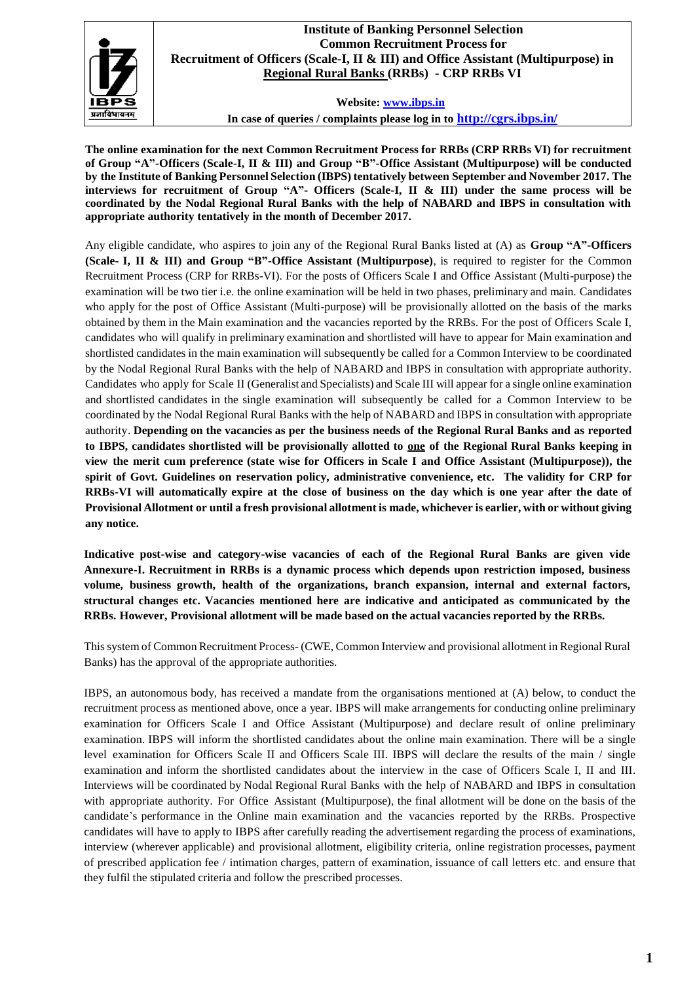

## **Institute of Banking Personnel Selection Common Recruitment Process for Recruitment of Officers (Scale-I, II & III) and Office Assistant (Multipurpose) in Regional Rural Banks (RRBs) - CRP RRBs VI**

**Website: [www.ibps.in](http://www.ibps.in/)**

**In case of queries / complaints please log in to <http://cgrs.ibps.in/>**

**The online examination for the next Common Recruitment Process for RRBs (CRP RRBs VI) for recruitment of Group "A"-Officers (Scale-I, II & III) and Group "B"-Office Assistant (Multipurpose) will be conducted by the Institute of Banking Personnel Selection (IBPS) tentatively between September and November 2017. The interviews for recruitment of Group "A"- Officers (Scale-I, II & III) under the same process will be coordinated by the Nodal Regional Rural Banks with the help of NABARD and IBPS in consultation with appropriate authority tentatively in the month of December 2017.**

Any eligible candidate, who aspires to join any of the Regional Rural Banks listed at (A) as **Group "A"-Officers (Scale- I, II & III) and Group "B"-Office Assistant (Multipurpose)**, is required to register for the Common Recruitment Process (CRP for RRBs-VI). For the posts of Officers Scale I and Office Assistant (Multi-purpose) the examination will be two tier i.e. the online examination will be held in two phases, preliminary and main. Candidates who apply for the post of Office Assistant (Multi-purpose) will be provisionally allotted on the basis of the marks obtained by them in the Main examination and the vacancies reported by the RRBs. For the post of Officers Scale I, candidates who will qualify in preliminary examination and shortlisted will have to appear for Main examination and shortlisted candidates in the main examination will subsequently be called for a Common Interview to be coordinated by the Nodal Regional Rural Banks with the help of NABARD and IBPS in consultation with appropriate authority. Candidates who apply for Scale II (Generalist and Specialists) and Scale III will appear for a single online examination and shortlisted candidates in the single examination will subsequently be called for a Common Interview to be coordinated by the Nodal Regional Rural Banks with the help of NABARD and IBPS in consultation with appropriate authority. **Depending on the vacancies as per the business needs of the Regional Rural Banks and as reported to IBPS, candidates shortlisted will be provisionally allotted to one of the Regional Rural Banks keeping in view the merit cum preference (state wise for Officers in Scale I and Office Assistant (Multipurpose)), the spirit of Govt. Guidelines on reservation policy, administrative convenience, etc. The validity for CRP for** RRBs-VI will automatically expire at the close of business on the day which is one year after the date of **Provisional Allotment or until a fresh provisional allotment is made, whichever is earlier, with or without giving any notice.**

**Indicative post-wise and category-wise vacancies of each of the Regional Rural Banks are given vide Annexure-I. Recruitment in RRBs is a dynamic process which depends upon restriction imposed, business volume, business growth, health of the organizations, branch expansion, internal and external factors, structural changes etc. Vacancies mentioned here are indicative and anticipated as communicated by the RRBs. However, Provisional allotment will be made based on the actual vacancies reported by the RRBs.**

This system of Common Recruitment Process- (CWE, Common Interview and provisional allotment in Regional Rural Banks) has the approval of the appropriate authorities.

IBPS, an autonomous body, has received a mandate from the organisations mentioned at (A) below, to conduct the recruitment process as mentioned above, once a year. IBPS will make arrangements for conducting online preliminary examination for Officers Scale I and Office Assistant (Multipurpose) and declare result of online preliminary examination. IBPS will inform the shortlisted candidates about the online main examination. There will be a single level examination for Officers Scale II and Officers Scale III. IBPS will declare the results of the main / single examination and inform the shortlisted candidates about the interview in the case of Officers Scale I, II and III. Interviews will be coordinated by Nodal Regional Rural Banks with the help of NABARD and IBPS in consultation with appropriate authority. For Office Assistant (Multipurpose), the final allotment will be done on the basis of the candidate's performance in the Online main examination and the vacancies reported by the RRBs. Prospective candidates will have to apply to IBPS after carefully reading the advertisement regarding the process of examinations, interview (wherever applicable) and provisional allotment, eligibility criteria, online registration processes, payment of prescribed application fee / intimation charges, pattern of examination, issuance of call letters etc. and ensure that they fulfil the stipulated criteria and follow the prescribed processes.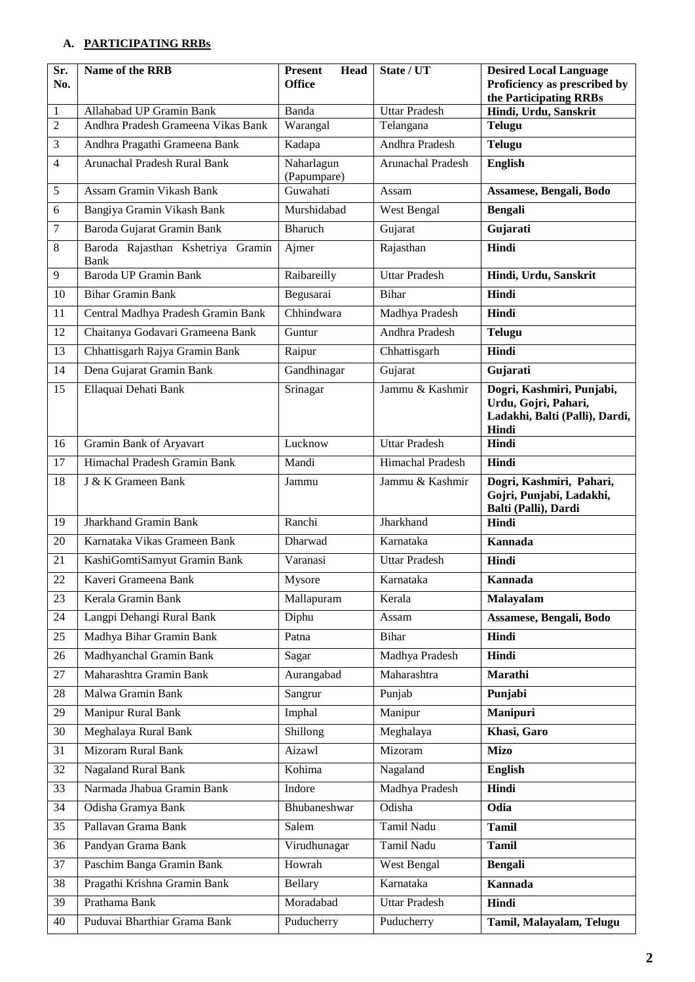## **A. PARTICIPATING RRBs**

| Sr.<br>No.     | Name of the RRB                           | <b>Present</b><br><b>Head</b><br><b>Office</b> | State / UT           | <b>Desired Local Language</b><br>Proficiency as prescribed by                                |
|----------------|-------------------------------------------|------------------------------------------------|----------------------|----------------------------------------------------------------------------------------------|
|                |                                           |                                                |                      | the Participating RRBs                                                                       |
| 1              | Allahabad UP Gramin Bank                  | <b>Banda</b>                                   | <b>Uttar Pradesh</b> | Hindi, Urdu, Sanskrit                                                                        |
| $\overline{2}$ | Andhra Pradesh Grameena Vikas Bank        | Warangal                                       | Telangana            | <b>Telugu</b>                                                                                |
| 3              | Andhra Pragathi Grameena Bank             | Kadapa                                         | Andhra Pradesh       | <b>Telugu</b>                                                                                |
| 4              | Arunachal Pradesh Rural Bank              | Naharlagun<br>(Papumpare)                      | Arunachal Pradesh    | <b>English</b>                                                                               |
| $\sqrt{5}$     | Assam Gramin Vikash Bank                  | Guwahati                                       | Assam                | Assamese, Bengali, Bodo                                                                      |
| 6              | Bangiya Gramin Vikash Bank                | Murshidabad                                    | West Bengal          | <b>Bengali</b>                                                                               |
| 7              | Baroda Gujarat Gramin Bank                | <b>Bharuch</b>                                 | Gujarat              | Gujarati                                                                                     |
| $\,8\,$        | Baroda Rajasthan Kshetriya Gramin<br>Bank | Ajmer                                          | Rajasthan            | Hindi                                                                                        |
| 9              | Baroda UP Gramin Bank                     | Raibareilly                                    | <b>Uttar Pradesh</b> | Hindi, Urdu, Sanskrit                                                                        |
| 10             | <b>Bihar Gramin Bank</b>                  | Begusarai                                      | <b>Bihar</b>         | Hindi                                                                                        |
| 11             | Central Madhya Pradesh Gramin Bank        | Chhindwara                                     | Madhya Pradesh       | Hindi                                                                                        |
| 12             | Chaitanya Godavari Grameena Bank          | Guntur                                         | Andhra Pradesh       | <b>Telugu</b>                                                                                |
| 13             | Chhattisgarh Rajya Gramin Bank            | Raipur                                         | Chhattisgarh         | Hindi                                                                                        |
| 14             | Dena Gujarat Gramin Bank                  | Gandhinagar                                    | Gujarat              | Gujarati                                                                                     |
| 15             | Ellaquai Dehati Bank                      | Srinagar                                       | Jammu & Kashmir      | Dogri, Kashmiri, Punjabi,<br>Urdu, Gojri, Pahari,<br>Ladakhi, Balti (Palli), Dardi,<br>Hindi |
| 16             | Gramin Bank of Aryavart                   | Lucknow                                        | <b>Uttar Pradesh</b> | Hindi                                                                                        |
| 17             | Himachal Pradesh Gramin Bank              | Mandi                                          | Himachal Pradesh     | Hindi                                                                                        |
| 18             | J & K Grameen Bank                        | Jammu                                          | Jammu & Kashmir      | Dogri, Kashmiri, Pahari,<br>Gojri, Punjabi, Ladakhi,<br>Balti (Palli), Dardi                 |
| 19             | <b>Jharkhand Gramin Bank</b>              | Ranchi                                         | Jharkhand            | Hindi                                                                                        |
| 20             | Karnataka Vikas Grameen Bank              | Dharwad                                        | Karnataka            | <b>Kannada</b>                                                                               |
| 21             | KashiGomtiSamyut Gramin Bank              | Varanasi                                       | <b>Uttar Pradesh</b> | Hindi                                                                                        |
| 22             | Kaveri Grameena Bank                      | Mysore                                         | Karnataka            | <b>Kannada</b>                                                                               |
| 23             | Kerala Gramin Bank                        | Mallapuram                                     | Kerala               | Malayalam                                                                                    |
| 24             | Langpi Dehangi Rural Bank                 | Diphu                                          | Assam                | Assamese, Bengali, Bodo                                                                      |
| 25             | Madhya Bihar Gramin Bank                  | Patna                                          | <b>Bihar</b>         | Hindi                                                                                        |
| 26             | Madhyanchal Gramin Bank                   | Sagar                                          | Madhya Pradesh       | Hindi                                                                                        |
| 27             | Maharashtra Gramin Bank                   | Aurangabad                                     | Maharashtra          | Marathi                                                                                      |
| 28             | Malwa Gramin Bank                         | Sangrur                                        | Punjab               | Punjabi                                                                                      |
| 29             | Manipur Rural Bank                        | Imphal                                         | Manipur              | Manipuri                                                                                     |
| 30             | Meghalaya Rural Bank                      | Shillong                                       | Meghalaya            | Khasi, Garo                                                                                  |
| 31             | Mizoram Rural Bank                        | Aizawl                                         | Mizoram              | <b>Mizo</b>                                                                                  |
| 32             | <b>Nagaland Rural Bank</b>                | Kohima                                         | Nagaland             | <b>English</b>                                                                               |
| 33             | Narmada Jhabua Gramin Bank                | Indore                                         | Madhya Pradesh       | Hindi                                                                                        |
| 34             | Odisha Gramya Bank                        | Bhubaneshwar                                   | Odisha               | Odia                                                                                         |
| 35             | Pallavan Grama Bank                       | Salem                                          | Tamil Nadu           | <b>Tamil</b>                                                                                 |
| 36             | Pandyan Grama Bank                        | Virudhunagar                                   | Tamil Nadu           | <b>Tamil</b>                                                                                 |
| 37             | Paschim Banga Gramin Bank                 | Howrah                                         | <b>West Bengal</b>   | <b>Bengali</b>                                                                               |
| 38             | Pragathi Krishna Gramin Bank              | Bellary                                        | Karnataka            | Kannada                                                                                      |
| 39             | Prathama Bank                             | Moradabad                                      | <b>Uttar Pradesh</b> | Hindi                                                                                        |
| 40             | Puduvai Bharthiar Grama Bank              | Puducherry                                     | Puducherry           | Tamil, Malayalam, Telugu                                                                     |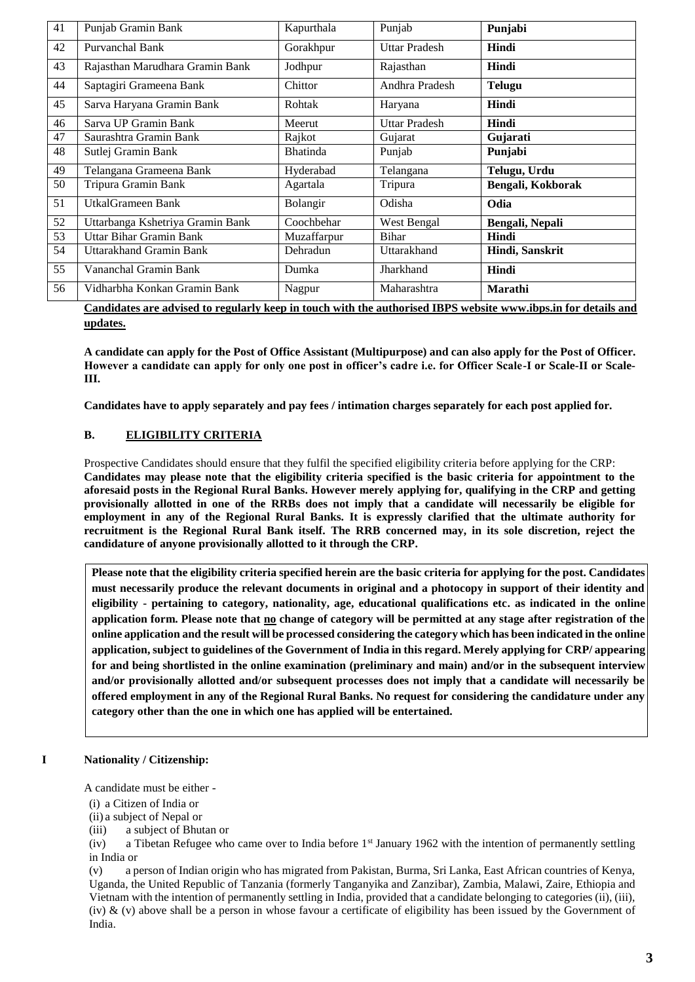| 41 | Punjab Gramin Bank               | Kapurthala      | Punjab               | Punjabi           |
|----|----------------------------------|-----------------|----------------------|-------------------|
| 42 | Purvanchal Bank                  | Gorakhpur       | <b>Uttar Pradesh</b> | Hindi             |
| 43 | Rajasthan Marudhara Gramin Bank  | Jodhpur         | Rajasthan            | Hindi             |
| 44 | Saptagiri Grameena Bank          | Chittor         | Andhra Pradesh       | <b>Telugu</b>     |
| 45 | Sarva Haryana Gramin Bank        | Rohtak          | Haryana              | Hindi             |
| 46 | Sarva UP Gramin Bank             | Meerut          | <b>Uttar Pradesh</b> | Hindi             |
| 47 | Saurashtra Gramin Bank           | Rajkot          | Gujarat              | Gujarati          |
| 48 | Sutlej Gramin Bank               | <b>Bhatinda</b> | Punjab               | Punjabi           |
| 49 | Telangana Grameena Bank          | Hyderabad       | Telangana            | Telugu, Urdu      |
| 50 | Tripura Gramin Bank              | Agartala        | Tripura              | Bengali, Kokborak |
| 51 | UtkalGrameen Bank                | Bolangir        | Odisha               | Odia              |
| 52 | Uttarbanga Kshetriya Gramin Bank | Coochbehar      | West Bengal          | Bengali, Nepali   |
| 53 | Uttar Bihar Gramin Bank          | Muzaffarpur     | <b>Bihar</b>         | Hindi             |
| 54 | Uttarakhand Gramin Bank          | Dehradun        | Uttarakhand          | Hindi, Sanskrit   |
| 55 | Vananchal Gramin Bank            | Dumka           | Jharkhand            | Hindi             |
| 56 | Vidharbha Konkan Gramin Bank     | Nagpur          | Maharashtra          | Marathi           |

**Candidates are advised to regularly keep in touch with the authorised IBPS website [www.ibps.in](http://www.ibps.in/) for details and updates.** 

**A candidate can apply for the Post of Office Assistant (Multipurpose) and can also apply for the Post of Officer. However a candidate can apply for only one post in officer's cadre i.e. for Officer Scale-I or Scale-II or Scale-III.**

**Candidates have to apply separately and pay fees / intimation charges separately for each post applied for.**

### **B. ELIGIBILITY CRITERIA**

Prospective Candidates should ensure that they fulfil the specified eligibility criteria before applying for the CRP: **Candidates may please note that the eligibility criteria specified is the basic criteria for appointment to the aforesaid posts in the Regional Rural Banks. However merely applying for, qualifying in the CRP and getting provisionally allotted in one of the RRBs does not imply that a candidate will necessarily be eligible for employment in any of the Regional Rural Banks. It is expressly clarified that the ultimate authority for recruitment is the Regional Rural Bank itself. The RRB concerned may, in its sole discretion, reject the candidature of anyone provisionally allotted to it through the CRP.**

**Please note that the eligibility criteria specified herein are the basic criteria for applying for the post. Candidates must necessarily produce the relevant documents in original and a photocopy in support of their identity and eligibility - pertaining to category, nationality, age, educational qualifications etc. as indicated in the online application form. Please note that no change of category will be permitted at any stage after registration of the online application and the result will be processed considering the category which has been indicated in the online application, subject to guidelines of the Government of India in this regard. Merely applying for CRP/ appearing for and being shortlisted in the online examination (preliminary and main) and/or in the subsequent interview and/or provisionally allotted and/or subsequent processes does not imply that a candidate will necessarily be offered employment in any of the Regional Rural Banks. No request for considering the candidature under any category other than the one in which one has applied will be entertained.**

### **I Nationality / Citizenship:**

A candidate must be either -

- (i) a Citizen of India or
- (ii) a subject of Nepal or
- (iii) a subject of Bhutan or

(iv) a Tibetan Refugee who came over to India before 1<sup>st</sup> January 1962 with the intention of permanently settling in India or

(v) a person of Indian origin who has migrated from Pakistan, Burma, Sri Lanka, East African countries of Kenya, Uganda, the United Republic of Tanzania (formerly Tanganyika and Zanzibar), Zambia, Malawi, Zaire, Ethiopia and Vietnam with the intention of permanently settling in India, provided that a candidate belonging to categories (ii), (iii), (iv) & (v) above shall be a person in whose favour a certificate of eligibility has been issued by the Government of India.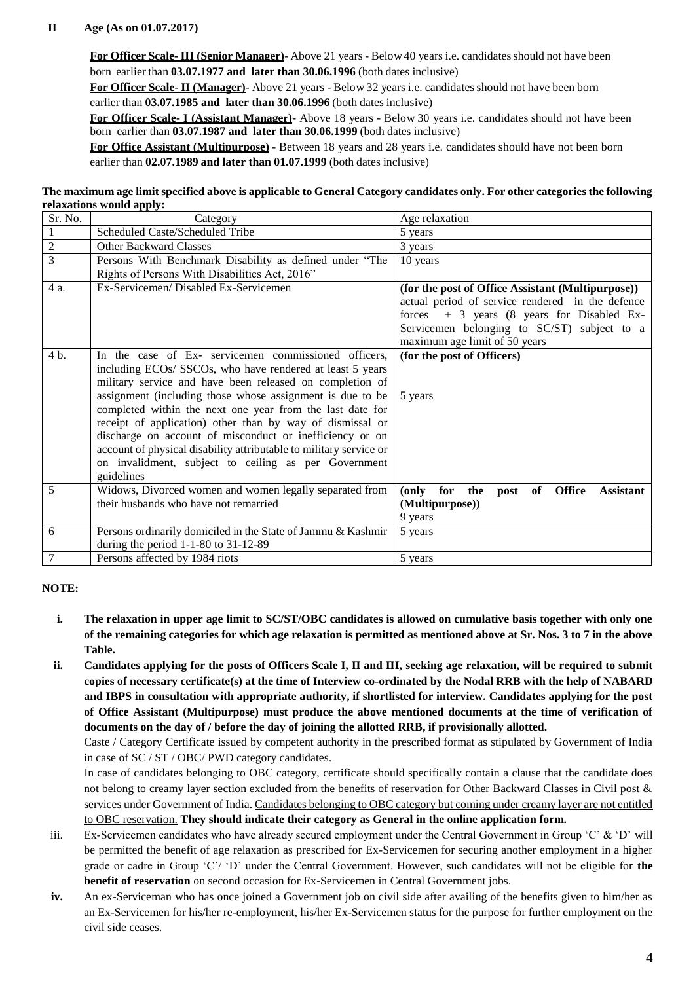## **II Age (As on 01.07.2017)**

**For Officer Scale- III (Senior Manager)**- Above 21 years - Below 40 years i.e. candidatesshould not have been born earlier than **03.07.1977 and later than 30.06.1996** (both dates inclusive)

**For Officer Scale- II (Manager)**- Above 21 years - Below 32 years i.e. candidatesshould not have been born earlier than **03.07.1985 and later than 30.06.1996** (both dates inclusive)

**For Officer Scale- I (Assistant Manager)**- Above 18 years - Below 30 years i.e. candidates should not have been born earlier than **03.07.1987 and later than 30.06.1999** (both dates inclusive)

**For Office Assistant (Multipurpose)** - Between 18 years and 28 years i.e. candidates should have not been born earlier than **02.07.1989 and later than 01.07.1999** (both dates inclusive)

**The maximum age limit specified above is applicable to General Category candidates only. For other categories the following relaxations would apply:**

| Sr. No.        | Category                                                           | Age relaxation                                                       |
|----------------|--------------------------------------------------------------------|----------------------------------------------------------------------|
| 1              | Scheduled Caste/Scheduled Tribe                                    | 5 years                                                              |
| $\mathfrak{2}$ | Other Backward Classes                                             | 3 years                                                              |
| $\overline{3}$ | Persons With Benchmark Disability as defined under "The            | 10 years                                                             |
|                | Rights of Persons With Disabilities Act, 2016"                     |                                                                      |
| 4 a.           | Ex-Servicemen/Disabled Ex-Servicemen                               | (for the post of Office Assistant (Multipurpose))                    |
|                |                                                                    | actual period of service rendered in the defence                     |
|                |                                                                    | forces $+3$ years (8 years for Disabled Ex-                          |
|                |                                                                    | Servicemen belonging to SC/ST) subject to a                          |
|                |                                                                    | maximum age limit of 50 years                                        |
| 4 b.           | In the case of Ex- servicemen commissioned officers,               | (for the post of Officers)                                           |
|                | including ECOs/ SSCOs, who have rendered at least 5 years          |                                                                      |
|                | military service and have been released on completion of           |                                                                      |
|                | assignment (including those whose assignment is due to be          | 5 years                                                              |
|                | completed within the next one year from the last date for          |                                                                      |
|                | receipt of application) other than by way of dismissal or          |                                                                      |
|                | discharge on account of misconduct or inefficiency or on           |                                                                      |
|                | account of physical disability attributable to military service or |                                                                      |
|                | on invalidment, subject to ceiling as per Government               |                                                                      |
|                | guidelines                                                         |                                                                      |
| 5              | Widows, Divorced women and women legally separated from            | <b>Office</b><br>for<br>the<br>post of<br>(only)<br><b>Assistant</b> |
|                | their husbands who have not remarried                              | (Multipurpose))                                                      |
|                |                                                                    | 9 years                                                              |
| 6              | Persons ordinarily domiciled in the State of Jammu & Kashmir       | 5 years                                                              |
|                | during the period $1-1-80$ to $31-12-89$                           |                                                                      |
| 7              | Persons affected by 1984 riots                                     | 5 years                                                              |

### **NOTE:**

- **i. The relaxation in upper age limit to SC/ST/OBC candidates is allowed on cumulative basis together with only one of the remaining categories for which age relaxation is permitted as mentioned above at Sr. Nos. 3 to 7 in the above Table.**
- **ii. Candidates applying for the posts of Officers Scale I, II and III, seeking age relaxation, will be required to submit copies of necessary certificate(s) at the time of Interview co-ordinated by the Nodal RRB with the help of NABARD and IBPS in consultation with appropriate authority, if shortlisted for interview. Candidates applying for the post of Office Assistant (Multipurpose) must produce the above mentioned documents at the time of verification of documents on the day of / before the day of joining the allotted RRB, if provisionally allotted.**

Caste / Category Certificate issued by competent authority in the prescribed format as stipulated by Government of India in case of SC / ST / OBC/ PWD category candidates.

In case of candidates belonging to OBC category, certificate should specifically contain a clause that the candidate does not belong to creamy layer section excluded from the benefits of reservation for Other Backward Classes in Civil post & services under Government of India. Candidates belonging to OBC category but coming under creamy layer are not entitled to OBC reservation. **They should indicate their category as General in the online application form.**

- iii. Ex-Servicemen candidates who have already secured employment under the Central Government in Group 'C' & 'D' will be permitted the benefit of age relaxation as prescribed for Ex-Servicemen for securing another employment in a higher grade or cadre in Group 'C'/ 'D' under the Central Government. However, such candidates will not be eligible for **the benefit of reservation** on second occasion for Ex-Servicemen in Central Government jobs.
- **iv.** An ex-Serviceman who has once joined a Government job on civil side after availing of the benefits given to him/her as an Ex-Servicemen for his/her re-employment, his/her Ex-Servicemen status for the purpose for further employment on the civil side ceases.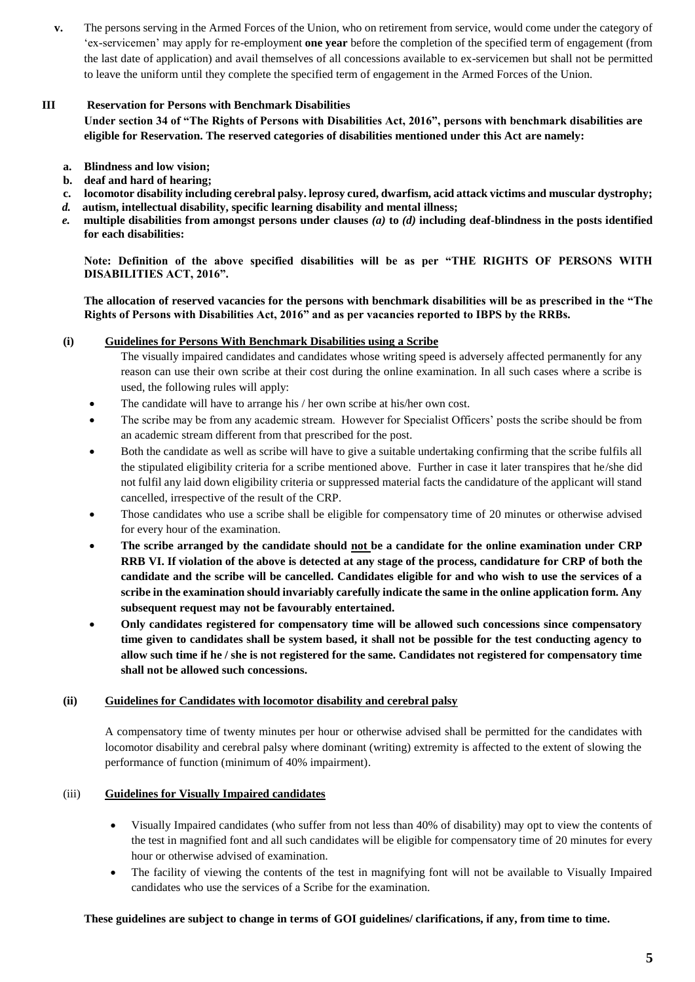**v.** The persons serving in the Armed Forces of the Union, who on retirement from service, would come under the category of 'ex-servicemen' may apply for re-employment **one year** before the completion of the specified term of engagement (from the last date of application) and avail themselves of all concessions available to ex-servicemen but shall not be permitted to leave the uniform until they complete the specified term of engagement in the Armed Forces of the Union.

### **III Reservation for Persons with Benchmark Disabilities**

**Under section 34 of "The Rights of Persons with Disabilities Act, 2016", persons with benchmark disabilities are eligible for Reservation. The reserved categories of disabilities mentioned under this Act are namely:**

- **a. Blindness and low vision;**
- **b. deaf and hard of hearing;**
- **c. locomotor disability including cerebral palsy. leprosy cured, dwarfism, acid attack victims and muscular dystrophy;**
- *d.* **autism, intellectual disability, specific learning disability and mental illness;**
- *e.* **multiple disabilities from amongst persons under clauses** *(a)* **to** *(d)* **including deaf-blindness in the posts identified for each disabilities:**

**Note: Definition of the above specified disabilities will be as per "THE RIGHTS OF PERSONS WITH DISABILITIES ACT, 2016".**

**The allocation of reserved vacancies for the persons with benchmark disabilities will be as prescribed in the "The Rights of Persons with Disabilities Act, 2016" and as per vacancies reported to IBPS by the RRBs.**

### **(i) Guidelines for Persons With Benchmark Disabilities using a Scribe**

- The visually impaired candidates and candidates whose writing speed is adversely affected permanently for any reason can use their own scribe at their cost during the online examination. In all such cases where a scribe is used, the following rules will apply:
- The candidate will have to arrange his / her own scribe at his/her own cost.
- The scribe may be from any academic stream. However for Specialist Officers' posts the scribe should be from an academic stream different from that prescribed for the post.
- Both the candidate as well as scribe will have to give a suitable undertaking confirming that the scribe fulfils all the stipulated eligibility criteria for a scribe mentioned above. Further in case it later transpires that he/she did not fulfil any laid down eligibility criteria or suppressed material facts the candidature of the applicant will stand cancelled, irrespective of the result of the CRP.
- Those candidates who use a scribe shall be eligible for compensatory time of 20 minutes or otherwise advised for every hour of the examination.
- **The scribe arranged by the candidate should not be a candidate for the online examination under CRP RRB VI. If violation of the above is detected at any stage of the process, candidature for CRP of both the candidate and the scribe will be cancelled. Candidates eligible for and who wish to use the services of a scribe in the examination should invariably carefully indicate the same in the online application form. Any subsequent request may not be favourably entertained.**
- **Only candidates registered for compensatory time will be allowed such concessions since compensatory time given to candidates shall be system based, it shall not be possible for the test conducting agency to allow such time if he / she is not registered for the same. Candidates not registered for compensatory time shall not be allowed such concessions.**

### **(ii) Guidelines for Candidates with locomotor disability and cerebral palsy**

A compensatory time of twenty minutes per hour or otherwise advised shall be permitted for the candidates with locomotor disability and cerebral palsy where dominant (writing) extremity is affected to the extent of slowing the performance of function (minimum of 40% impairment).

### (iii) **Guidelines for Visually Impaired candidates**

- Visually Impaired candidates (who suffer from not less than 40% of disability) may opt to view the contents of the test in magnified font and all such candidates will be eligible for compensatory time of 20 minutes for every hour or otherwise advised of examination.
- The facility of viewing the contents of the test in magnifying font will not be available to Visually Impaired candidates who use the services of a Scribe for the examination.

### **These guidelines are subject to change in terms of GOI guidelines/ clarifications, if any, from time to time.**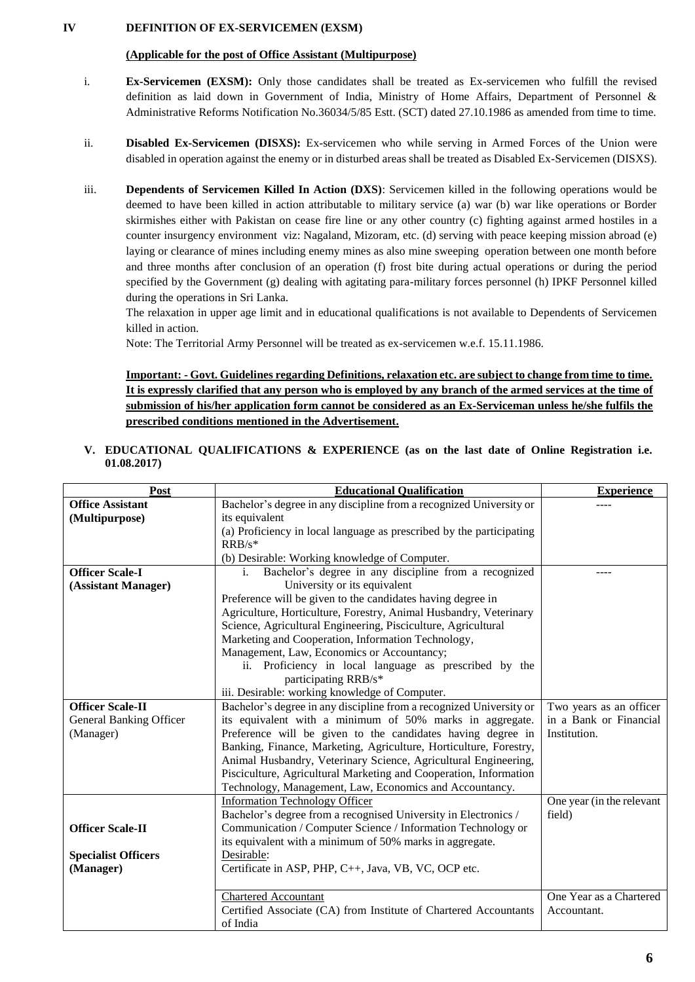### **IV DEFINITION OF EX-SERVICEMEN (EXSM)**

### **(Applicable for the post of Office Assistant (Multipurpose)**

- i. **Ex-Servicemen (EXSM):** Only those candidates shall be treated as Ex-servicemen who fulfill the revised definition as laid down in Government of India, Ministry of Home Affairs, Department of Personnel & Administrative Reforms Notification No.36034/5/85 Estt. (SCT) dated 27.10.1986 as amended from time to time.
- ii. **Disabled Ex-Servicemen (DISXS):** Ex-servicemen who while serving in Armed Forces of the Union were disabled in operation against the enemy or in disturbed areas shall be treated as Disabled Ex-Servicemen (DISXS).
- iii. **Dependents of Servicemen Killed In Action (DXS)**: Servicemen killed in the following operations would be deemed to have been killed in action attributable to military service (a) war (b) war like operations or Border skirmishes either with Pakistan on cease fire line or any other country (c) fighting against armed hostiles in a counter insurgency environment viz: Nagaland, Mizoram, etc. (d) serving with peace keeping mission abroad (e) laying or clearance of mines including enemy mines as also mine sweeping operation between one month before and three months after conclusion of an operation (f) frost bite during actual operations or during the period specified by the Government (g) dealing with agitating para-military forces personnel (h) IPKF Personnel killed during the operations in Sri Lanka.

The relaxation in upper age limit and in educational qualifications is not available to Dependents of Servicemen killed in action.

Note: The Territorial Army Personnel will be treated as ex-servicemen w.e.f. 15.11.1986.

**Important: - Govt. Guidelines regarding Definitions, relaxation etc. are subject to change from time to time. It is expressly clarified that any person who is employed by any branch of the armed services at the time of submission of his/her application form cannot be considered as an Ex-Serviceman unless he/she fulfils the prescribed conditions mentioned in the Advertisement.**

|            | V. EDUCATIONAL QUALIFICATIONS & EXPERIENCE (as on the last date of Online Registration i.e. |  |  |  |  |  |  |
|------------|---------------------------------------------------------------------------------------------|--|--|--|--|--|--|
| 01.08.2017 |                                                                                             |  |  |  |  |  |  |

| Post                           | <b>Educational Qualification</b>                                     | <b>Experience</b>         |
|--------------------------------|----------------------------------------------------------------------|---------------------------|
| <b>Office Assistant</b>        | Bachelor's degree in any discipline from a recognized University or  |                           |
| (Multipurpose)                 | its equivalent                                                       |                           |
|                                | (a) Proficiency in local language as prescribed by the participating |                           |
|                                | $RRB/s*$                                                             |                           |
|                                | (b) Desirable: Working knowledge of Computer.                        |                           |
| <b>Officer Scale-I</b>         | Bachelor's degree in any discipline from a recognized<br>i.          |                           |
| (Assistant Manager)            | University or its equivalent                                         |                           |
|                                | Preference will be given to the candidates having degree in          |                           |
|                                | Agriculture, Horticulture, Forestry, Animal Husbandry, Veterinary    |                           |
|                                | Science, Agricultural Engineering, Pisciculture, Agricultural        |                           |
|                                | Marketing and Cooperation, Information Technology,                   |                           |
|                                | Management, Law, Economics or Accountancy;                           |                           |
|                                | ii. Proficiency in local language as prescribed by the               |                           |
|                                | participating RRB/s*                                                 |                           |
|                                | iii. Desirable: working knowledge of Computer.                       |                           |
| <b>Officer Scale-II</b>        | Bachelor's degree in any discipline from a recognized University or  | Two years as an officer   |
| <b>General Banking Officer</b> | its equivalent with a minimum of 50% marks in aggregate.             | in a Bank or Financial    |
| (Manager)                      | Preference will be given to the candidates having degree in          | Institution.              |
|                                | Banking, Finance, Marketing, Agriculture, Horticulture, Forestry,    |                           |
|                                | Animal Husbandry, Veterinary Science, Agricultural Engineering,      |                           |
|                                | Pisciculture, Agricultural Marketing and Cooperation, Information    |                           |
|                                | Technology, Management, Law, Economics and Accountancy.              |                           |
|                                | <b>Information Technology Officer</b>                                | One year (in the relevant |
|                                | Bachelor's degree from a recognised University in Electronics /      | field)                    |
| <b>Officer Scale-II</b>        | Communication / Computer Science / Information Technology or         |                           |
|                                | its equivalent with a minimum of 50% marks in aggregate.             |                           |
| <b>Specialist Officers</b>     | Desirable:                                                           |                           |
| (Manager)                      | Certificate in ASP, PHP, C++, Java, VB, VC, OCP etc.                 |                           |
|                                |                                                                      |                           |
|                                | <b>Chartered Accountant</b>                                          | One Year as a Chartered   |
|                                | Certified Associate (CA) from Institute of Chartered Accountants     | Accountant.               |
|                                | of India                                                             |                           |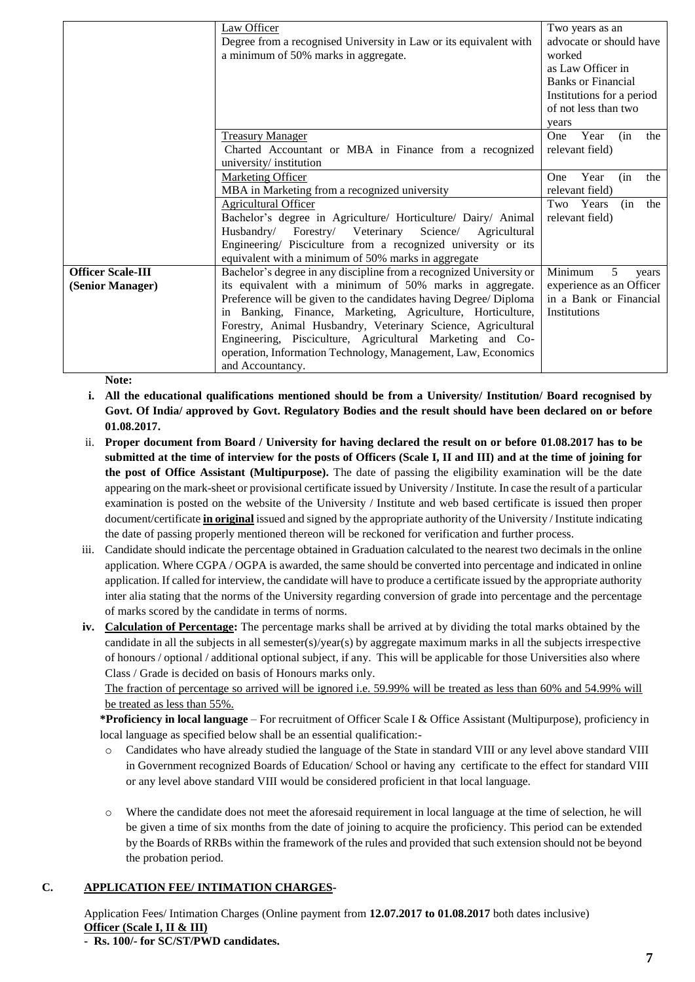|                          | Law Officer                                                         | Two years as an                  |
|--------------------------|---------------------------------------------------------------------|----------------------------------|
|                          | Degree from a recognised University in Law or its equivalent with   | advocate or should have          |
|                          | a minimum of 50% marks in aggregate.                                | worked                           |
|                          |                                                                     | as Law Officer in                |
|                          |                                                                     | <b>Banks or Financial</b>        |
|                          |                                                                     | Institutions for a period        |
|                          |                                                                     | of not less than two             |
|                          |                                                                     |                                  |
|                          |                                                                     | years                            |
|                          | <b>Treasury Manager</b>                                             | Year<br>(in<br>the<br><b>One</b> |
|                          | Charted Accountant or MBA in Finance from a recognized              | relevant field)                  |
|                          | university/institution                                              |                                  |
|                          | <b>Marketing Officer</b>                                            | Year<br>One.<br>(in<br>the       |
|                          | MBA in Marketing from a recognized university                       | relevant field)                  |
|                          | <b>Agricultural Officer</b>                                         | the<br>Two Years<br>(in          |
|                          | Bachelor's degree in Agriculture/ Horticulture/ Dairy/ Animal       | relevant field)                  |
|                          | Husbandry/ Forestry/ Veterinary<br>Science/ Agricultural            |                                  |
|                          | Engineering/ Pisciculture from a recognized university or its       |                                  |
|                          | equivalent with a minimum of 50% marks in aggregate                 |                                  |
| <b>Officer Scale-III</b> | Bachelor's degree in any discipline from a recognized University or | Minimum<br>5<br>years            |
| (Senior Manager)         | its equivalent with a minimum of 50% marks in aggregate.            | experience as an Officer         |
|                          | Preference will be given to the candidates having Degree/ Diploma   | in a Bank or Financial           |
|                          | in Banking, Finance, Marketing, Agriculture, Horticulture,          | Institutions                     |
|                          | Forestry, Animal Husbandry, Veterinary Science, Agricultural        |                                  |
|                          | Engineering, Pisciculture, Agricultural Marketing and Co-           |                                  |
|                          | operation, Information Technology, Management, Law, Economics       |                                  |
|                          | and Accountancy.                                                    |                                  |

**Note:**

- **i. All the educational qualifications mentioned should be from a University/ Institution/ Board recognised by Govt. Of India/ approved by Govt. Regulatory Bodies and the result should have been declared on or before 01.08.2017.**
- ii. **Proper document from Board / University for having declared the result on or before 01.08.2017 has to be submitted at the time of interview for the posts of Officers (Scale I, II and III) and at the time of joining for the post of Office Assistant (Multipurpose).** The date of passing the eligibility examination will be the date appearing on the mark-sheet or provisional certificate issued by University / Institute. In case the result of a particular examination is posted on the website of the University / Institute and web based certificate is issued then proper document/certificate **in original** issued and signed by the appropriate authority of the University / Institute indicating the date of passing properly mentioned thereon will be reckoned for verification and further process.
- iii. Candidate should indicate the percentage obtained in Graduation calculated to the nearest two decimals in the online application. Where CGPA / OGPA is awarded, the same should be converted into percentage and indicated in online application. If called for interview, the candidate will have to produce a certificate issued by the appropriate authority inter alia stating that the norms of the University regarding conversion of grade into percentage and the percentage of marks scored by the candidate in terms of norms.
- **iv. Calculation of Percentage:** The percentage marks shall be arrived at by dividing the total marks obtained by the candidate in all the subjects in all semester(s)/year(s) by aggregate maximum marks in all the subjects irrespective of honours / optional / additional optional subject, if any. This will be applicable for those Universities also where Class / Grade is decided on basis of Honours marks only.

The fraction of percentage so arrived will be ignored i.e. 59.99% will be treated as less than 60% and 54.99% will be treated as less than 55%.

**\*Proficiency in local language** – For recruitment of Officer Scale I & Office Assistant (Multipurpose), proficiency in local language as specified below shall be an essential qualification:-

- o Candidates who have already studied the language of the State in standard VIII or any level above standard VIII in Government recognized Boards of Education/ School or having any certificate to the effect for standard VIII or any level above standard VIII would be considered proficient in that local language.
- o Where the candidate does not meet the aforesaid requirement in local language at the time of selection, he will be given a time of six months from the date of joining to acquire the proficiency. This period can be extended by the Boards of RRBs within the framework of the rules and provided that such extension should not be beyond the probation period.

# **C. APPLICATION FEE/ INTIMATION CHARGES-**

Application Fees/ Intimation Charges (Online payment from **12.07.2017 to 01.08.2017** both dates inclusive) **Officer (Scale I, II & III)**

**- Rs. 100/- for SC/ST/PWD candidates.**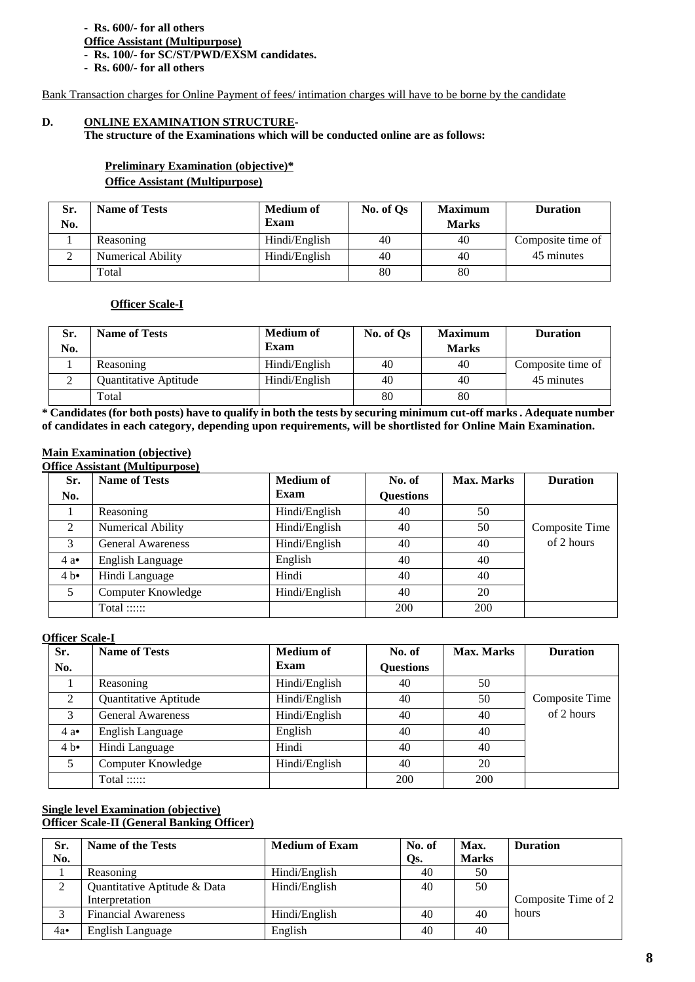### **- Rs. 600/- for all others**

# **Office Assistant (Multipurpose)**

**- Rs. 100/- for SC/ST/PWD/EXSM candidates.**

**- Rs. 600/- for all others**

Bank Transaction charges for Online Payment of fees/ intimation charges will have to be borne by the candidate

### **D. ONLINE EXAMINATION STRUCTURE-**

**The structure of the Examinations which will be conducted online are as follows:**

## **Preliminary Examination (objective)\* Office Assistant (Multipurpose)**

| Sr. | <b>Name of Tests</b>     | <b>Medium of</b> | No. of Os | <b>Maximum</b> | <b>Duration</b>   |
|-----|--------------------------|------------------|-----------|----------------|-------------------|
| No. |                          | Exam             |           | <b>Marks</b>   |                   |
|     | Reasoning                | Hindi/English    | 40        | 40             | Composite time of |
|     | <b>Numerical Ability</b> | Hindi/English    | 40        | 40             | 45 minutes        |
|     | Total                    |                  | 80        | 80             |                   |

### **Officer Scale-I**

| Sr.<br>No. | <b>Name of Tests</b>  | <b>Medium of</b><br>Exam | No. of Qs | <b>Maximum</b><br><b>Marks</b> | <b>Duration</b>   |
|------------|-----------------------|--------------------------|-----------|--------------------------------|-------------------|
|            | Reasoning             | Hindi/English            | 40        | 40                             | Composite time of |
|            | Quantitative Aptitude | Hindi/English            | 40        | 40                             | 45 minutes        |
|            | Total                 |                          | 80        | 80                             |                   |

**\* Candidates (for both posts) have to qualify in both the tests by securing minimum cut-off marks . Adequate number of candidates in each category, depending upon requirements, will be shortlisted for Online Main Examination.**

### **Main Examination (objective)**

**Office Assistant (Multipurpose)**

| Sr. | <b>Name of Tests</b>     | <b>Medium</b> of | No. of           | <b>Max. Marks</b> | <b>Duration</b> |
|-----|--------------------------|------------------|------------------|-------------------|-----------------|
| No. |                          | Exam             | <b>Questions</b> |                   |                 |
|     | Reasoning                | Hindi/English    | 40               | 50                |                 |
| 2   | Numerical Ability        | Hindi/English    | 40               | 50                | Composite Time  |
| 3   | <b>General Awareness</b> | Hindi/English    | 40               | 40                | of 2 hours      |
| 4a  | English Language         | English          | 40               | 40                |                 |
| 4 h | Hindi Language           | Hindi            | 40               | 40                |                 |
| 5   | Computer Knowledge       | Hindi/English    | 40               | 20                |                 |
|     | Total $::::::$           |                  | 200              | 200               |                 |

#### **Officer Scale-I**

| Sr.           | <b>Name of Tests</b>     | <b>Medium of</b> | No. of           | Max. Marks | <b>Duration</b>       |
|---------------|--------------------------|------------------|------------------|------------|-----------------------|
| No.           |                          | Exam             | <b>Questions</b> |            |                       |
|               | Reasoning                | Hindi/English    | 40               | 50         |                       |
| 2             | Quantitative Aptitude    | Hindi/English    | 40               | 50         | <b>Composite Time</b> |
| 3             | <b>General Awareness</b> | Hindi/English    | 40               | 40         | of 2 hours            |
| 4a            | English Language         | English          | 40               | 40         |                       |
| $4 b \bullet$ | Hindi Language           | Hindi            | 40               | 40         |                       |
| 5             | Computer Knowledge       | Hindi/English    | 40               | 20         |                       |
|               | Total :::::              |                  | 200              | 200        |                       |

### **Single level Examination (objective) Officer Scale-II (General Banking Officer)**

| Sr. | <b>Name of the Tests</b>     | <b>Medium of Exam</b> | No. of | Max.         | <b>Duration</b>     |
|-----|------------------------------|-----------------------|--------|--------------|---------------------|
| No. |                              |                       | Qs.    | <b>Marks</b> |                     |
|     | Reasoning                    | Hindi/English         | 40     | 50           |                     |
|     | Quantitative Aptitude & Data | Hindi/English         | 40     | 50           |                     |
|     | Interpretation               |                       |        |              | Composite Time of 2 |
|     | <b>Financial Awareness</b>   | Hindi/English         | 40     | 40           | hours               |
| 4a  | English Language             | English               | 40     | 40           |                     |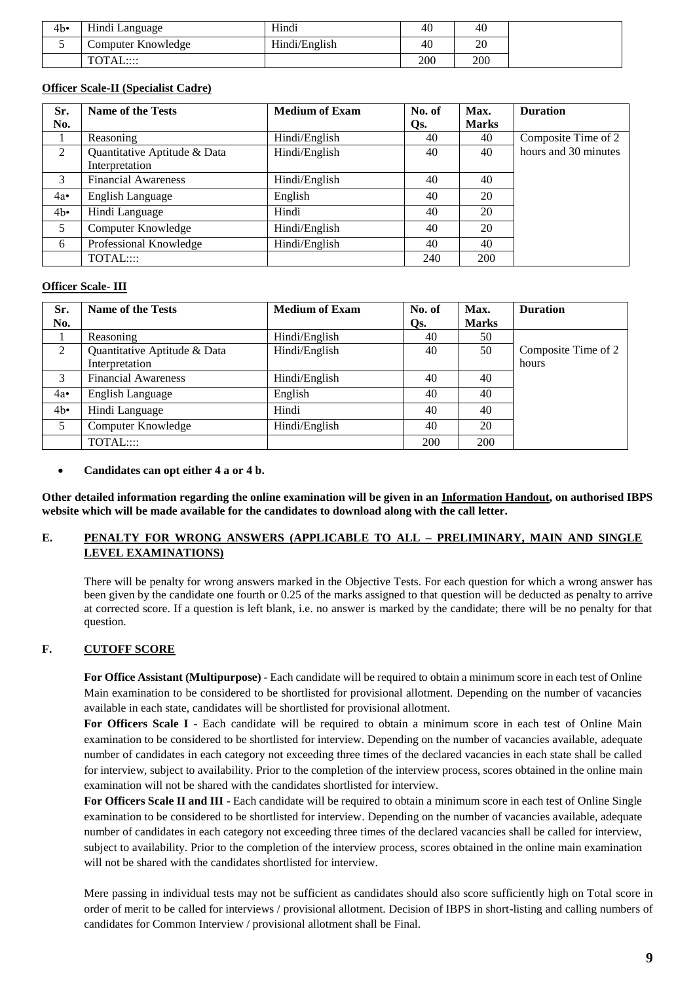| 4b | Hindi Language     | Hindi         | 40  | 40  |
|----|--------------------|---------------|-----|-----|
|    | Computer Knowledge | Hindi/English | 40  | 20  |
|    | TOTAL::::          |               | 200 | 200 |

## **Officer Scale-II (Specialist Cadre)**

| Sr.         | <b>Name of the Tests</b>     | <b>Medium of Exam</b> | No. of | Max.         | <b>Duration</b>      |
|-------------|------------------------------|-----------------------|--------|--------------|----------------------|
| No.         |                              |                       | Qs.    | <b>Marks</b> |                      |
|             | Reasoning                    | Hindi/English         | 40     | 40           | Composite Time of 2  |
| 2           | Quantitative Aptitude & Data | Hindi/English         | 40     | 40           | hours and 30 minutes |
|             | Interpretation               |                       |        |              |                      |
| 3           | Financial Awareness          | Hindi/English         | 40     | 40           |                      |
| 4a•         | English Language             | English               | 40     | 20           |                      |
| $4b\bullet$ | Hindi Language               | Hindi                 | 40     | 20           |                      |
| 5           | Computer Knowledge           | Hindi/English         | 40     | 20           |                      |
| 6           | Professional Knowledge       | Hindi/English         | 40     | 40           |                      |
|             | TOTAL:::                     |                       | 240    | 200          |                      |

### **Officer Scale- III**

| Sr.         | Name of the Tests            | <b>Medium of Exam</b> | No. of | Max.         | <b>Duration</b>     |
|-------------|------------------------------|-----------------------|--------|--------------|---------------------|
| No.         |                              |                       | Qs.    | <b>Marks</b> |                     |
|             | Reasoning                    | Hindi/English         | 40     | 50           |                     |
| 2           | Quantitative Aptitude & Data | Hindi/English         | 40     | 50           | Composite Time of 2 |
|             | Interpretation               |                       |        |              | hours               |
| 3           | <b>Financial Awareness</b>   | Hindi/English         | 40     | 40           |                     |
| 4a          | English Language             | English               | 40     | 40           |                     |
| $4b\bullet$ | Hindi Language               | Hindi                 | 40     | 40           |                     |
| 5           | Computer Knowledge           | Hindi/English         | 40     | 20           |                     |
|             | TOTAL:::                     |                       | 200    | 200          |                     |

### **Candidates can opt either 4 a or 4 b.**

**Other detailed information regarding the online examination will be given in an Information Handout, on authorised IBPS website which will be made available for the candidates to download along with the call letter.**

## **E. PENALTY FOR WRONG ANSWERS (APPLICABLE TO ALL – PRELIMINARY, MAIN AND SINGLE LEVEL EXAMINATIONS)**

There will be penalty for wrong answers marked in the Objective Tests. For each question for which a wrong answer has been given by the candidate one fourth or 0.25 of the marks assigned to that question will be deducted as penalty to arrive at corrected score. If a question is left blank, i.e. no answer is marked by the candidate; there will be no penalty for that question.

### **F. CUTOFF SCORE**

**For Office Assistant (Multipurpose)** - Each candidate will be required to obtain a minimum score in each test of Online Main examination to be considered to be shortlisted for provisional allotment. Depending on the number of vacancies available in each state, candidates will be shortlisted for provisional allotment.

**For Officers Scale I** - Each candidate will be required to obtain a minimum score in each test of Online Main examination to be considered to be shortlisted for interview. Depending on the number of vacancies available, adequate number of candidates in each category not exceeding three times of the declared vacancies in each state shall be called for interview, subject to availability. Prior to the completion of the interview process, scores obtained in the online main examination will not be shared with the candidates shortlisted for interview.

**For Officers Scale II and III** - Each candidate will be required to obtain a minimum score in each test of Online Single examination to be considered to be shortlisted for interview. Depending on the number of vacancies available, adequate number of candidates in each category not exceeding three times of the declared vacancies shall be called for interview, subject to availability. Prior to the completion of the interview process, scores obtained in the online main examination will not be shared with the candidates shortlisted for interview.

Mere passing in individual tests may not be sufficient as candidates should also score sufficiently high on Total score in order of merit to be called for interviews / provisional allotment. Decision of IBPS in short-listing and calling numbers of candidates for Common Interview / provisional allotment shall be Final.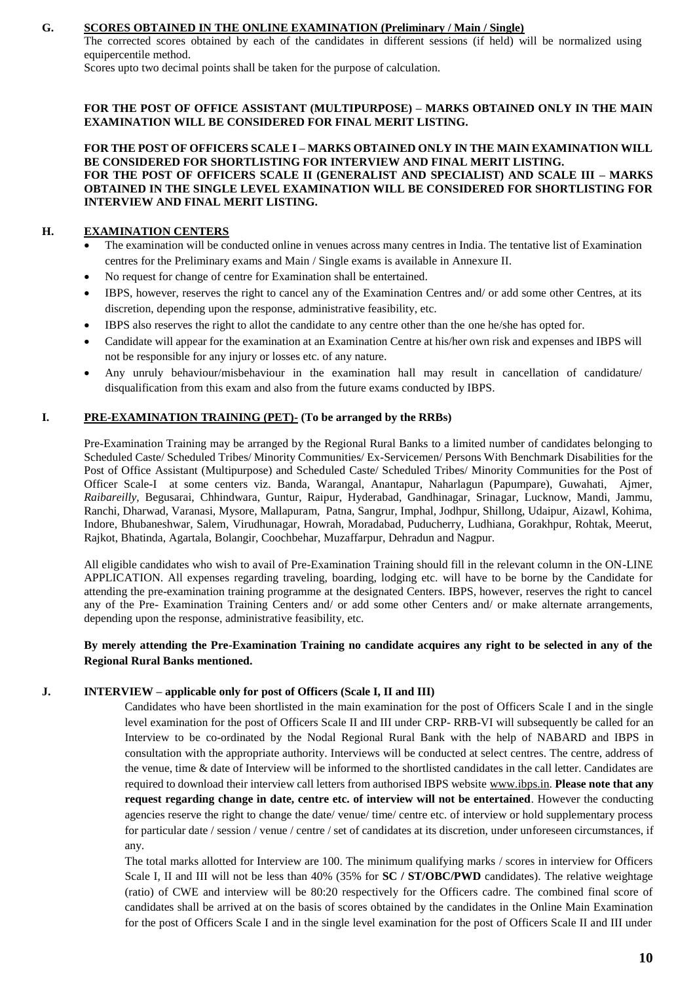### **G. SCORES OBTAINED IN THE ONLINE EXAMINATION (Preliminary / Main / Single)**

The corrected scores obtained by each of the candidates in different sessions (if held) will be normalized using equipercentile method.

Scores upto two decimal points shall be taken for the purpose of calculation.

**FOR THE POST OF OFFICE ASSISTANT (MULTIPURPOSE) – MARKS OBTAINED ONLY IN THE MAIN EXAMINATION WILL BE CONSIDERED FOR FINAL MERIT LISTING.**

**FOR THE POST OF OFFICERS SCALE I – MARKS OBTAINED ONLY IN THE MAIN EXAMINATION WILL BE CONSIDERED FOR SHORTLISTING FOR INTERVIEW AND FINAL MERIT LISTING. FOR THE POST OF OFFICERS SCALE II (GENERALIST AND SPECIALIST) AND SCALE III – MARKS OBTAINED IN THE SINGLE LEVEL EXAMINATION WILL BE CONSIDERED FOR SHORTLISTING FOR INTERVIEW AND FINAL MERIT LISTING.**

### **H. EXAMINATION CENTERS**

- The examination will be conducted online in venues across many centres in India. The tentative list of Examination centres for the Preliminary exams and Main / Single exams is available in Annexure II.
- No request for change of centre for Examination shall be entertained.
- IBPS, however, reserves the right to cancel any of the Examination Centres and/ or add some other Centres, at its discretion, depending upon the response, administrative feasibility, etc.
- IBPS also reserves the right to allot the candidate to any centre other than the one he/she has opted for.
- Candidate will appear for the examination at an Examination Centre at his/her own risk and expenses and IBPS will not be responsible for any injury or losses etc. of any nature.
- Any unruly behaviour/misbehaviour in the examination hall may result in cancellation of candidature/ disqualification from this exam and also from the future exams conducted by IBPS.

### **I. PRE-EXAMINATION TRAINING (PET)- (To be arranged by the RRBs)**

Pre-Examination Training may be arranged by the Regional Rural Banks to a limited number of candidates belonging to Scheduled Caste/ Scheduled Tribes/ Minority Communities/ Ex-Servicemen/ Persons With Benchmark Disabilities for the Post of Office Assistant (Multipurpose) and Scheduled Caste/ Scheduled Tribes/ Minority Communities for the Post of Officer Scale-I at some centers viz. Banda, Warangal, Anantapur, Naharlagun (Papumpare), Guwahati, Ajmer, *Raibareilly,* Begusarai, Chhindwara, Guntur, Raipur, Hyderabad, Gandhinagar, Srinagar, Lucknow, Mandi, Jammu, Ranchi, Dharwad, Varanasi, Mysore, Mallapuram, Patna, Sangrur, Imphal, Jodhpur, Shillong, Udaipur, Aizawl, Kohima, Indore, Bhubaneshwar, Salem, Virudhunagar, Howrah, Moradabad, Puducherry, Ludhiana, Gorakhpur, Rohtak, Meerut, Rajkot, Bhatinda, Agartala, Bolangir, Coochbehar, Muzaffarpur, Dehradun and Nagpur.

All eligible candidates who wish to avail of Pre-Examination Training should fill in the relevant column in the ON-LINE APPLICATION. All expenses regarding traveling, boarding, lodging etc. will have to be borne by the Candidate for attending the pre-examination training programme at the designated Centers. IBPS, however, reserves the right to cancel any of the Pre- Examination Training Centers and/ or add some other Centers and/ or make alternate arrangements, depending upon the response, administrative feasibility, etc.

### **By merely attending the Pre-Examination Training no candidate acquires any right to be selected in any of the Regional Rural Banks mentioned.**

### **J. INTERVIEW – applicable only for post of Officers (Scale I, II and III)**

Candidates who have been shortlisted in the main examination for the post of Officers Scale I and in the single level examination for the post of Officers Scale II and III under CRP- RRB-VI will subsequently be called for an Interview to be co-ordinated by the Nodal Regional Rural Bank with the help of NABARD and IBPS in consultation with the appropriate authority. Interviews will be conducted at select centres. The centre, address of the venue, time & date of Interview will be informed to the shortlisted candidates in the call letter. Candidates are required to download their interview call letters from authorised IBPS website [www.ibps.in.](http://www.ibps.in/) **Please note that any request regarding change in date, centre etc. of interview will not be entertained**. However the conducting agencies reserve the right to change the date/ venue/ time/ centre etc. of interview or hold supplementary process for particular date / session / venue / centre / set of candidates at its discretion, under unforeseen circumstances, if any.

The total marks allotted for Interview are 100. The minimum qualifying marks / scores in interview for Officers Scale I, II and III will not be less than 40% (35% for **SC / ST/OBC/PWD** candidates). The relative weightage (ratio) of CWE and interview will be 80:20 respectively for the Officers cadre. The combined final score of candidates shall be arrived at on the basis of scores obtained by the candidates in the Online Main Examination for the post of Officers Scale I and in the single level examination for the post of Officers Scale II and III under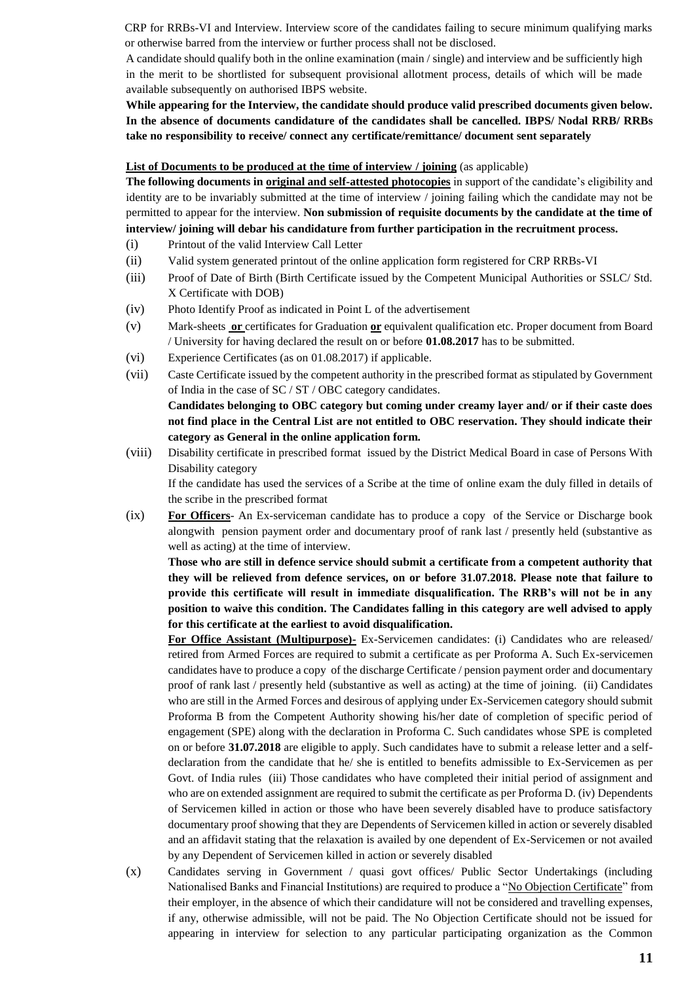CRP for RRBs-VI and Interview. Interview score of the candidates failing to secure minimum qualifying marks or otherwise barred from the interview or further process shall not be disclosed.

A candidate should qualify both in the online examination (main / single) and interview and be sufficiently high in the merit to be shortlisted for subsequent provisional allotment process, details of which will be made available subsequently on authorised IBPS website.

**While appearing for the Interview, the candidate should produce valid prescribed documents given below. In the absence of documents candidature of the candidates shall be cancelled. IBPS/ Nodal RRB/ RRBs take no responsibility to receive/ connect any certificate/remittance/ document sent separately**

#### **List of Documents to be produced at the time of interview / joining** (as applicable)

**The following documents in original and self-attested photocopies** in support of the candidate's eligibility and identity are to be invariably submitted at the time of interview / joining failing which the candidate may not be permitted to appear for the interview. **Non submission of requisite documents by the candidate at the time of interview/ joining will debar his candidature from further participation in the recruitment process.**

- (i) Printout of the valid Interview Call Letter
- (ii) Valid system generated printout of the online application form registered for CRP RRBs-VI
- (iii) Proof of Date of Birth (Birth Certificate issued by the Competent Municipal Authorities or SSLC/ Std. X Certificate with DOB)
- (iv) Photo Identify Proof as indicated in Point L of the advertisement
- (v) Mark-sheets **or** certificates for Graduation **or** equivalent qualification etc. Proper document from Board / University for having declared the result on or before **01.08.2017** has to be submitted.
- (vi) Experience Certificates (as on 01.08.2017) if applicable.
- (vii) Caste Certificate issued by the competent authority in the prescribed format as stipulated by Government of India in the case of SC / ST / OBC category candidates.

**Candidates belonging to OBC category but coming under creamy layer and/ or if their caste does not find place in the Central List are not entitled to OBC reservation. They should indicate their category as General in the online application form.**

(viii) Disability certificate in prescribed format issued by the District Medical Board in case of Persons With Disability category

If the candidate has used the services of a Scribe at the time of online exam the duly filled in details of the scribe in the prescribed format

(ix) **For Officers**- An Ex-serviceman candidate has to produce a copy of the Service or Discharge book alongwith pension payment order and documentary proof of rank last / presently held (substantive as well as acting) at the time of interview.

**Those who are still in defence service should submit a certificate from a competent authority that they will be relieved from defence services, on or before 31.07.2018. Please note that failure to provide this certificate will result in immediate disqualification. The RRB's will not be in any position to waive this condition. The Candidates falling in this category are well advised to apply for this certificate at the earliest to avoid disqualification.**

**For Office Assistant (Multipurpose)-** Ex-Servicemen candidates: (i) Candidates who are released/ retired from Armed Forces are required to submit a certificate as per Proforma A. Such Ex-servicemen candidates have to produce a copy of the discharge Certificate / pension payment order and documentary proof of rank last / presently held (substantive as well as acting) at the time of joining. (ii) Candidates who are still in the Armed Forces and desirous of applying under Ex-Servicemen category should submit Proforma B from the Competent Authority showing his/her date of completion of specific period of engagement (SPE) along with the declaration in Proforma C. Such candidates whose SPE is completed on or before **31.07.2018** are eligible to apply. Such candidates have to submit a release letter and a selfdeclaration from the candidate that he/ she is entitled to benefits admissible to Ex-Servicemen as per Govt. of India rules (iii) Those candidates who have completed their initial period of assignment and who are on extended assignment are required to submit the certificate as per Proforma D. (iv) Dependents of Servicemen killed in action or those who have been severely disabled have to produce satisfactory documentary proof showing that they are Dependents of Servicemen killed in action or severely disabled and an affidavit stating that the relaxation is availed by one dependent of Ex-Servicemen or not availed by any Dependent of Servicemen killed in action or severely disabled

(x) Candidates serving in Government / quasi govt offices/ Public Sector Undertakings (including Nationalised Banks and Financial Institutions) are required to produce a "No Objection Certificate" from their employer, in the absence of which their candidature will not be considered and travelling expenses, if any, otherwise admissible, will not be paid. The No Objection Certificate should not be issued for appearing in interview for selection to any particular participating organization as the Common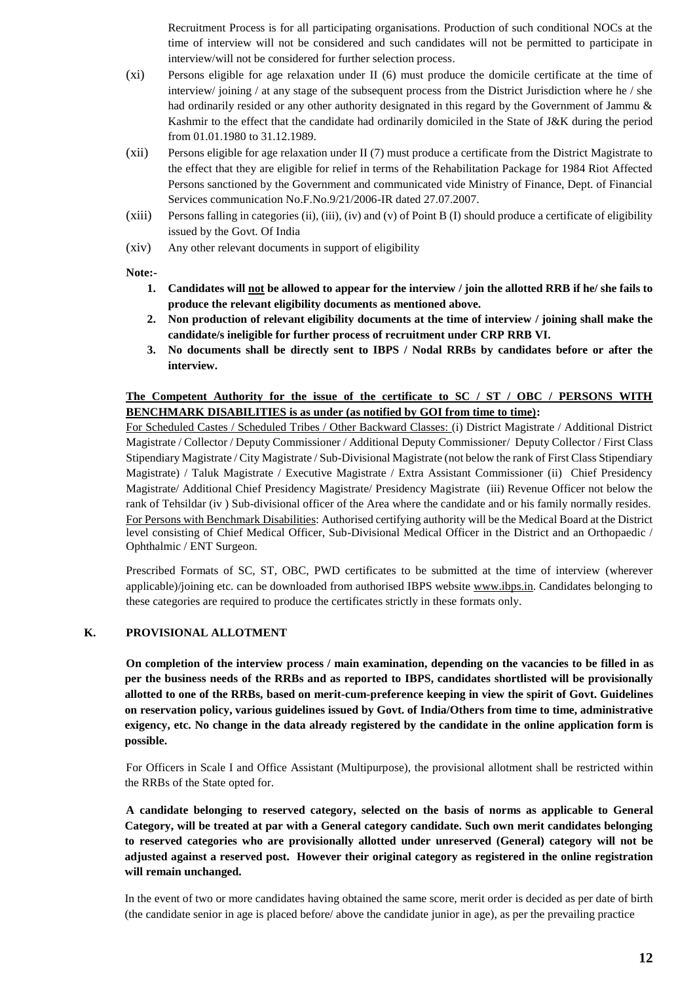Recruitment Process is for all participating organisations. Production of such conditional NOCs at the time of interview will not be considered and such candidates will not be permitted to participate in interview/will not be considered for further selection process.

- (xi) Persons eligible for age relaxation under II (6) must produce the domicile certificate at the time of interview/ joining / at any stage of the subsequent process from the District Jurisdiction where he / she had ordinarily resided or any other authority designated in this regard by the Government of Jammu & Kashmir to the effect that the candidate had ordinarily domiciled in the State of J&K during the period from 01.01.1980 to 31.12.1989.
- (xii) Persons eligible for age relaxation under II (7) must produce a certificate from the District Magistrate to the effect that they are eligible for relief in terms of the Rehabilitation Package for 1984 Riot Affected Persons sanctioned by the Government and communicated vide Ministry of Finance, Dept. of Financial Services communication No.F.No.9/21/2006-IR dated 27.07.2007.
- (xiii) Persons falling in categories (ii), (iii), (iv) and (v) of Point B (I) should produce a certificate of eligibility issued by the Govt. Of India
- (xiv) Any other relevant documents in support of eligibility

#### **Note:-**

- **1. Candidates will not be allowed to appear for the interview / join the allotted RRB if he/ she fails to produce the relevant eligibility documents as mentioned above.**
- **2. Non production of relevant eligibility documents at the time of interview / joining shall make the candidate/s ineligible for further process of recruitment under CRP RRB VI.**
- **3. No documents shall be directly sent to IBPS / Nodal RRBs by candidates before or after the interview.**

### **The Competent Authority for the issue of the certificate to SC / ST / OBC / PERSONS WITH BENCHMARK DISABILITIES is as under (as notified by GOI from time to time):**

For Scheduled Castes / Scheduled Tribes / Other Backward Classes: (i) District Magistrate / Additional District Magistrate / Collector / Deputy Commissioner / Additional Deputy Commissioner/ Deputy Collector / First Class Stipendiary Magistrate / City Magistrate / Sub-Divisional Magistrate (not below the rank of First Class Stipendiary Magistrate) / Taluk Magistrate / Executive Magistrate / Extra Assistant Commissioner (ii) Chief Presidency Magistrate/ Additional Chief Presidency Magistrate/ Presidency Magistrate (iii) Revenue Officer not below the rank of Tehsildar (iv ) Sub-divisional officer of the Area where the candidate and or his family normally resides. For Persons with Benchmark Disabilities: Authorised certifying authority will be the Medical Board at the District level consisting of Chief Medical Officer, Sub-Divisional Medical Officer in the District and an Orthopaedic / Ophthalmic / ENT Surgeon.

Prescribed Formats of SC, ST, OBC, PWD certificates to be submitted at the time of interview (wherever applicable)/joining etc. can be downloaded from authorised IBPS website [www.ibps.in.](http://www.ibps.in/) Candidates belonging to these categories are required to produce the certificates strictly in these formats only.

### **K. PROVISIONAL ALLOTMENT**

**On completion of the interview process / main examination, depending on the vacancies to be filled in as per the business needs of the RRBs and as reported to IBPS, candidates shortlisted will be provisionally allotted to one of the RRBs, based on merit-cum-preference keeping in view the spirit of Govt. Guidelines on reservation policy, various guidelines issued by Govt. of India/Others from time to time, administrative exigency, etc. No change in the data already registered by the candidate in the online application form is possible.** 

For Officers in Scale I and Office Assistant (Multipurpose), the provisional allotment shall be restricted within the RRBs of the State opted for.

**A candidate belonging to reserved category, selected on the basis of norms as applicable to General Category, will be treated at par with a General category candidate. Such own merit candidates belonging to reserved categories who are provisionally allotted under unreserved (General) category will not be adjusted against a reserved post. However their original category as registered in the online registration will remain unchanged.**

In the event of two or more candidates having obtained the same score, merit order is decided as per date of birth (the candidate senior in age is placed before/ above the candidate junior in age), as per the prevailing practice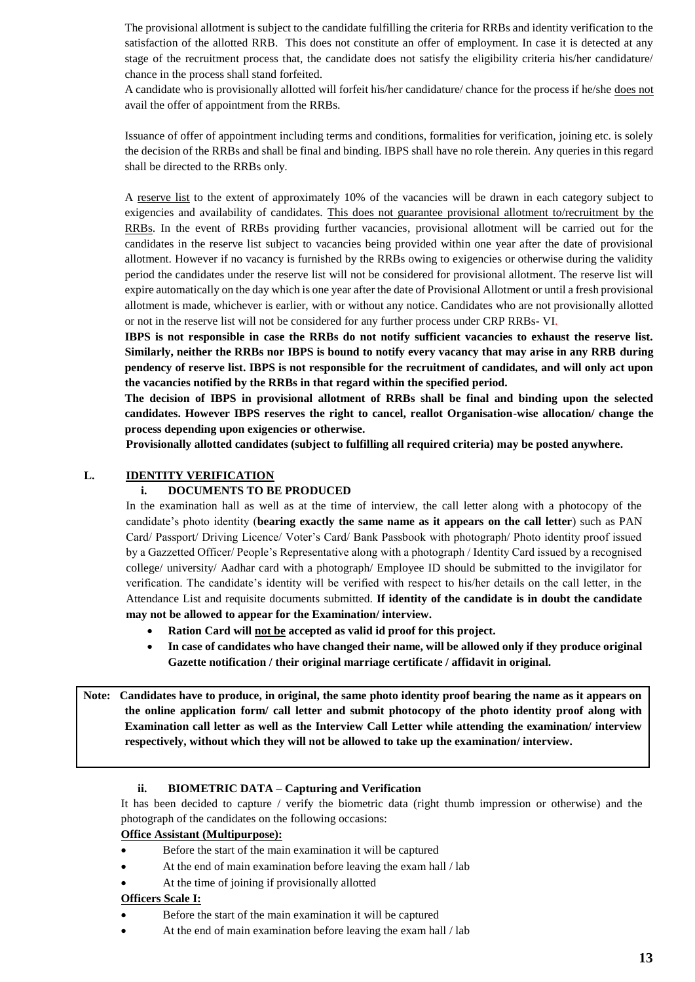The provisional allotment is subject to the candidate fulfilling the criteria for RRBs and identity verification to the satisfaction of the allotted RRB. This does not constitute an offer of employment. In case it is detected at any stage of the recruitment process that, the candidate does not satisfy the eligibility criteria his/her candidature/ chance in the process shall stand forfeited.

A candidate who is provisionally allotted will forfeit his/her candidature/ chance for the process if he/she does not avail the offer of appointment from the RRBs.

Issuance of offer of appointment including terms and conditions, formalities for verification, joining etc. is solely the decision of the RRBs and shall be final and binding. IBPS shall have no role therein. Any queries in this regard shall be directed to the RRBs only.

A reserve list to the extent of approximately 10% of the vacancies will be drawn in each category subject to exigencies and availability of candidates. This does not guarantee provisional allotment to/recruitment by the RRBs. In the event of RRBs providing further vacancies, provisional allotment will be carried out for the candidates in the reserve list subject to vacancies being provided within one year after the date of provisional allotment. However if no vacancy is furnished by the RRBs owing to exigencies or otherwise during the validity period the candidates under the reserve list will not be considered for provisional allotment. The reserve list will expire automatically on the day which is one year after the date of Provisional Allotment or until a fresh provisional allotment is made, whichever is earlier, with or without any notice. Candidates who are not provisionally allotted or not in the reserve list will not be considered for any further process under CRP RRBs- VI.

**IBPS is not responsible in case the RRBs do not notify sufficient vacancies to exhaust the reserve list. Similarly, neither the RRBs nor IBPS is bound to notify every vacancy that may arise in any RRB during pendency of reserve list. IBPS is not responsible for the recruitment of candidates, and will only act upon the vacancies notified by the RRBs in that regard within the specified period.**

**The decision of IBPS in provisional allotment of RRBs shall be final and binding upon the selected candidates. However IBPS reserves the right to cancel, reallot Organisation-wise allocation/ change the process depending upon exigencies or otherwise.**

**Provisionally allotted candidates (subject to fulfilling all required criteria) may be posted anywhere.**

### **L. IDENTITY VERIFICATION**

### **i. DOCUMENTS TO BE PRODUCED**

In the examination hall as well as at the time of interview, the call letter along with a photocopy of the candidate's photo identity (**bearing exactly the same name as it appears on the call letter**) such as PAN Card/ Passport/ Driving Licence/ Voter's Card/ Bank Passbook with photograph/ Photo identity proof issued by a Gazzetted Officer/ People's Representative along with a photograph / Identity Card issued by a recognised college/ university/ Aadhar card with a photograph/ Employee ID should be submitted to the invigilator for verification. The candidate's identity will be verified with respect to his/her details on the call letter, in the Attendance List and requisite documents submitted. **If identity of the candidate is in doubt the candidate may not be allowed to appear for the Examination/ interview.** 

- **Ration Card will not be accepted as valid id proof for this project.**
- **In case of candidates who have changed their name, will be allowed only if they produce original Gazette notification / their original marriage certificate / affidavit in original.**

**Note: Candidates have to produce, in original, the same photo identity proof bearing the name as it appears on the online application form/ call letter and submit photocopy of the photo identity proof along with Examination call letter as well as the Interview Call Letter while attending the examination/ interview respectively, without which they will not be allowed to take up the examination/ interview.** 

### **ii. BIOMETRIC DATA – Capturing and Verification**

It has been decided to capture / verify the biometric data (right thumb impression or otherwise) and the photograph of the candidates on the following occasions:

### **Office Assistant (Multipurpose):**

- Before the start of the main examination it will be captured
- At the end of main examination before leaving the exam hall / lab
- At the time of joining if provisionally allotted

### **Officers Scale I:**

- Before the start of the main examination it will be captured
- At the end of main examination before leaving the exam hall / lab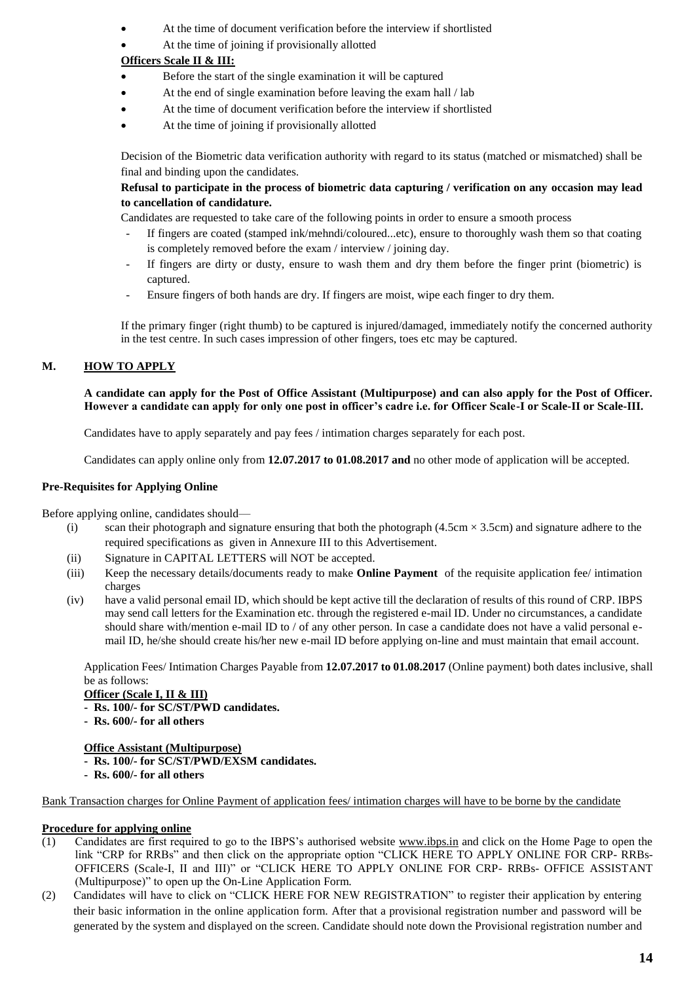- At the time of document verification before the interview if shortlisted
- At the time of joining if provisionally allotted

# **Officers Scale II & III:**

- Before the start of the single examination it will be captured
- At the end of single examination before leaving the exam hall / lab
- At the time of document verification before the interview if shortlisted
- At the time of joining if provisionally allotted

Decision of the Biometric data verification authority with regard to its status (matched or mismatched) shall be final and binding upon the candidates.

## **Refusal to participate in the process of biometric data capturing / verification on any occasion may lead to cancellation of candidature.**

Candidates are requested to take care of the following points in order to ensure a smooth process

- If fingers are coated (stamped ink/mehndi/coloured...etc), ensure to thoroughly wash them so that coating is completely removed before the exam / interview / joining day.
- If fingers are dirty or dusty, ensure to wash them and dry them before the finger print (biometric) is captured.
- Ensure fingers of both hands are dry. If fingers are moist, wipe each finger to dry them.

If the primary finger (right thumb) to be captured is injured/damaged, immediately notify the concerned authority in the test centre. In such cases impression of other fingers, toes etc may be captured.

# **M. HOW TO APPLY**

**A candidate can apply for the Post of Office Assistant (Multipurpose) and can also apply for the Post of Officer. However a candidate can apply for only one post in officer's cadre i.e. for Officer Scale-I or Scale-II or Scale-III.**

Candidates have to apply separately and pay fees / intimation charges separately for each post.

Candidates can apply online only from **12.07.2017 to 01.08.2017 and** no other mode of application will be accepted.

## **Pre-Requisites for Applying Online**

Before applying online, candidates should—

- (i) scan their photograph and signature ensuring that both the photograph  $(4.5 \text{cm} \times 3.5 \text{cm})$  and signature adhere to the required specifications as given in Annexure III to this Advertisement.
- (ii) Signature in CAPITAL LETTERS will NOT be accepted.
- (iii) Keep the necessary details/documents ready to make **Online Payment** of the requisite application fee/ intimation charges
- (iv) have a valid personal email ID, which should be kept active till the declaration of results of this round of CRP. IBPS may send call letters for the Examination etc. through the registered e-mail ID. Under no circumstances, a candidate should share with/mention e-mail ID to / of any other person. In case a candidate does not have a valid personal email ID, he/she should create his/her new e-mail ID before applying on-line and must maintain that email account.

Application Fees/ Intimation Charges Payable from **12.07.2017 to 01.08.2017** (Online payment) both dates inclusive, shall be as follows:

**Officer (Scale I, II & III)**

- **Rs. 100/- for SC/ST/PWD candidates.**
- **Rs. 600/- for all others**

### **Office Assistant (Multipurpose)**

- **Rs. 100/- for SC/ST/PWD/EXSM candidates.**
- **Rs. 600/- for all others**

Bank Transaction charges for Online Payment of application fees/ intimation charges will have to be borne by the candidate

### **Procedure for applying online**

- (1) Candidates are first required to go to the IBPS's authorised website [www.ibps.in](http://www.ibps.in/) and click on the Home Page to open the link "CRP for RRBs" and then click on the appropriate option "CLICK HERE TO APPLY ONLINE FOR CRP- RRBs-OFFICERS (Scale-I, II and III)" or "CLICK HERE TO APPLY ONLINE FOR CRP- RRBs- OFFICE ASSISTANT (Multipurpose)" to open up the On-Line Application Form.
- (2) Candidates will have to click on "CLICK HERE FOR NEW REGISTRATION" to register their application by entering their basic information in the online application form. After that a provisional registration number and password will be generated by the system and displayed on the screen. Candidate should note down the Provisional registration number and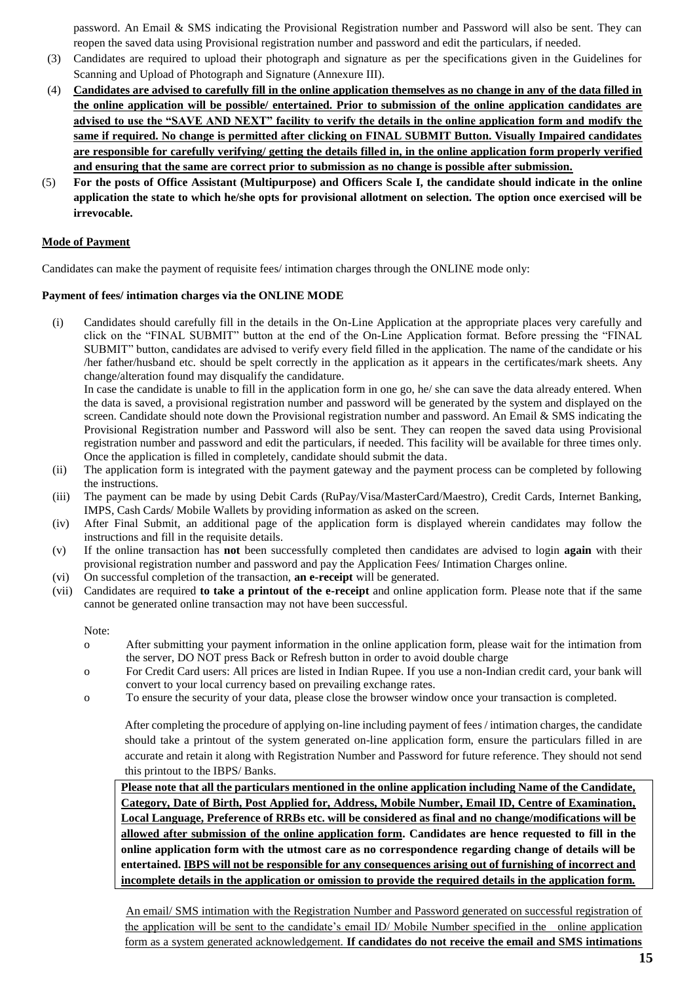password. An Email & SMS indicating the Provisional Registration number and Password will also be sent. They can reopen the saved data using Provisional registration number and password and edit the particulars, if needed.

- (3) Candidates are required to upload their photograph and signature as per the specifications given in the Guidelines for Scanning and Upload of Photograph and Signature (Annexure III).
- (4) **Candidates are advised to carefully fill in the online application themselves as no change in any of the data filled in the online application will be possible/ entertained. Prior to submission of the online application candidates are advised to use the "SAVE AND NEXT" facility to verify the details in the online application form and modify the same if required. No change is permitted after clicking on FINAL SUBMIT Button. Visually Impaired candidates are responsible for carefully verifying/ getting the details filled in, in the online application form properly verified and ensuring that the same are correct prior to submission as no change is possible after submission.**
- (5) **For the posts of Office Assistant (Multipurpose) and Officers Scale I, the candidate should indicate in the online application the state to which he/she opts for provisional allotment on selection. The option once exercised will be irrevocable.**

### **Mode of Payment**

Candidates can make the payment of requisite fees/ intimation charges through the ONLINE mode only:

### **Payment of fees/ intimation charges via the ONLINE MODE**

(i) Candidates should carefully fill in the details in the On-Line Application at the appropriate places very carefully and click on the "FINAL SUBMIT" button at the end of the On-Line Application format. Before pressing the "FINAL SUBMIT" button, candidates are advised to verify every field filled in the application. The name of the candidate or his /her father/husband etc. should be spelt correctly in the application as it appears in the certificates/mark sheets. Any change/alteration found may disqualify the candidature.

In case the candidate is unable to fill in the application form in one go, he/ she can save the data already entered. When the data is saved, a provisional registration number and password will be generated by the system and displayed on the screen. Candidate should note down the Provisional registration number and password. An Email & SMS indicating the Provisional Registration number and Password will also be sent. They can reopen the saved data using Provisional registration number and password and edit the particulars, if needed. This facility will be available for three times only. Once the application is filled in completely, candidate should submit the data.

- (ii) The application form is integrated with the payment gateway and the payment process can be completed by following the instructions.
- (iii) The payment can be made by using Debit Cards (RuPay/Visa/MasterCard/Maestro), Credit Cards, Internet Banking, IMPS, Cash Cards/ Mobile Wallets by providing information as asked on the screen.
- (iv) After Final Submit, an additional page of the application form is displayed wherein candidates may follow the instructions and fill in the requisite details.
- (v) If the online transaction has **not** been successfully completed then candidates are advised to login **again** with their provisional registration number and password and pay the Application Fees/ Intimation Charges online.
- (vi) On successful completion of the transaction, **an e-receipt** will be generated.
- (vii) Candidates are required **to take a printout of the e-receipt** and online application form. Please note that if the same cannot be generated online transaction may not have been successful.

### Note:

- o After submitting your payment information in the online application form, please wait for the intimation from the server, DO NOT press Back or Refresh button in order to avoid double charge
- o For Credit Card users: All prices are listed in Indian Rupee. If you use a non-Indian credit card, your bank will convert to your local currency based on prevailing exchange rates.
- o To ensure the security of your data, please close the browser window once your transaction is completed.

After completing the procedure of applying on-line including payment of fees / intimation charges, the candidate should take a printout of the system generated on-line application form, ensure the particulars filled in are accurate and retain it along with Registration Number and Password for future reference. They should not send this printout to the IBPS/ Banks.

**Please note that all the particulars mentioned in the online application including Name of the Candidate, Category, Date of Birth, Post Applied for, Address, Mobile Number, Email ID, Centre of Examination, Local Language, Preference of RRBs etc. will be considered as final and no change/modifications will be allowed after submission of the online application form. Candidates are hence requested to fill in the online application form with the utmost care as no correspondence regarding change of details will be entertained. IBPS will not be responsible for any consequences arising out of furnishing of incorrect and incomplete details in the application or omission to provide the required details in the application form.**

An email/ SMS intimation with the Registration Number and Password generated on successful registration of the application will be sent to the candidate's email ID/ Mobile Number specified in the online application form as a system generated acknowledgement. **If candidates do not receive the email and SMS intimations**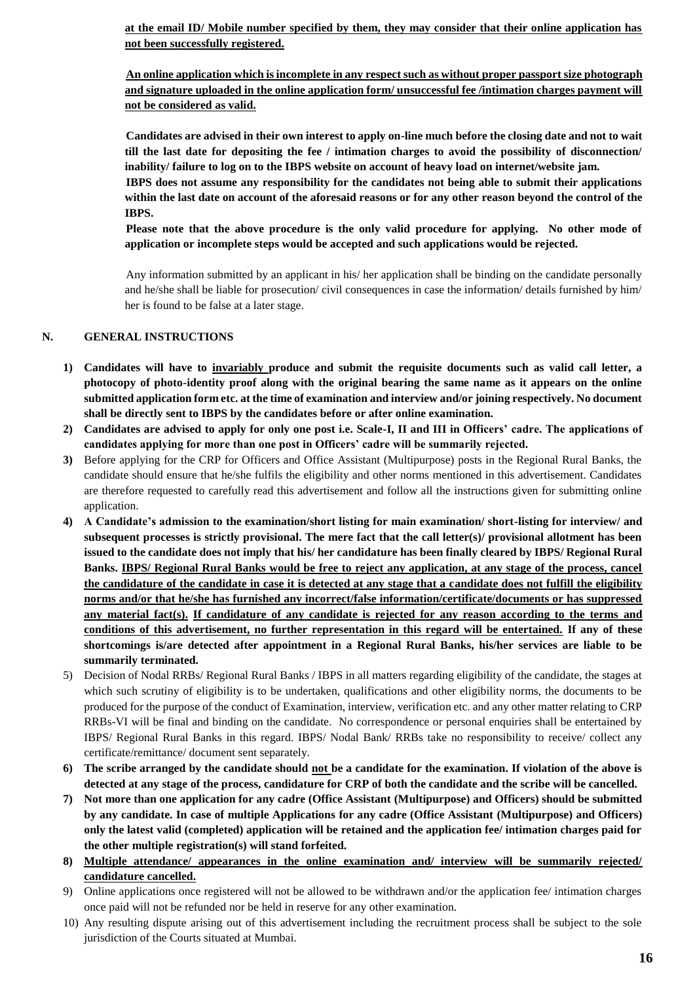**at the email ID/ Mobile number specified by them, they may consider that their online application has not been successfully registered.**

**An online application which is incomplete in any respect such as without proper passport size photograph and signature uploaded in the online application form/ unsuccessful fee /intimation charges payment will not be considered as valid.**

**Candidates are advised in their own interest to apply on-line much before the closing date and not to wait till the last date for depositing the fee / intimation charges to avoid the possibility of disconnection/ inability/ failure to log on to the IBPS website on account of heavy load on internet/website jam.** 

**IBPS does not assume any responsibility for the candidates not being able to submit their applications within the last date on account of the aforesaid reasons or for any other reason beyond the control of the IBPS.** 

**Please note that the above procedure is the only valid procedure for applying. No other mode of application or incomplete steps would be accepted and such applications would be rejected.**

Any information submitted by an applicant in his/ her application shall be binding on the candidate personally and he/she shall be liable for prosecution/ civil consequences in case the information/ details furnished by him/ her is found to be false at a later stage.

### **N. GENERAL INSTRUCTIONS**

- **1) Candidates will have to invariably produce and submit the requisite documents such as valid call letter, a photocopy of photo-identity proof along with the original bearing the same name as it appears on the online submitted application form etc. at the time of examination and interview and/or joining respectively. No document shall be directly sent to IBPS by the candidates before or after online examination.**
- **2) Candidates are advised to apply for only one post i.e. Scale-I, II and III in Officers' cadre. The applications of candidates applying for more than one post in Officers' cadre will be summarily rejected.**
- **3)** Before applying for the CRP for Officers and Office Assistant (Multipurpose) posts in the Regional Rural Banks, the candidate should ensure that he/she fulfils the eligibility and other norms mentioned in this advertisement. Candidates are therefore requested to carefully read this advertisement and follow all the instructions given for submitting online application.
- **4) A Candidate's admission to the examination/short listing for main examination/ short-listing for interview/ and subsequent processes is strictly provisional. The mere fact that the call letter(s)/ provisional allotment has been issued to the candidate does not imply that his/ her candidature has been finally cleared by IBPS/ Regional Rural Banks. IBPS/ Regional Rural Banks would be free to reject any application, at any stage of the process, cancel the candidature of the candidate in case it is detected at any stage that a candidate does not fulfill the eligibility norms and/or that he/she has furnished any incorrect/false information/certificate/documents or has suppressed any material fact(s). If candidature of any candidate is rejected for any reason according to the terms and conditions of this advertisement, no further representation in this regard will be entertained. If any of these shortcomings is/are detected after appointment in a Regional Rural Banks, his/her services are liable to be summarily terminated.**
- 5) Decision of Nodal RRBs/ Regional Rural Banks / IBPS in all matters regarding eligibility of the candidate, the stages at which such scrutiny of eligibility is to be undertaken, qualifications and other eligibility norms, the documents to be produced for the purpose of the conduct of Examination, interview, verification etc. and any other matter relating to CRP RRBs-VI will be final and binding on the candidate. No correspondence or personal enquiries shall be entertained by IBPS/ Regional Rural Banks in this regard. IBPS/ Nodal Bank/ RRBs take no responsibility to receive/ collect any certificate/remittance/ document sent separately.
- **6) The scribe arranged by the candidate should not be a candidate for the examination. If violation of the above is detected at any stage of the process, candidature for CRP of both the candidate and the scribe will be cancelled.**
- **7) Not more than one application for any cadre (Office Assistant (Multipurpose) and Officers) should be submitted by any candidate. In case of multiple Applications for any cadre (Office Assistant (Multipurpose) and Officers) only the latest valid (completed) application will be retained and the application fee/ intimation charges paid for the other multiple registration(s) will stand forfeited.**
- **8) Multiple attendance/ appearances in the online examination and/ interview will be summarily rejected/ candidature cancelled.**
- 9) Online applications once registered will not be allowed to be withdrawn and/or the application fee/ intimation charges once paid will not be refunded nor be held in reserve for any other examination.
- 10) Any resulting dispute arising out of this advertisement including the recruitment process shall be subject to the sole jurisdiction of the Courts situated at Mumbai.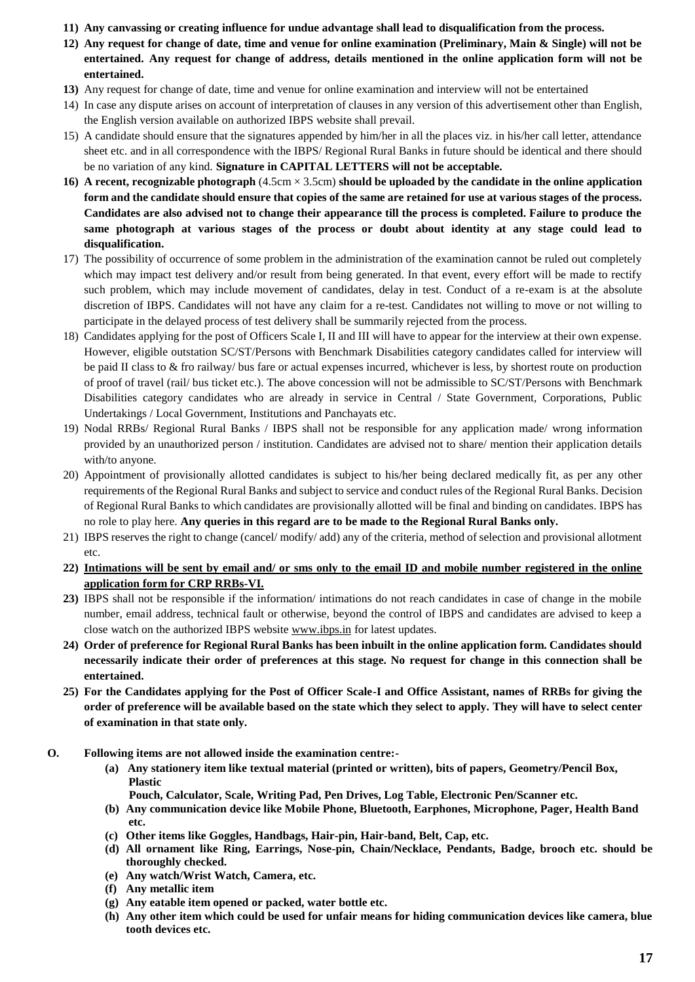- **11) Any canvassing or creating influence for undue advantage shall lead to disqualification from the process.**
- **12) Any request for change of date, time and venue for online examination (Preliminary, Main & Single) will not be entertained. Any request for change of address, details mentioned in the online application form will not be entertained.**
- **13)** Any request for change of date, time and venue for online examination and interview will not be entertained
- 14) In case any dispute arises on account of interpretation of clauses in any version of this advertisement other than English, the English version available on authorized IBPS website shall prevail.
- 15) A candidate should ensure that the signatures appended by him/her in all the places viz. in his/her call letter, attendance sheet etc. and in all correspondence with the IBPS/ Regional Rural Banks in future should be identical and there should be no variation of any kind. **Signature in CAPITAL LETTERS will not be acceptable.**
- **16) A recent, recognizable photograph** (4.5cm × 3.5cm) **should be uploaded by the candidate in the online application form and the candidate should ensure that copies of the same are retained for use at various stages of the process. Candidates are also advised not to change their appearance till the process is completed. Failure to produce the same photograph at various stages of the process or doubt about identity at any stage could lead to disqualification.**
- 17) The possibility of occurrence of some problem in the administration of the examination cannot be ruled out completely which may impact test delivery and/or result from being generated. In that event, every effort will be made to rectify such problem, which may include movement of candidates, delay in test. Conduct of a re-exam is at the absolute discretion of IBPS. Candidates will not have any claim for a re-test. Candidates not willing to move or not willing to participate in the delayed process of test delivery shall be summarily rejected from the process.
- 18) Candidates applying for the post of Officers Scale I, II and III will have to appear for the interview at their own expense. However, eligible outstation SC/ST/Persons with Benchmark Disabilities category candidates called for interview will be paid II class to  $\&$  fro railway/ bus fare or actual expenses incurred, whichever is less, by shortest route on production of proof of travel (rail/ bus ticket etc.). The above concession will not be admissible to SC/ST/Persons with Benchmark Disabilities category candidates who are already in service in Central / State Government, Corporations, Public Undertakings / Local Government, Institutions and Panchayats etc.
- 19) Nodal RRBs/ Regional Rural Banks / IBPS shall not be responsible for any application made/ wrong information provided by an unauthorized person / institution. Candidates are advised not to share/ mention their application details with/to anyone.
- 20) Appointment of provisionally allotted candidates is subject to his/her being declared medically fit, as per any other requirements of the Regional Rural Banks and subject to service and conduct rules of the Regional Rural Banks. Decision of Regional Rural Banks to which candidates are provisionally allotted will be final and binding on candidates. IBPS has no role to play here. **Any queries in this regard are to be made to the Regional Rural Banks only.**
- 21) IBPS reserves the right to change (cancel/ modify/ add) any of the criteria, method of selection and provisional allotment etc.
- **22) Intimations will be sent by email and/ or sms only to the email ID and mobile number registered in the online application form for CRP RRBs-VI.**
- **23)** IBPS shall not be responsible if the information/ intimations do not reach candidates in case of change in the mobile number, email address, technical fault or otherwise, beyond the control of IBPS and candidates are advised to keep a close watch on the authorized IBPS website [www.ibps.in](http://www.ibps.in/) for latest updates.
- **24) Order of preference for Regional Rural Banks has been inbuilt in the online application form. Candidates should necessarily indicate their order of preferences at this stage. No request for change in this connection shall be entertained.**
- **25) For the Candidates applying for the Post of Officer Scale-I and Office Assistant, names of RRBs for giving the order of preference will be available based on the state which they select to apply. They will have to select center of examination in that state only.**
- **O. Following items are not allowed inside the examination centre:-**
	- **(a) Any stationery item like textual material (printed or written), bits of papers, Geometry/Pencil Box, Plastic**
		- **Pouch, Calculator, Scale, Writing Pad, Pen Drives, Log Table, Electronic Pen/Scanner etc.**
	- **(b) Any communication device like Mobile Phone, Bluetooth, Earphones, Microphone, Pager, Health Band etc.**
	- **(c) Other items like Goggles, Handbags, Hair-pin, Hair-band, Belt, Cap, etc.**
	- **(d) All ornament like Ring, Earrings, Nose-pin, Chain/Necklace, Pendants, Badge, brooch etc. should be thoroughly checked.**
	- **(e) Any watch/Wrist Watch, Camera, etc.**
	- **(f) Any metallic item**
	- **(g) Any eatable item opened or packed, water bottle etc.**
	- **(h) Any other item which could be used for unfair means for hiding communication devices like camera, blue tooth devices etc.**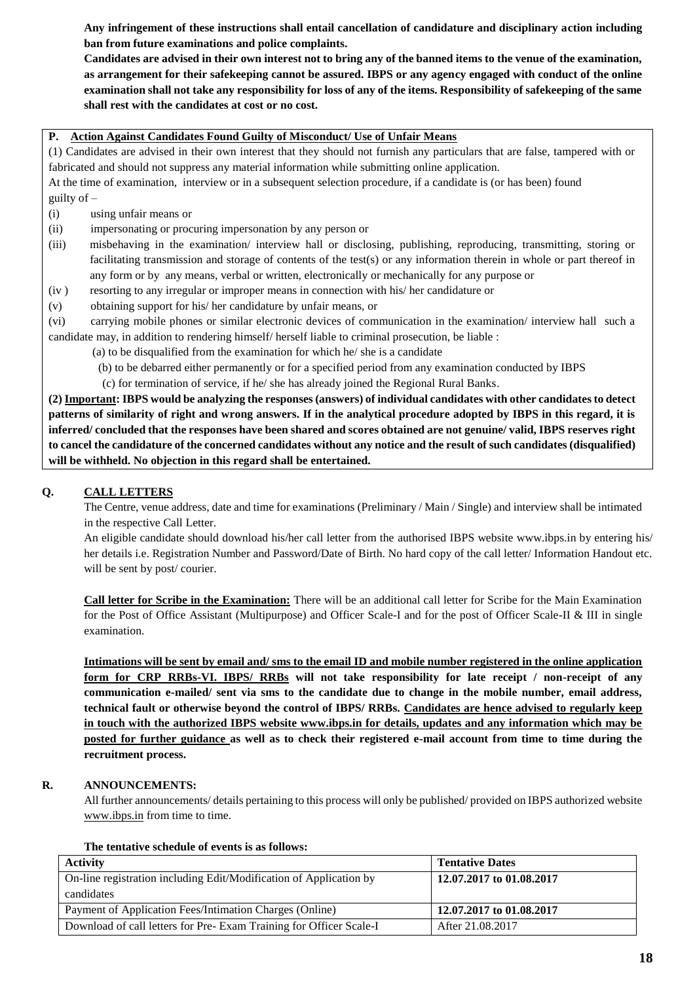**Any infringement of these instructions shall entail cancellation of candidature and disciplinary action including ban from future examinations and police complaints.** 

**Candidates are advised in their own interest not to bring any of the banned items to the venue of the examination, as arrangement for their safekeeping cannot be assured. IBPS or any agency engaged with conduct of the online examination shall not take any responsibility for loss of any of the items. Responsibility of safekeeping of the same shall rest with the candidates at cost or no cost.**

## **P. Action Against Candidates Found Guilty of Misconduct/ Use of Unfair Means**

(1) Candidates are advised in their own interest that they should not furnish any particulars that are false, tampered with or fabricated and should not suppress any material information while submitting online application.

At the time of examination, interview or in a subsequent selection procedure, if a candidate is (or has been) found guilty of –

- (i) using unfair means or
- (ii) impersonating or procuring impersonation by any person or
- (iii) misbehaving in the examination/ interview hall or disclosing, publishing, reproducing, transmitting, storing or facilitating transmission and storage of contents of the test(s) or any information therein in whole or part thereof in any form or by any means, verbal or written, electronically or mechanically for any purpose or
- (iv ) resorting to any irregular or improper means in connection with his/ her candidature or
- (v) obtaining support for his/ her candidature by unfair means, or

(vi) carrying mobile phones or similar electronic devices of communication in the examination/ interview hall such a candidate may, in addition to rendering himself/ herself liable to criminal prosecution, be liable :

- (a) to be disqualified from the examination for which he/ she is a candidate
- (b) to be debarred either permanently or for a specified period from any examination conducted by IBPS
- (c) for termination of service, if he/ she has already joined the Regional Rural Banks.

**(2) Important: IBPS would be analyzing the responses (answers) of individual candidates with other candidates to detect patterns of similarity of right and wrong answers. If in the analytical procedure adopted by IBPS in this regard, it is inferred/ concluded that the responses have been shared and scores obtained are not genuine/ valid, IBPS reserves right to cancel the candidature of the concerned candidates without any notice and the result of such candidates (disqualified) will be withheld. No objection in this regard shall be entertained.**

### **Q. CALL LETTERS**

The Centre, venue address, date and time for examinations (Preliminary / Main / Single) and interview shall be intimated in the respective Call Letter.

An eligible candidate should download his/her call letter from the authorised IBPS website www.ibps.in by entering his/ her details i.e. Registration Number and Password/Date of Birth. No hard copy of the call letter/ Information Handout etc. will be sent by post/courier.

**Call letter for Scribe in the Examination:** There will be an additional call letter for Scribe for the Main Examination for the Post of Office Assistant (Multipurpose) and Officer Scale-I and for the post of Officer Scale-II & III in single examination.

**Intimations will be sent by email and/ sms to the email ID and mobile number registered in the online application form for CRP RRBs-VI. IBPS/ RRBs will not take responsibility for late receipt / non-receipt of any communication e-mailed/ sent via sms to the candidate due to change in the mobile number, email address, technical fault or otherwise beyond the control of IBPS/ RRBs. Candidates are hence advised to regularly keep in touch with the authorized IBPS website [www.ibps.in](http://www.ibps.in/) for details, updates and any information which may be posted for further guidance as well as to check their registered e-mail account from time to time during the recruitment process.**

### **R. ANNOUNCEMENTS:**

All further announcements/ details pertaining to this process will only be published/ provided on IBPS authorized website [www.ibps.in](http://www.ibps.in/) from time to time.

#### **The tentative schedule of events is as follows:**

| <b>Activity</b>                                                    | <b>Tentative Dates</b>   |
|--------------------------------------------------------------------|--------------------------|
| On-line registration including Edit/Modification of Application by | 12.07.2017 to 01.08.2017 |
| candidates                                                         |                          |
| Payment of Application Fees/Intimation Charges (Online)            | 12.07.2017 to 01.08.2017 |
| Download of call letters for Pre-Exam Training for Officer Scale-I | After 21.08.2017         |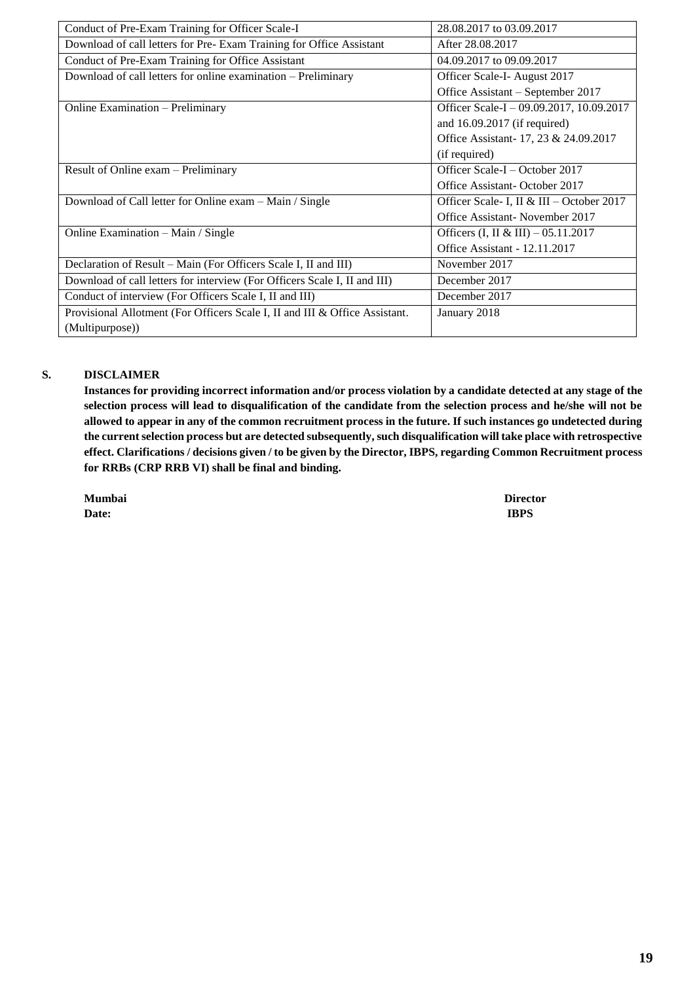| Conduct of Pre-Exam Training for Officer Scale-I                            | 28.08.2017 to 03.09.2017                 |
|-----------------------------------------------------------------------------|------------------------------------------|
| Download of call letters for Pre-Exam Training for Office Assistant         | After 28.08.2017                         |
| Conduct of Pre-Exam Training for Office Assistant                           | 04.09.2017 to 09.09.2017                 |
| Download of call letters for online examination – Preliminary               | Officer Scale-I-August 2017              |
|                                                                             | Office Assistant – September 2017        |
| Online Examination - Preliminary                                            | Officer Scale-I - 09.09.2017, 10.09.2017 |
|                                                                             | and $16.09.2017$ (if required)           |
|                                                                             | Office Assistant-17, 23 & 24.09.2017     |
|                                                                             | (if required)                            |
| Result of Online exam - Preliminary                                         | Officer Scale-I – October 2017           |
|                                                                             | Office Assistant-October 2017            |
| Download of Call letter for Online exam - Main / Single                     | Officer Scale-I, II & III - October 2017 |
|                                                                             | Office Assistant-November 2017           |
| Online Examination - Main / Single                                          | Officers (I, II & III) $- 05.11.2017$    |
|                                                                             | Office Assistant - 12.11.2017            |
| Declaration of Result – Main (For Officers Scale I, II and III)             | November 2017                            |
| Download of call letters for interview (For Officers Scale I, II and III)   | December 2017                            |
| Conduct of interview (For Officers Scale I, II and III)                     | December 2017                            |
| Provisional Allotment (For Officers Scale I, II and III & Office Assistant. | January 2018                             |
| (Multipurpose))                                                             |                                          |

## **S. DISCLAIMER**

**Instances for providing incorrect information and/or process violation by a candidate detected at any stage of the selection process will lead to disqualification of the candidate from the selection process and he/she will not be allowed to appear in any of the common recruitment process in the future. If such instances go undetected during the current selection process but are detected subsequently, such disqualification will take place with retrospective effect. Clarifications / decisions given / to be given by the Director, IBPS, regarding Common Recruitment process for RRBs (CRP RRB VI) shall be final and binding.**

**Date: IBPS**

**Mumbai Director**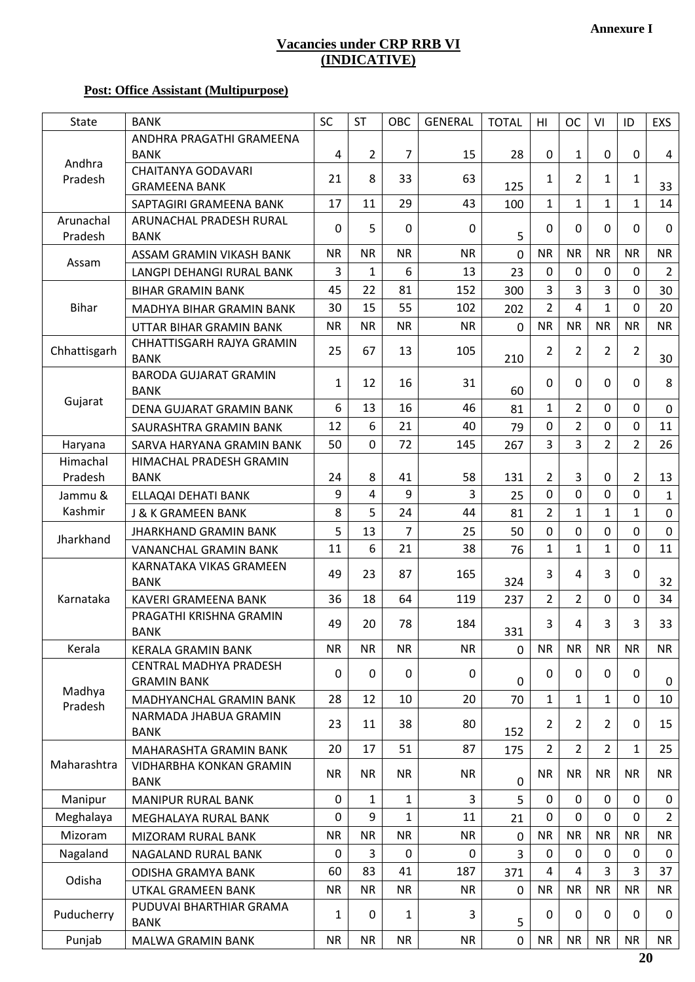# **Vacancies under CRP RRB VI (INDICATIVE)**

# **Post: Office Assistant (Multipurpose)**

| <b>State</b> | <b>BANK</b>                                   | SC           | <b>ST</b>      | OBC            | <b>GENERAL</b> | <b>TOTAL</b>   | HI               | <b>OC</b>      | VI             | ID             | EXS              |
|--------------|-----------------------------------------------|--------------|----------------|----------------|----------------|----------------|------------------|----------------|----------------|----------------|------------------|
|              | ANDHRA PRAGATHI GRAMEENA                      |              |                |                |                |                |                  |                |                |                |                  |
| Andhra       | <b>BANK</b>                                   | 4            | $\overline{2}$ | $\overline{7}$ | 15             | 28             | 0                | 1              | 0              | 0              | 4                |
| Pradesh      | <b>CHAITANYA GODAVARI</b>                     | 21           | 8              | 33             | 63             |                | $\mathbf{1}$     | $\overline{2}$ | $\mathbf{1}$   | $\mathbf{1}$   |                  |
|              | <b>GRAMEENA BANK</b>                          |              |                |                |                | 125            |                  |                |                |                | 33               |
|              | SAPTAGIRI GRAMEENA BANK                       | 17           | 11             | 29             | 43             | 100            | $\mathbf{1}$     | $\mathbf{1}$   | 1              | $\mathbf{1}$   | 14               |
| Arunachal    | ARUNACHAL PRADESH RURAL                       | $\Omega$     | 5              | 0              | $\Omega$       |                | $\mathbf 0$      | 0              | $\mathbf{0}$   | $\mathbf 0$    | $\mathbf 0$      |
| Pradesh      | <b>BANK</b>                                   |              |                |                |                | 5              |                  |                |                |                |                  |
| Assam        | ASSAM GRAMIN VIKASH BANK                      | <b>NR</b>    | <b>NR</b>      | <b>NR</b>      | <b>NR</b>      | $\mathbf 0$    | <b>NR</b>        | <b>NR</b>      | <b>NR</b>      | <b>NR</b>      | <b>NR</b>        |
|              | LANGPI DEHANGI RURAL BANK                     | 3            | 1              | 6              | 13             | 23             | $\Omega$         | $\mathbf 0$    | $\mathbf{0}$   | 0              | $\overline{2}$   |
|              | <b>BIHAR GRAMIN BANK</b>                      | 45           | 22             | 81             | 152            | 300            | 3                | 3              | $\overline{3}$ | $\mathbf 0$    | 30               |
| <b>Bihar</b> | MADHYA BIHAR GRAMIN BANK                      | 30           | 15             | 55             | 102            | 202            | $\overline{2}$   | 4              | $\mathbf{1}$   | 0              | 20               |
|              | UTTAR BIHAR GRAMIN BANK                       | <b>NR</b>    | <b>NR</b>      | <b>NR</b>      | <b>NR</b>      | $\mathbf 0$    | <b>NR</b>        | <b>NR</b>      | <b>NR</b>      | <b>NR</b>      | <b>NR</b>        |
| Chhattisgarh | CHHATTISGARH RAJYA GRAMIN<br><b>BANK</b>      | 25           | 67             | 13             | 105            | 210            | $\overline{2}$   | 2              | 2              | $\overline{2}$ | 30               |
|              | <b>BARODA GUJARAT GRAMIN</b><br><b>BANK</b>   | $\mathbf{1}$ | 12             | 16             | 31             | 60             | $\mathbf 0$      | 0              | $\mathbf{0}$   | $\mathbf 0$    | 8                |
| Gujarat      | DENA GUJARAT GRAMIN BANK                      | 6            | 13             | 16             | 46             | 81             | $\mathbf{1}$     | $\overline{2}$ | $\Omega$       | $\Omega$       | $\mathbf 0$      |
|              | SAURASHTRA GRAMIN BANK                        | 12           | 6              | 21             | 40             | 79             | $\mathbf 0$      | $\overline{2}$ | $\mathbf{0}$   | 0              | 11               |
| Haryana      | SARVA HARYANA GRAMIN BANK                     | 50           | 0              | 72             | 145            | 267            | 3                | $\overline{3}$ | $\overline{2}$ | $\overline{2}$ | 26               |
| Himachal     | HIMACHAL PRADESH GRAMIN                       |              |                |                |                |                |                  |                |                |                |                  |
| Pradesh      | <b>BANK</b>                                   | 24           | 8              | 41             | 58             | 131            | $\overline{2}$   | 3              | 0              | $\overline{2}$ | 13               |
| Jammu &      | ELLAQAI DEHATI BANK                           | 9            | 4              | 9              | 3              | 25             | $\overline{0}$   | $\overline{0}$ | $\mathbf{0}$   | 0              | $\mathbf{1}$     |
| Kashmir      | <b>J &amp; K GRAMEEN BANK</b>                 | 8            | 5              | 24             | 44             | 81             | $\overline{2}$   | $\mathbf{1}$   | $\mathbf{1}$   | $\mathbf{1}$   | $\mathbf 0$      |
|              | <b>JHARKHAND GRAMIN BANK</b>                  | 5            | 13             | 7              | 25             | 50             | $\boldsymbol{0}$ | 0              | 0              | 0              | $\mathbf 0$      |
| Jharkhand    | <b>VANANCHAL GRAMIN BANK</b>                  | 11           | 6              | 21             | 38             | 76             | $\mathbf{1}$     | $\mathbf{1}$   | $\mathbf{1}$   | $\overline{0}$ | 11               |
|              | KARNATAKA VIKAS GRAMEEN                       |              |                |                |                |                |                  |                |                |                |                  |
|              | <b>BANK</b>                                   | 49           | 23             | 87             | 165            | 324            | 3                | 4              | 3              | $\mathbf 0$    | 32               |
| Karnataka    | KAVERI GRAMEENA BANK                          | 36           | 18             | 64             | 119            | 237            | $\overline{2}$   | $\overline{2}$ | $\mathbf 0$    | 0              | 34               |
|              | PRAGATHI KRISHNA GRAMIN                       |              |                |                |                |                |                  |                |                |                |                  |
|              | <b>BANK</b>                                   | 49           | 20             | 78             | 184            | 331            | 3                | 4              | 3              | 3              | 33               |
| Kerala       | <b>KERALA GRAMIN BANK</b>                     | <b>NR</b>    | <b>NR</b>      | <b>NR</b>      | <b>NR</b>      | $\mathbf 0$    | <b>NR</b>        | <b>NR</b>      | <b>NR</b>      | <b>NR</b>      | <b>NR</b>        |
|              | CENTRAL MADHYA PRADESH                        | 0            | 0              | $\Omega$       | 0              |                | 0                | 0              | 0              | 0              |                  |
| Madhya       | <b>GRAMIN BANK</b>                            |              |                |                |                | $\mathbf 0$    |                  |                |                |                | 0                |
| Pradesh      | MADHYANCHAL GRAMIN BANK                       | 28           | 12             | 10             | 20             | 70             | $\mathbf{1}$     | $\mathbf{1}$   | $\mathbf{1}$   | 0              | 10               |
|              | NARMADA JHABUA GRAMIN<br><b>BANK</b>          | 23           | 11             | 38             | 80             | 152            | $\overline{2}$   | $\overline{2}$ | $\overline{2}$ | 0              | 15               |
|              | MAHARASHTA GRAMIN BANK                        | 20           | 17             | 51             | 87             | 175            | $2^{\circ}$      | $\overline{2}$ | $\overline{2}$ | $\mathbf{1}$   | 25               |
| Maharashtra  | <b>VIDHARBHA KONKAN GRAMIN</b><br><b>BANK</b> | <b>NR</b>    | <b>NR</b>      | <b>NR</b>      | <b>NR</b>      | $\mathbf 0$    | <b>NR</b>        | <b>NR</b>      | <b>NR</b>      | <b>NR</b>      | <b>NR</b>        |
| Manipur      | <b>MANIPUR RURAL BANK</b>                     | $\pmb{0}$    | 1              | $\mathbf{1}$   | $\overline{3}$ | 5              | $\mathbf 0$      | $\mathbf 0$    | $\mathbf 0$    | $\mathbf 0$    | $\mathbf 0$      |
| Meghalaya    | MEGHALAYA RURAL BANK                          | 0            | 9              | $\mathbf{1}$   | 11             | 21             | $\mathbf 0$      | 0              | $\mathbf 0$    | 0              | $\overline{2}$   |
| Mizoram      | MIZORAM RURAL BANK                            | <b>NR</b>    | <b>NR</b>      | <b>NR</b>      | <b>NR</b>      | $\mathbf 0$    | <b>NR</b>        | <b>NR</b>      | <b>NR</b>      | <b>NR</b>      | <b>NR</b>        |
| Nagaland     | NAGALAND RURAL BANK                           | 0            | 3              | 0              | $\mathbf 0$    | $\overline{3}$ | 0                | 0              | 0              | 0              | $\boldsymbol{0}$ |
|              | ODISHA GRAMYA BANK                            | 60           | 83             | 41             | 187            | 371            | $\overline{4}$   | 4              | 3              | 3              | 37               |
| Odisha       | UTKAL GRAMEEN BANK                            | <b>NR</b>    | <b>NR</b>      | <b>NR</b>      | <b>NR</b>      | $\mathbf 0$    | <b>NR</b>        | <b>NR</b>      | <b>NR</b>      | <b>NR</b>      | <b>NR</b>        |
| Puducherry   | PUDUVAI BHARTHIAR GRAMA<br><b>BANK</b>        | 1            | 0              | 1              | 3              | 5              | 0                | $\mathbf 0$    | 0              | 0              | $\mathbf 0$      |
| Punjab       | MALWA GRAMIN BANK                             | <b>NR</b>    | <b>NR</b>      | <b>NR</b>      | <b>NR</b>      | $\mathbf 0$    | <b>NR</b>        | <b>NR</b>      | <b>NR</b>      | <b>NR</b>      | <b>NR</b>        |
|              |                                               |              |                |                |                |                |                  |                |                |                |                  |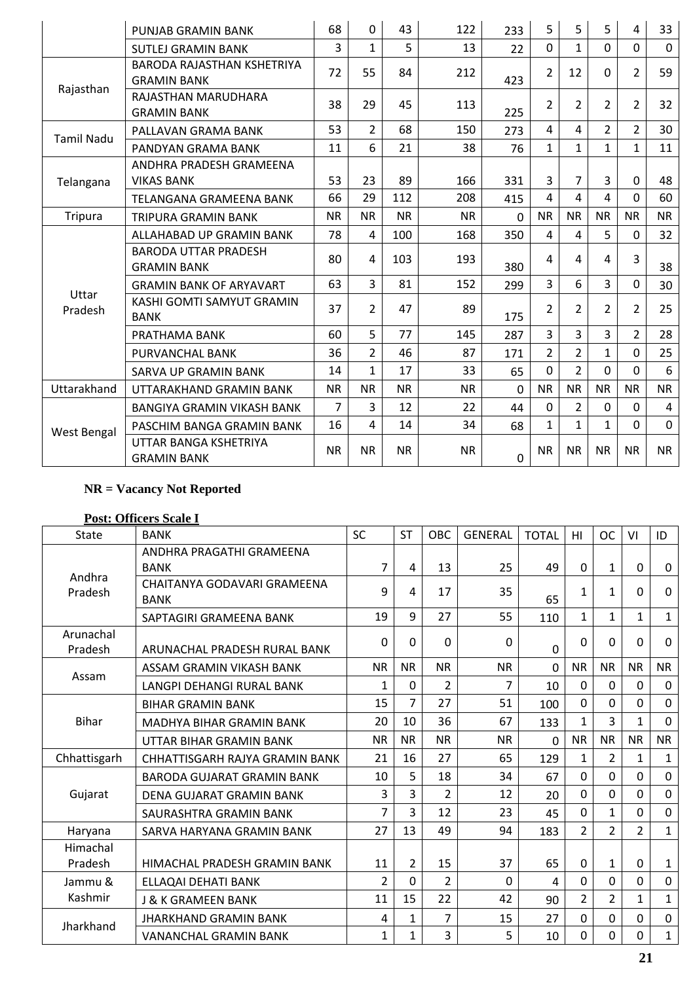|                   | PUNJAB GRAMIN BANK                                      | 68        | $\mathbf 0$    | 43        | 122       | 233         | 5              | 5              | 5              | 4              | 33               |
|-------------------|---------------------------------------------------------|-----------|----------------|-----------|-----------|-------------|----------------|----------------|----------------|----------------|------------------|
|                   | <b>SUTLEJ GRAMIN BANK</b>                               | 3         | $\mathbf{1}$   | 5         | 13        | 22          | $\Omega$       | $\mathbf{1}$   | $\Omega$       | $\Omega$       | $\mathbf{0}$     |
|                   | <b>BARODA RAJASTHAN KSHETRIYA</b><br><b>GRAMIN BANK</b> | 72        | 55             | 84        | 212       | 423         | $\overline{2}$ | 12             | $\Omega$       | $\overline{2}$ | 59               |
| Rajasthan         | RAJASTHAN MARUDHARA<br><b>GRAMIN BANK</b>               | 38        | 29             | 45        | 113       | 225         | $\overline{2}$ | 2              | $\overline{2}$ | $\overline{2}$ | 32               |
| <b>Tamil Nadu</b> | PALLAVAN GRAMA BANK                                     | 53        | $\overline{2}$ | 68        | 150       | 273         | 4              | 4              | $\overline{2}$ | $\overline{2}$ | 30               |
|                   | PANDYAN GRAMA BANK                                      | 11        | 6              | 21        | 38        | 76          | $\mathbf{1}$   | $\mathbf{1}$   | $\mathbf{1}$   | $\mathbf{1}$   | 11               |
|                   | ANDHRA PRADESH GRAMEENA                                 |           |                |           |           |             |                |                |                |                |                  |
| Telangana         | <b>VIKAS BANK</b>                                       | 53        | 23             | 89        | 166       | 331         | 3              | $\overline{7}$ | 3              | $\mathbf 0$    | 48               |
|                   | <b>TELANGANA GRAMEENA BANK</b>                          | 66        | 29             | 112       | 208       | 415         | 4              | $\overline{4}$ | 4              | $\mathbf{0}$   | 60               |
| <b>Tripura</b>    | <b>TRIPURA GRAMIN BANK</b>                              | <b>NR</b> | <b>NR</b>      | <b>NR</b> | <b>NR</b> | $\Omega$    | <b>NR</b>      | <b>NR</b>      | <b>NR</b>      | <b>NR</b>      | <b>NR</b>        |
|                   | ALLAHABAD UP GRAMIN BANK                                | 78        | $\overline{4}$ | 100       | 168       | 350         | $\overline{4}$ | 4              | 5              | $\mathbf{0}$   | 32               |
|                   | <b>BARODA UTTAR PRADESH</b><br><b>GRAMIN BANK</b>       | 80        | 4              | 103       | 193       | 380         | 4              | 4              | 4              | $\overline{3}$ | 38               |
|                   | <b>GRAMIN BANK OF ARYAVART</b>                          | 63        | $\overline{3}$ | 81        | 152       | 299         | 3              | 6              | $\overline{3}$ | $\mathbf 0$    | 30               |
| Uttar<br>Pradesh  | KASHI GOMTI SAMYUT GRAMIN<br><b>BANK</b>                | 37        | $\overline{2}$ | 47        | 89        | 175         | $\overline{2}$ | $\overline{2}$ | $\overline{2}$ | $\overline{2}$ | 25               |
|                   | PRATHAMA BANK                                           | 60        | 5              | 77        | 145       | 287         | $\overline{3}$ | 3              | $\overline{3}$ | $\overline{2}$ | 28               |
|                   | PURVANCHAL BANK                                         | 36        | $\overline{2}$ | 46        | 87        | 171         | $\overline{2}$ | $\overline{2}$ | $\mathbf{1}$   | $\mathbf 0$    | 25               |
|                   | SARVA UP GRAMIN BANK                                    | 14        | $\mathbf{1}$   | 17        | 33        | 65          | $\overline{0}$ | $\overline{2}$ | $\mathbf 0$    | $\mathbf 0$    | $\boldsymbol{6}$ |
| Uttarakhand       | UTTARAKHAND GRAMIN BANK                                 | <b>NR</b> | <b>NR</b>      | <b>NR</b> | <b>NR</b> | $\Omega$    | <b>NR</b>      | <b>NR</b>      | <b>NR</b>      | <b>NR</b>      | <b>NR</b>        |
|                   | BANGIYA GRAMIN VIKASH BANK                              | 7         | 3              | 12        | 22        | 44          | $\mathbf 0$    | $\overline{2}$ | 0              | $\mathbf{0}$   | 4                |
| West Bengal       | PASCHIM BANGA GRAMIN BANK                               | 16        | 4              | 14        | 34        | 68          | $\mathbf{1}$   | $\mathbf 1$    | $\mathbf{1}$   | $\mathbf 0$    | $\mathbf 0$      |
|                   | UTTAR BANGA KSHETRIYA<br><b>GRAMIN BANK</b>             | <b>NR</b> | <b>NR</b>      | <b>NR</b> | <b>NR</b> | $\mathbf 0$ | <b>NR</b>      | <b>NR</b>      | <b>NR</b>      | <b>NR</b>      | <b>NR</b>        |

# **Post: Officers Scale I**

| <b>State</b>         | <b>BANK</b>                       | <b>SC</b>      | <b>ST</b>      | OBC            | <b>GENERAL</b> | <b>TOTAL</b> | HI             | <b>OC</b>      | VI             | ID           |
|----------------------|-----------------------------------|----------------|----------------|----------------|----------------|--------------|----------------|----------------|----------------|--------------|
|                      | ANDHRA PRAGATHI GRAMEENA          |                |                |                |                |              |                |                |                |              |
| Andhra               | <b>BANK</b>                       | $\overline{7}$ | 4              | 13             | 25             | 49           | $\Omega$       | $\mathbf{1}$   | $\mathbf 0$    | 0            |
| Pradesh              | CHAITANYA GODAVARI GRAMEENA       | 9              | 4              | 17             | 35             |              | $\mathbf{1}$   | $\mathbf{1}$   | $\Omega$       | 0            |
|                      | <b>BANK</b>                       |                |                |                |                | 65           |                |                |                |              |
|                      | SAPTAGIRI GRAMEENA BANK           | 19             | 9              | 27             | 55             | 110          | $\mathbf 1$    | $\mathbf{1}$   | $\mathbf{1}$   | $\mathbf{1}$ |
| Arunachal<br>Pradesh | ARUNACHAL PRADESH RURAL BANK      | 0              | 0              | $\Omega$       | $\Omega$       | 0            | $\Omega$       | 0              | $\mathbf 0$    | $\mathbf 0$  |
| Assam                | ASSAM GRAMIN VIKASH BANK          | <b>NR</b>      | <b>NR</b>      | <b>NR</b>      | <b>NR</b>      | 0            | <b>NR</b>      | <b>NR</b>      | <b>NR</b>      | <b>NR</b>    |
|                      | <b>LANGPI DEHANGI RURAL BANK</b>  | 1              | $\mathbf 0$    | $\overline{2}$ | 7              | 10           | $\Omega$       | $\Omega$       | $\mathbf 0$    | $\mathbf 0$  |
|                      | <b>BIHAR GRAMIN BANK</b>          | 15             | $\overline{7}$ | 27             | 51             | 100          | $\Omega$       | 0              | $\mathbf 0$    | $\mathbf 0$  |
| <b>Bihar</b>         | <b>MADHYA BIHAR GRAMIN BANK</b>   | 20             | 10             | 36             | 67             | 133          | $\mathbf{1}$   | 3              | $\mathbf{1}$   | $\mathbf 0$  |
|                      | UTTAR BIHAR GRAMIN BANK           | <b>NR</b>      | <b>NR</b>      | <b>NR</b>      | <b>NR</b>      | 0            | <b>NR</b>      | <b>NR</b>      | <b>NR</b>      | <b>NR</b>    |
| Chhattisgarh         | CHHATTISGARH RAJYA GRAMIN BANK    | 21             | 16             | 27             | 65             | 129          | 1              | $\overline{2}$ | 1              | $\mathbf{1}$ |
|                      | <b>BARODA GUJARAT GRAMIN BANK</b> | 10             | 5              | 18             | 34             | 67           | $\mathbf 0$    | 0              | $\mathbf 0$    | $\mathbf 0$  |
| Gujarat              | DENA GUJARAT GRAMIN BANK          | 3              | 3              | $\overline{2}$ | 12             | 20           | $\Omega$       | $\overline{0}$ | $\mathbf 0$    | $\mathbf 0$  |
|                      | SAURASHTRA GRAMIN BANK            | $\overline{7}$ | 3              | 12             | 23             | 45           | $\Omega$       | 1              | $\mathbf 0$    | $\mathbf 0$  |
| Haryana              | SARVA HARYANA GRAMIN BANK         | 27             | 13             | 49             | 94             | 183          | $\overline{2}$ | $\overline{2}$ | $\overline{2}$ | $\mathbf{1}$ |
| Himachal             |                                   |                |                |                |                |              |                |                |                |              |
| Pradesh              | HIMACHAL PRADESH GRAMIN BANK      | 11             | $\overline{2}$ | 15             | 37             | 65           | $\mathbf 0$    | $\mathbf{1}$   | $\mathbf 0$    | $\mathbf{1}$ |
| Jammu &              | ELLAQAI DEHATI BANK               | $\overline{2}$ | 0              | 2              | 0              | 4            | $\Omega$       | 0              | $\mathbf 0$    | $\pmb{0}$    |
| Kashmir              | <b>J &amp; K GRAMEEN BANK</b>     | 11             | 15             | 22             | 42             | 90           | 2              | $\overline{2}$ | $\mathbf{1}$   | $\mathbf{1}$ |
| Jharkhand            | <b>JHARKHAND GRAMIN BANK</b>      | 4              | $\mathbf{1}$   | 7              | 15             | 27           | $\mathbf 0$    | $\overline{0}$ | $\mathbf 0$    | $\mathbf 0$  |
|                      | <b>VANANCHAL GRAMIN BANK</b>      | $\mathbf{1}$   | 1              | 3              | 5              | 10           | $\Omega$       | 0              | $\Omega$       | $\mathbf{1}$ |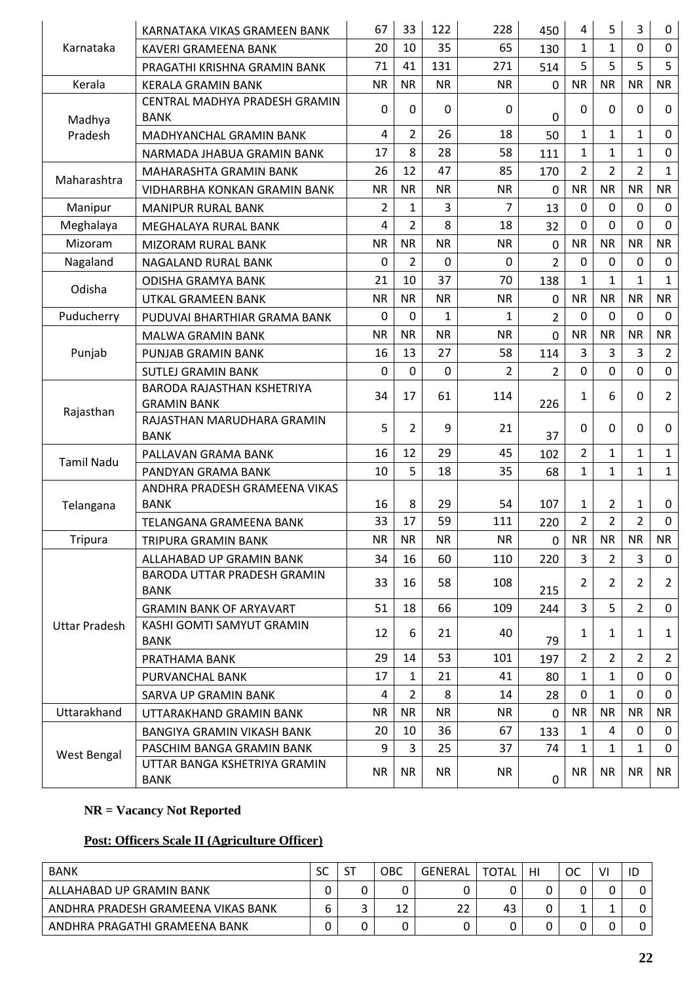|                   | KARNATAKA VIKAS GRAMEEN BANK                     | 67             | 33             | 122          | 228       | 450            | 4              | 5              | 3              | 0                |
|-------------------|--------------------------------------------------|----------------|----------------|--------------|-----------|----------------|----------------|----------------|----------------|------------------|
| Karnataka         | <b>KAVERI GRAMEENA BANK</b>                      | 20             | 10             | 35           | 65        | 130            | $\mathbf{1}$   | $\mathbf{1}$   | $\mathbf 0$    | $\mathbf 0$      |
|                   | PRAGATHI KRISHNA GRAMIN BANK                     | 71             | 41             | 131          | 271       | 514            | 5              | 5              | 5              | 5                |
| Kerala            | <b>KERALA GRAMIN BANK</b>                        | <b>NR</b>      | <b>NR</b>      | <b>NR</b>    | <b>NR</b> | 0              | <b>NR</b>      | <b>NR</b>      | <b>NR</b>      | <b>NR</b>        |
| Madhya            | CENTRAL MADHYA PRADESH GRAMIN<br><b>BANK</b>     | 0              | 0              | $\mathbf{0}$ | 0         | 0              | 0              | $\Omega$       | $\mathbf 0$    | $\mathbf 0$      |
| Pradesh           | MADHYANCHAL GRAMIN BANK                          | 4              | $\overline{2}$ | 26           | 18        | 50             | $\mathbf{1}$   | $\mathbf 1$    | $\mathbf{1}$   | $\mathbf 0$      |
|                   | NARMADA JHABUA GRAMIN BANK                       | 17             | 8              | 28           | 58        | 111            | $\mathbf{1}$   | $\mathbf{1}$   | $\mathbf{1}$   | $\mathbf 0$      |
| Maharashtra       | MAHARASHTA GRAMIN BANK                           | 26             | 12             | 47           | 85        | 170            | 2              | 2              | $\overline{2}$ | $\mathbf{1}$     |
|                   | VIDHARBHA KONKAN GRAMIN BANK                     | <b>NR</b>      | <b>NR</b>      | <b>NR</b>    | <b>NR</b> | 0              | <b>NR</b>      | <b>NR</b>      | <b>NR</b>      | <b>NR</b>        |
| Manipur           | <b>MANIPUR RURAL BANK</b>                        | $\overline{2}$ | $\mathbf{1}$   | 3            | 7         | 13             | 0              | 0              | $\mathbf 0$    | $\mathbf 0$      |
| Meghalaya         | MEGHALAYA RURAL BANK                             | $\overline{4}$ | $\overline{2}$ | 8            | 18        | 32             | $\Omega$       | 0              | 0              | $\mathbf 0$      |
| Mizoram           | <b>MIZORAM RURAL BANK</b>                        | <b>NR</b>      | <b>NR</b>      | <b>NR</b>    | <b>NR</b> | $\mathbf 0$    | <b>NR</b>      | <b>NR</b>      | <b>NR</b>      | <b>NR</b>        |
| Nagaland          | <b>NAGALAND RURAL BANK</b>                       | 0              | 2              | 0            | 0         | $\overline{2}$ | 0              | 0              | 0              | $\mathbf 0$      |
|                   | <b>ODISHA GRAMYA BANK</b>                        | 21             | 10             | 37           | 70        | 138            | $\mathbf{1}$   | $\mathbf{1}$   | $\mathbf{1}$   | $\mathbf{1}$     |
| Odisha            | UTKAL GRAMEEN BANK                               | <b>NR</b>      | <b>NR</b>      | <b>NR</b>    | <b>NR</b> | $\mathbf 0$    | <b>NR</b>      | <b>NR</b>      | <b>NR</b>      | <b>NR</b>        |
| Puducherry        | PUDUVAI BHARTHIAR GRAMA BANK                     | 0              | 0              | $\mathbf{1}$ | 1         | $\overline{2}$ | 0              | 0              | 0              | $\mathbf 0$      |
|                   | <b>MALWA GRAMIN BANK</b>                         | <b>NR</b>      | <b>NR</b>      | <b>NR</b>    | <b>NR</b> | $\mathbf 0$    | <b>NR</b>      | <b>NR</b>      | <b>NR</b>      | <b>NR</b>        |
| Punjab            | PUNJAB GRAMIN BANK                               | 16             | 13             | 27           | 58        | 114            | 3              | 3              | 3              | $\overline{2}$   |
|                   | <b>SUTLEJ GRAMIN BANK</b>                        | $\mathbf 0$    | $\overline{0}$ | $\mathbf 0$  | 2         | $\overline{2}$ | $\overline{0}$ | 0              | $\mathbf{0}$   | $\mathbf 0$      |
|                   | BARODA RAJASTHAN KSHETRIYA<br><b>GRAMIN BANK</b> | 34             | 17             | 61           | 114       | 226            | 1              | 6              | $\mathbf 0$    | $\overline{2}$   |
| Rajasthan         | RAJASTHAN MARUDHARA GRAMIN<br><b>BANK</b>        | 5              | 2              | 9            | 21        | 37             | 0              | 0              | $\mathbf{0}$   | 0                |
| <b>Tamil Nadu</b> | PALLAVAN GRAMA BANK                              | 16             | 12             | 29           | 45        | 102            | $\overline{2}$ | $\mathbf{1}$   | $\mathbf{1}$   | $\mathbf{1}$     |
|                   | PANDYAN GRAMA BANK                               | 10             | 5              | 18           | 35        | 68             | 1              | $\mathbf{1}$   | $\mathbf{1}$   | $\mathbf{1}$     |
| Telangana         | ANDHRA PRADESH GRAMEENA VIKAS<br><b>BANK</b>     | 16             | 8              | 29           | 54        | 107            | 1              | 2              | 1              | $\boldsymbol{0}$ |
|                   | TELANGANA GRAMEENA BANK                          | 33             | 17             | 59           | 111       | 220            | $\overline{2}$ | $\overline{2}$ | $\overline{2}$ | $\mathbf 0$      |
| <b>Tripura</b>    | TRIPURA GRAMIN BANK                              | <b>NR</b>      | <b>NR</b>      | <b>NR</b>    | <b>NR</b> | 0              | <b>NR</b>      | <b>NR</b>      | <b>NR</b>      | <b>NR</b>        |
|                   | ALLAHABAD UP GRAMIN BANK                         | 34             | 16             | 60           | 110       | 220            | $\mathbf{3}$   | $\overline{2}$ | $\overline{3}$ | $\mathbf 0$      |
|                   | BARODA UTTAR PRADESH GRAMIN<br>BANK              | 33             | 16             | 58           | 108       | 215            | $\overline{2}$ | $\overline{2}$ | $\overline{2}$ | $2^{\circ}$      |
|                   | <b>GRAMIN BANK OF ARYAVART</b>                   | 51             | 18             | 66           | 109       | 244            | 3              | 5              | $\overline{2}$ | $\mathbf 0$      |
| Uttar Pradesh     | KASHI GOMTI SAMYUT GRAMIN<br>BANK                | 12             | 6              | 21           | 40        | 79             | 1              | 1              | $\mathbf{1}$   | $\mathbf{1}$     |
|                   | PRATHAMA BANK                                    | 29             | 14             | 53           | 101       | 197            | $\overline{2}$ | 2              | 2              | $\mathbf{2}$     |
|                   | PURVANCHAL BANK                                  | 17             | 1              | 21           | 41        | 80             | $\mathbf{1}$   | 1              | $\mathbf 0$    | $\mathbf{0}$     |
|                   | SARVA UP GRAMIN BANK                             | $\overline{a}$ | 2              | 8            | 14        | 28             | 0              | 1              | 0              | $\mathbf{0}$     |
| Uttarakhand       | UTTARAKHAND GRAMIN BANK                          | NR.            | <b>NR</b>      | <b>NR</b>    | NR.       | $\Omega$       | <b>NR</b>      | <b>NR</b>      | <b>NR</b>      | <b>NR</b>        |
|                   | BANGIYA GRAMIN VIKASH BANK                       | 20             | 10             | 36           | 67        | 133            | $\mathbf{1}$   | 4              | 0              | 0                |
| West Bengal       | PASCHIM BANGA GRAMIN BANK                        | 9              | $\overline{3}$ | 25           | 37        | 74             | $\mathbf{1}$   | $\mathbf{1}$   | $\mathbf{1}$   | $\mathbf 0$      |
|                   | UTTAR BANGA KSHETRIYA GRAMIN<br>BANK             | <b>NR</b>      | <b>NR</b>      | <b>NR</b>    | <b>NR</b> | $\pmb{0}$      | <b>NR</b>      | <b>NR</b>      | <b>NR</b>      | <b>NR</b>        |

# **Post: Officers Scale II (Agriculture Officer)**

| <b>BANK</b>                        | SC | $c_{\rm T}$<br>J. | OBC | GENERAL | <b>TOTAL</b> | HI | ОC | ۷I | ID |
|------------------------------------|----|-------------------|-----|---------|--------------|----|----|----|----|
| ALLAHABAD UP GRAMIN BANK           |    |                   |     |         |              |    |    |    |    |
| ANDHRA PRADESH GRAMEENA VIKAS BANK |    |                   | 12  | 22      | 43           | ັ  |    |    |    |
| ANDHRA PRAGATHI GRAMEENA BANK      |    |                   |     |         |              | ັ  |    |    |    |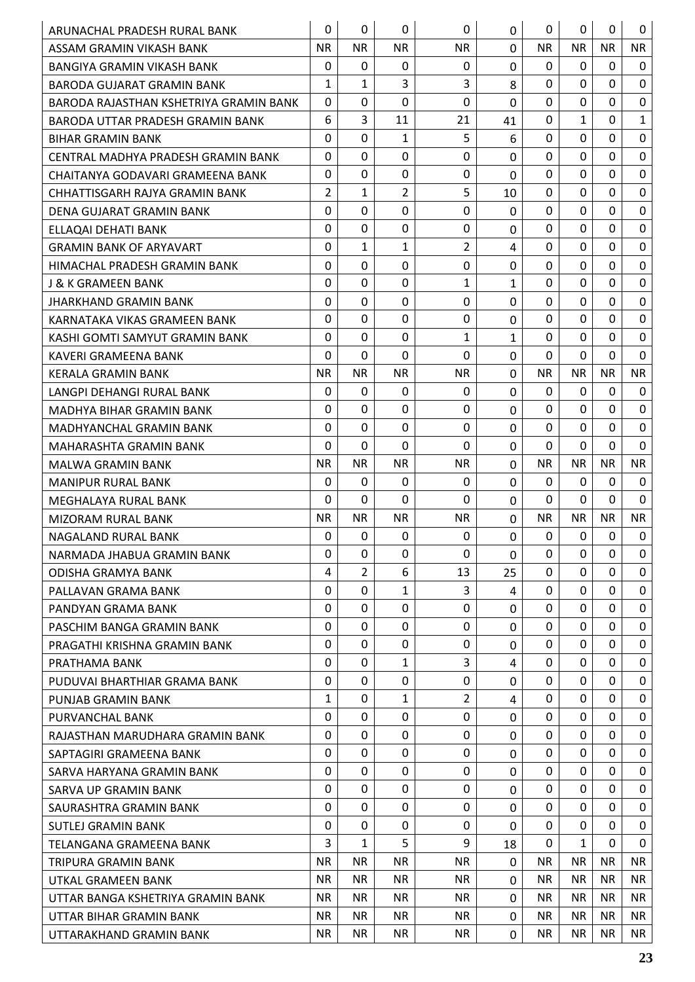| ARUNACHAL PRADESH RURAL BANK           | 0            | 0              | 0              | $\mathbf 0$    | 0              | $\mathbf{0}$ | 0            | 0            | 0            |
|----------------------------------------|--------------|----------------|----------------|----------------|----------------|--------------|--------------|--------------|--------------|
| ASSAM GRAMIN VIKASH BANK               | <b>NR</b>    | <b>NR</b>      | <b>NR</b>      | <b>NR</b>      | 0              | <b>NR</b>    | <b>NR</b>    | <b>NR</b>    | <b>NR</b>    |
| <b>BANGIYA GRAMIN VIKASH BANK</b>      | $\mathbf{0}$ | $\mathbf{0}$   | 0              | 0              | $\Omega$       | 0            | $\Omega$     | $\mathbf{0}$ | $\Omega$     |
| BARODA GUJARAT GRAMIN BANK             | 1            | $\mathbf{1}$   | 3              | 3              | 8              | 0            | $\Omega$     | 0            | $\mathbf 0$  |
| BARODA RAJASTHAN KSHETRIYA GRAMIN BANK | $\Omega$     | 0              | 0              | 0              | $\overline{0}$ | $\Omega$     | $\mathbf 0$  | $\mathbf 0$  | $\mathbf 0$  |
| BARODA UTTAR PRADESH GRAMIN BANK       | 6            | 3              | 11             | 21             | 41             | 0            | 1            | 0            | $\mathbf{1}$ |
| <b>BIHAR GRAMIN BANK</b>               | $\Omega$     | $\mathbf 0$    | $\mathbf{1}$   | 5              | 6              | $\Omega$     | $\mathbf 0$  | $\mathbf 0$  | $\mathbf 0$  |
| CENTRAL MADHYA PRADESH GRAMIN BANK     | $\mathbf{0}$ | $\mathbf 0$    | 0              | $\Omega$       | $\mathbf 0$    | 0            | 0            | 0            | $\mathbf 0$  |
| CHAITANYA GODAVARI GRAMEENA BANK       | $\Omega$     | $\mathbf 0$    | 0              | $\mathbf 0$    | 0              | $\Omega$     | $\mathbf 0$  | $\Omega$     | $\mathbf 0$  |
| CHHATTISGARH RAJYA GRAMIN BANK         | 2            | $\mathbf{1}$   | $\overline{2}$ | 5              | 10             | 0            | $\Omega$     | 0            | $\mathbf 0$  |
| DENA GUJARAT GRAMIN BANK               | 0            | $\mathbf 0$    | 0              | $\mathbf{0}$   | 0              | 0            | 0            | 0            | $\mathbf 0$  |
| ELLAQAI DEHATI BANK                    | $\Omega$     | $\mathbf 0$    | 0              | 0              | $\mathbf 0$    | 0            | $\mathbf 0$  | $\mathbf 0$  | $\mathbf 0$  |
| <b>GRAMIN BANK OF ARYAVART</b>         | $\mathbf{0}$ | 1              | 1              | $\overline{2}$ | 4              | 0            | $\Omega$     | 0            | $\mathbf 0$  |
| HIMACHAL PRADESH GRAMIN BANK           | 0            | $\mathbf 0$    | 0              | 0              | 0              | 0            | 0            | $\Omega$     | $\mathbf 0$  |
| J & K GRAMEEN BANK                     | $\Omega$     | $\mathbf 0$    | 0              | 1              | $\mathbf{1}$   | $\Omega$     | $\mathbf 0$  | $\mathbf 0$  | $\mathbf 0$  |
| JHARKHAND GRAMIN BANK                  | 0            | $\mathbf 0$    | 0              | $\mathbf 0$    | 0              | 0            | 0            | 0            | $\mathbf 0$  |
| KARNATAKA VIKAS GRAMEEN BANK           | $\Omega$     | $\mathbf 0$    | $\Omega$       | 0              | $\overline{0}$ | $\Omega$     | $\mathbf 0$  | 0            | $\mathbf 0$  |
| KASHI GOMTI SAMYUT GRAMIN BANK         | $\Omega$     | $\Omega$       | 0              | 1              | $\mathbf{1}$   | 0            | 0            | 0            | $\mathbf 0$  |
| KAVERI GRAMEENA BANK                   | $\Omega$     | $\mathbf 0$    | $\Omega$       | $\mathbf 0$    | $\mathbf 0$    | $\Omega$     | $\mathbf 0$  | 0            | $\mathbf 0$  |
| <b>KERALA GRAMIN BANK</b>              | <b>NR</b>    | <b>NR</b>      | <b>NR</b>      | <b>NR</b>      | 0              | <b>NR</b>    | <b>NR</b>    | <b>NR</b>    | <b>NR</b>    |
| LANGPI DEHANGI RURAL BANK              | 0            | 0              | 0              | $\mathbf{0}$   | 0              | 0            | $\Omega$     | 0            | 0            |
| MADHYA BIHAR GRAMIN BANK               | $\mathbf{0}$ | $\mathbf 0$    | 0              | $\mathbf{0}$   | $\overline{0}$ | 0            | $\mathbf 0$  | $\mathbf 0$  | $\mathbf 0$  |
| <b>MADHYANCHAL GRAMIN BANK</b>         | 0            | 0              | 0              | $\mathbf 0$    | 0              | 0            | 0            | 0            | $\mathbf 0$  |
| MAHARASHTA GRAMIN BANK                 | $\Omega$     | $\mathbf 0$    | $\Omega$       | $\Omega$       | 0              | $\Omega$     | $\Omega$     | 0            | $\mathbf 0$  |
| <b>MALWA GRAMIN BANK</b>               | <b>NR</b>    | <b>NR</b>      | <b>NR</b>      | <b>NR</b>      | 0              | <b>NR</b>    | <b>NR</b>    | <b>NR</b>    | <b>NR</b>    |
| <b>MANIPUR RURAL BANK</b>              | 0            | 0              | 0              | 0              | 0              | 0            | 0            | 0            | 0            |
| MEGHALAYA RURAL BANK                   | 0            | $\mathbf 0$    | $\Omega$       | $\mathbf{0}$   | 0              | 0            | $\Omega$     | 0            | $\mathbf 0$  |
| <b>MIZORAM RURAL BANK</b>              | <b>NR</b>    | <b>NR</b>      | <b>NR</b>      | <b>NR</b>      | 0              | <b>NR</b>    | <b>NR</b>    | <b>NR</b>    | <b>NR</b>    |
| NAGALAND RURAL BANK                    | 0            | $\mathbf 0$    | 0              | 0              | $\overline{0}$ | 0            | $\mathbf 0$  | $\mathbf 0$  | $\mathbf 0$  |
| NARMADA JHABUA GRAMIN BANK             | 0            | 0              | 0              | $\Omega$       | 0              | 0            | 0            | 0            | 0            |
| <b>ODISHA GRAMYA BANK</b>              | 4            | $\overline{2}$ | 6              | 13             | 25             | $\Omega$     | $\mathbf 0$  | $\Omega$     | $\mathbf 0$  |
| PALLAVAN GRAMA BANK                    | $\Omega$     | $\mathbf 0$    | $\mathbf{1}$   | 3              | 4              | 0            | $\Omega$     | $\Omega$     | 0            |
| PANDYAN GRAMA BANK                     | 0            | 0              | 0              | $\mathbf{0}$   | $\Omega$       | 0            | $\Omega$     | 0            | $\Omega$     |
| PASCHIM BANGA GRAMIN BANK              | $\Omega$     | $\mathbf 0$    | 0              | $\mathbf{0}$   | 0              | $\Omega$     | $\mathbf 0$  | $\mathbf 0$  | $\mathbf 0$  |
| PRAGATHI KRISHNA GRAMIN BANK           | 0            | 0              | 0              | 0              | 0              | 0            | $\Omega$     | 0            | 0            |
| PRATHAMA BANK                          | $\Omega$     | $\mathbf 0$    | $\mathbf{1}$   | 3              | 4              | 0            | 0            | $\Omega$     | $\mathbf 0$  |
| PUDUVAI BHARTHIAR GRAMA BANK           | $\Omega$     | $\mathbf 0$    | 0              | 0              | $\Omega$       | $\Omega$     | 0            | $\Omega$     | 0            |
| PUNJAB GRAMIN BANK                     | $\mathbf{1}$ | $\mathbf 0$    | $\mathbf{1}$   | $\overline{2}$ | 4              | 0            | $\Omega$     | $\Omega$     | $\mathbf 0$  |
| PURVANCHAL BANK                        | 0            | $\Omega$       | 0              | 0              | $\Omega$       | 0            | $\Omega$     | $\Omega$     | 0            |
| RAJASTHAN MARUDHARA GRAMIN BANK        | 0            | 0              | 0              | $\mathbf{0}$   | $\Omega$       | 0            | $\Omega$     | 0            | $\Omega$     |
| SAPTAGIRI GRAMEENA BANK                | 0            | $\mathbf 0$    | 0              | 0              | 0              | $\Omega$     | $\mathbf 0$  | $\mathbf 0$  | $\mathbf 0$  |
| SARVA HARYANA GRAMIN BANK              | $\Omega$     | 0              | 0              | 0              | $\Omega$       | 0            | 0            | 0            | 0            |
| <b>SARVA UP GRAMIN BANK</b>            | 0            | $\Omega$       | 0              | 0              | 0              | $\Omega$     | $\Omega$     | $\Omega$     | $\mathbf 0$  |
| SAURASHTRA GRAMIN BANK                 | $\mathbf 0$  | $\mathbf 0$    | 0              | $\Omega$       | $\Omega$       | $\Omega$     | $\mathbf 0$  | $\Omega$     | $\mathbf 0$  |
| SUTLEJ GRAMIN BANK                     | 0            | $\Omega$       | 0              | 0              | $\Omega$       | 0            | $\Omega$     | 0            | 0            |
| TELANGANA GRAMEENA BANK                | 3            | $\mathbf{1}$   | 5              | 9              | 18             | $\Omega$     | $\mathbf{1}$ | 0            | $\Omega$     |
| TRIPURA GRAMIN BANK                    | <b>NR</b>    | <b>NR</b>      | <b>NR</b>      | <b>NR</b>      | $\Omega$       | NR.          | <b>NR</b>    | <b>NR</b>    | <b>NR</b>    |
| UTKAL GRAMEEN BANK                     | <b>NR</b>    | <b>NR</b>      | NR.            | <b>NR</b>      | $\mathbf 0$    | NR.          | <b>NR</b>    | <b>NR</b>    | <b>NR</b>    |
| UTTAR BANGA KSHETRIYA GRAMIN BANK      | NR.          | <b>NR</b>      | <b>NR</b>      | <b>NR</b>      | $\Omega$       | NR.          | <b>NR</b>    | <b>NR</b>    | NR.          |
| UTTAR BIHAR GRAMIN BANK                | <b>NR</b>    | <b>NR</b>      | <b>NR</b>      | <b>NR</b>      | $\mathbf 0$    | NR.          | <b>NR</b>    | <b>NR</b>    | NR.          |
| UTTARAKHAND GRAMIN BANK                | NR.          | <b>NR</b>      | NR.            | <b>NR</b>      | $\mathbf 0$    | <b>NR</b>    | <b>NR</b>    | <b>NR</b>    | NR.          |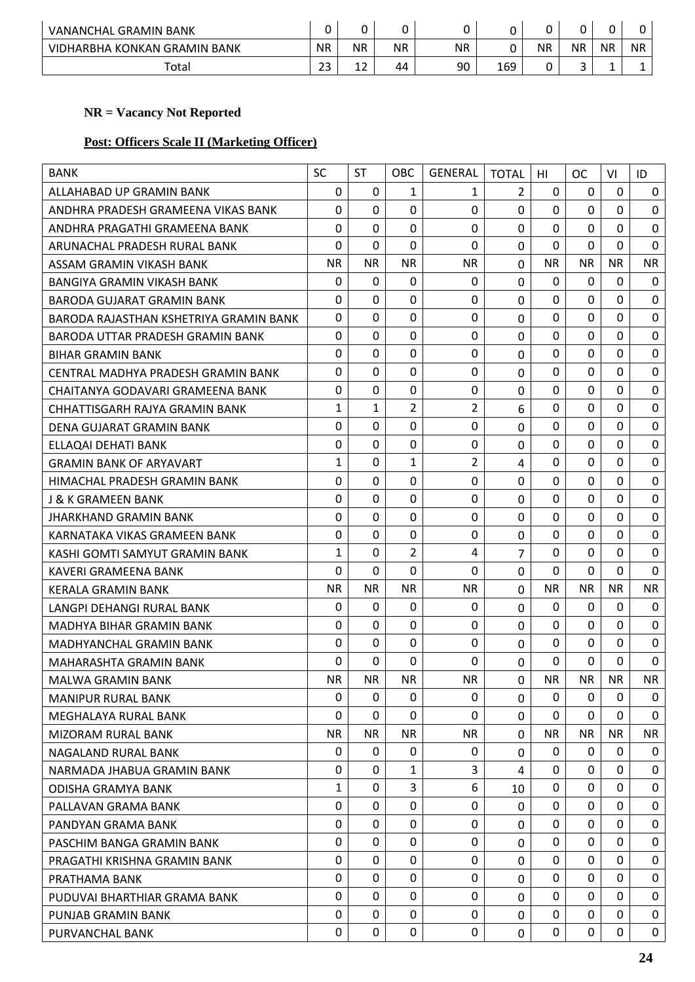| VANANCHAL GRAMIN BANK        |            |           |           |           |     |    | 0         |           |           |
|------------------------------|------------|-----------|-----------|-----------|-----|----|-----------|-----------|-----------|
| VIDHARBHA KONKAN GRAMIN BANK | <b>NR</b>  | <b>NR</b> | <b>NR</b> | <b>NR</b> |     | ΝR | <b>NR</b> | <b>NR</b> | <b>NR</b> |
| Total                        | ר ר<br>ر ے | -<br>--   | 44        | 90        | 169 |    | ب         | -         | -         |

# **Post: Officers Scale II (Marketing Officer)**

| <b>BANK</b>                            | <b>SC</b>    | <b>ST</b>   | <b>OBC</b>     | <b>GENERAL</b> | <b>TOTAL</b>   | HI             | <b>OC</b>   | VI           | ID               |
|----------------------------------------|--------------|-------------|----------------|----------------|----------------|----------------|-------------|--------------|------------------|
| ALLAHABAD UP GRAMIN BANK               | $\Omega$     | 0           | 1              | 1              | $\overline{2}$ | 0              | $\Omega$    | $\Omega$     | 0                |
| ANDHRA PRADESH GRAMEENA VIKAS BANK     | $\Omega$     | $\Omega$    | $\mathbf 0$    | 0              | $\mathbf 0$    | $\mathbf 0$    | $\Omega$    | 0            | $\mathbf 0$      |
| ANDHRA PRAGATHI GRAMEENA BANK          | $\mathbf 0$  | $\Omega$    | 0              | 0              | $\mathbf 0$    | 0              | $\mathbf 0$ | $\mathbf 0$  | $\mathbf 0$      |
| ARUNACHAL PRADESH RURAL BANK           | $\mathbf 0$  | 0           | $\mathbf 0$    | $\mathbf 0$    | $\mathbf 0$    | $\overline{0}$ | $\mathbf 0$ | $\mathbf 0$  | $\mathbf 0$      |
| ASSAM GRAMIN VIKASH BANK               | <b>NR</b>    | <b>NR</b>   | <b>NR</b>      | <b>NR</b>      | $\mathbf 0$    | <b>NR</b>      | <b>NR</b>   | <b>NR</b>    | <b>NR</b>        |
| BANGIYA GRAMIN VIKASH BANK             | $\Omega$     | 0           | 0              | 0              | $\mathbf 0$    | 0              | 0           | $\Omega$     | 0                |
| BARODA GUJARAT GRAMIN BANK             | $\mathbf 0$  | 0           | 0              | 0              | $\mathbf 0$    | 0              | $\mathbf 0$ | $\mathbf 0$  | $\mathbf 0$      |
| BARODA RAJASTHAN KSHETRIYA GRAMIN BANK | 0            | 0           | $\mathbf 0$    | 0              | 0              | 0              | $\Omega$    | $\Omega$     | $\mathbf 0$      |
| BARODA UTTAR PRADESH GRAMIN BANK       | $\Omega$     | 0           | $\mathbf 0$    | 0              | $\mathbf 0$    | $\mathbf 0$    | $\mathbf 0$ | $\Omega$     | $\mathbf 0$      |
| <b>BIHAR GRAMIN BANK</b>               | $\mathbf 0$  | 0           | 0              | 0              | $\mathbf 0$    | $\mathbf 0$    | $\mathbf 0$ | $\mathbf{0}$ | $\mathbf 0$      |
| CENTRAL MADHYA PRADESH GRAMIN BANK     | $\mathbf 0$  | 0           | 0              | 0              | 0              | 0              | $\Omega$    | $\Omega$     | $\mathbf 0$      |
| CHAITANYA GODAVARI GRAMEENA BANK       | $\mathbf 0$  | $\Omega$    | $\mathbf 0$    | 0              | $\mathbf 0$    | 0              | $\mathbf 0$ | $\mathbf 0$  | $\mathbf 0$      |
| CHHATTISGARH RAJYA GRAMIN BANK         | 1            | 1           | $\overline{2}$ | 2              | 6              | 0              | $\Omega$    | $\Omega$     | $\mathbf 0$      |
| DENA GUJARAT GRAMIN BANK               | $\mathbf 0$  | $\mathbf 0$ | $\mathbf 0$    | $\mathbf 0$    | $\mathbf 0$    | 0              | $\mathbf 0$ | $\mathbf 0$  | $\mathbf 0$      |
| ELLAQAI DEHATI BANK                    | 0            | 0           | $\mathbf 0$    | 0              | $\mathbf 0$    | 0              | $\Omega$    | $\Omega$     | $\boldsymbol{0}$ |
| <b>GRAMIN BANK OF ARYAVART</b>         | 1            | 0           | $\mathbf{1}$   | 2              | 4              | $\mathbf 0$    | $\mathbf 0$ | $\mathbf 0$  | $\mathbf 0$      |
| HIMACHAL PRADESH GRAMIN BANK           | $\mathbf 0$  | 0           | 0              | 0              | $\mathbf 0$    | 0              | $\mathbf 0$ | $\mathbf 0$  | $\boldsymbol{0}$ |
| J & K GRAMEEN BANK                     | $\mathbf 0$  | $\Omega$    | 0              | 0              | $\mathbf 0$    | 0              | $\Omega$    | $\Omega$     | $\mathbf 0$      |
| JHARKHAND GRAMIN BANK                  | $\mathbf 0$  | $\Omega$    | $\mathbf 0$    | $\Omega$       | $\mathbf 0$    | $\mathbf 0$    | $\mathbf 0$ | 0            | $\mathbf 0$      |
| KARNATAKA VIKAS GRAMEEN BANK           | $\mathbf 0$  | 0           | 0              | 0              | 0              | 0              | $\mathbf 0$ | $\Omega$     | $\mathbf 0$      |
| KASHI GOMTI SAMYUT GRAMIN BANK         | $\mathbf{1}$ | 0           | $\overline{2}$ | 4              | $\overline{7}$ | $\mathbf 0$    | $\mathbf 0$ | $\Omega$     | $\boldsymbol{0}$ |
| <b>KAVERI GRAMEENA BANK</b>            | $\mathbf 0$  | $\Omega$    | $\mathbf 0$    | $\Omega$       | $\mathbf 0$    | $\mathbf 0$    | $\mathbf 0$ | $\Omega$     | $\mathbf 0$      |
| <b>KERALA GRAMIN BANK</b>              | <b>NR</b>    | <b>NR</b>   | <b>NR</b>      | <b>NR</b>      | $\mathbf 0$    | <b>NR</b>      | <b>NR</b>   | <b>NR</b>    | <b>NR</b>        |
| LANGPI DEHANGI RURAL BANK              | $\Omega$     | $\Omega$    | 0              | 0              | $\mathbf 0$    | $\Omega$       | $\Omega$    | 0            | 0                |
| <b>MADHYA BIHAR GRAMIN BANK</b>        | $\mathbf 0$  | 0           | $\mathbf 0$    | 0              | $\mathbf 0$    | 0              | $\Omega$    | $\Omega$     | 0                |
| <b>MADHYANCHAL GRAMIN BANK</b>         | $\mathbf 0$  | 0           | $\mathbf 0$    | 0              | 0              | $\mathbf 0$    | $\mathbf 0$ | $\Omega$     | $\mathbf 0$      |
| MAHARASHTA GRAMIN BANK                 | $\mathbf 0$  | $\Omega$    | $\mathbf 0$    | $\mathbf{0}$   | $\mathbf{0}$   | $\Omega$       | $\mathbf 0$ | $\Omega$     | $\mathbf 0$      |
| MALWA GRAMIN BANK                      | <b>NR</b>    | <b>NR</b>   | <b>NR</b>      | <b>NR</b>      | $\Omega$       | <b>NR</b>      | <b>NR</b>   | <b>NR</b>    | <b>NR</b>        |
| <b>MANIPUR RURAL BANK</b>              | $\mathbf 0$  | $\mathbf 0$ | $\Omega$       | $\Omega$       | $\mathbf 0$    | $\mathbf 0$    | $\mathbf 0$ | $\Omega$     | $\mathbf 0$      |
| MEGHALAYA RURAL BANK                   | $\mathbf 0$  | 0           | $\Omega$       | 0              | 0              | 0              | 0           | $\Omega$     | $\Omega$         |
| <b>MIZORAM RURAL BANK</b>              | <b>NR</b>    | <b>NR</b>   | NR.            | <b>NR</b>      | $\mathbf 0$    | <b>NR</b>      | <b>NR</b>   | <b>NR</b>    | <b>NR</b>        |
| NAGALAND RURAL BANK                    | 0            | 0           | 0              | 0              | $\mathbf{0}$   | 0              | 0           | 0            | 0                |
| NARMADA JHABUA GRAMIN BANK             | $\mathbf 0$  | 0           | $\mathbf{1}$   | 3              | 4              | $\Omega$       | $\mathbf 0$ | $\Omega$     | $\mathbf 0$      |
| <b>ODISHA GRAMYA BANK</b>              | 1            | $\mathbf 0$ | $\overline{3}$ | 6              | 10             | $\Omega$       | $\Omega$    | $\Omega$     | $\mathbf 0$      |
| PALLAVAN GRAMA BANK                    | $\mathbf 0$  | $\Omega$    | 0              | 0              | $\mathbf{0}$   | $\Omega$       | $\Omega$    | 0            | 0                |
| PANDYAN GRAMA BANK                     | $\Omega$     | $\mathbf 0$ | $\Omega$       | 0              | $\mathbf{0}$   | $\Omega$       | $\Omega$    | $\Omega$     | $\mathbf 0$      |
| PASCHIM BANGA GRAMIN BANK              | 0            | 0           | 0              | 0              | $\mathbf 0$    | $\Omega$       | $\Omega$    | $\Omega$     | 0                |
| PRAGATHI KRISHNA GRAMIN BANK           | $\mathbf 0$  | 0           | $\mathbf 0$    | 0              | 0              | $\Omega$       | $\Omega$    | $\Omega$     | $\mathbf 0$      |
| PRATHAMA BANK                          | $\Omega$     | 0           | 0              | 0              | $\mathbf{0}$   | $\mathbf{0}$   | $\mathbf 0$ | $\Omega$     | 0                |
| PUDUVAI BHARTHIAR GRAMA BANK           | $\Omega$     | $\Omega$    | 0              | 0              | $\Omega$       | 0              | $\Omega$    | $\Omega$     | 0                |
| PUNJAB GRAMIN BANK                     | $\mathbf 0$  | $\mathbf 0$ | 0              | 0              | $\mathbf 0$    | $\mathbf 0$    | $\Omega$    | $\Omega$     | $\mathbf 0$      |
| PURVANCHAL BANK                        | $\mathbf 0$  | 0           | 0              | 0              | 0              | 0              | 0           | 0            | 0                |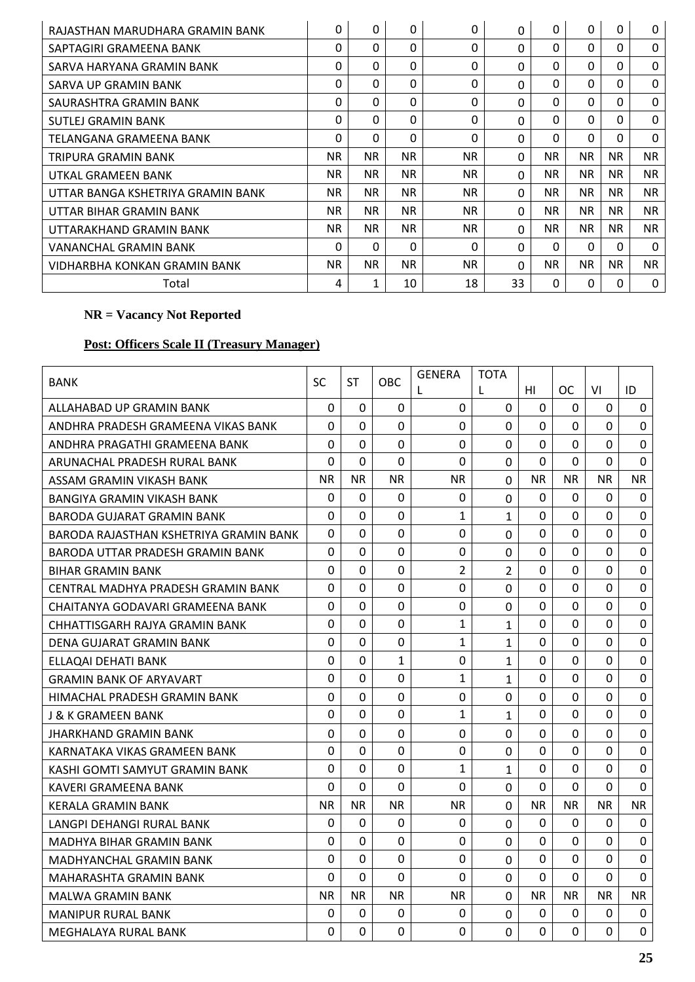| RAJASTHAN MARUDHARA GRAMIN BANK   | 0         | 0         | 0         | 0         | $\Omega$ | 0         | 0         | $\mathbf{0}$ | $\Omega$     |
|-----------------------------------|-----------|-----------|-----------|-----------|----------|-----------|-----------|--------------|--------------|
| SAPTAGIRI GRAMEENA BANK           | 0         | 0         | $\Omega$  | $\Omega$  | $\Omega$ | $\Omega$  | $\Omega$  | $\Omega$     | $\Omega$     |
| SARVA HARYANA GRAMIN BANK         | 0         | 0         | 0         | 0         | 0        | 0         | $\Omega$  | $\Omega$     | $\Omega$     |
| SARVA UP GRAMIN BANK              | 0         | 0         | $\Omega$  | 0         | $\Omega$ | 0         | $\Omega$  | $\mathbf{0}$ | $\Omega$     |
| SAURASHTRA GRAMIN BANK            | 0         | 0         | $\Omega$  | $\Omega$  | $\Omega$ | $\Omega$  | $\Omega$  | $\Omega$     | $\mathbf{0}$ |
| SUTLEJ GRAMIN BANK                | 0         | 0         | $\Omega$  | $\Omega$  | $\Omega$ | $\Omega$  | 0         | $\mathbf{0}$ | $\Omega$     |
| TELANGANA GRAMEENA BANK           | $\Omega$  | 0         | $\Omega$  | $\Omega$  | $\Omega$ | $\Omega$  | $\Omega$  | $\Omega$     | $\Omega$     |
| TRIPURA GRAMIN BANK               | NR.       | <b>NR</b> | <b>NR</b> | <b>NR</b> | $\Omega$ | <b>NR</b> | NR.       | <b>NR</b>    | <b>NR</b>    |
| UTKAL GRAMEEN BANK                | NR.       | <b>NR</b> | <b>NR</b> | <b>NR</b> | $\Omega$ | NR.       | <b>NR</b> | NR.          | NR.          |
| UTTAR BANGA KSHETRIYA GRAMIN BANK | NR.       | <b>NR</b> | NR.       | <b>NR</b> | $\Omega$ | NR.       | NR        | NR.          | <b>NR</b>    |
| UTTAR BIHAR GRAMIN BANK           | NR.       | <b>NR</b> | <b>NR</b> | <b>NR</b> | $\Omega$ | <b>NR</b> | <b>NR</b> | NR.          | NR.          |
| UTTARAKHAND GRAMIN BANK           | NR.       | <b>NR</b> | <b>NR</b> | NR.       | $\Omega$ | <b>NR</b> | <b>NR</b> | <b>NR</b>    | NR.          |
| VANANCHAL GRAMIN BANK             | 0         | 0         | $\Omega$  | $\Omega$  | $\Omega$ | $\Omega$  | $\Omega$  | $\Omega$     | $\Omega$     |
| VIDHARBHA KONKAN GRAMIN BANK      | <b>NR</b> | <b>NR</b> | <b>NR</b> | <b>NR</b> | $\Omega$ | <b>NR</b> | <b>NR</b> | <b>NR</b>    | <b>NR</b>    |
| Total                             | 4         | 1         | 10        | 18        | 33       | $\Omega$  | $\Omega$  | 0            | $\mathbf{0}$ |

# **Post: Officers Scale II (Treasury Manager)**

| <b>BANK</b>                            | SC             | ST             | <b>OBC</b>     | <b>GENERA</b><br>L | TOTA<br>L      | HI             | <b>OC</b>      | VI             | ID          |
|----------------------------------------|----------------|----------------|----------------|--------------------|----------------|----------------|----------------|----------------|-------------|
| ALLAHABAD UP GRAMIN BANK               | 0              | 0              | $\Omega$       | $\Omega$           | $\overline{0}$ | $\Omega$       | 0              | $\Omega$       | 0           |
| ANDHRA PRADESH GRAMEENA VIKAS BANK     | 0              | 0              | 0              | 0                  | 0              | 0              | 0              | 0              | 0           |
| ANDHRA PRAGATHI GRAMEENA BANK          | $\Omega$       | 0              | $\Omega$       | $\Omega$           | 0              | 0              | 0              | 0              | 0           |
| ARUNACHAL PRADESH RURAL BANK           | 0              | 0              | $\Omega$       | 0                  | 0              | 0              | 0              | 0              | $\Omega$    |
| ASSAM GRAMIN VIKASH BANK               | <b>NR</b>      | <b>NR</b>      | <b>NR</b>      | <b>NR</b>          | $\overline{0}$ | ΝR             | NR.            | <b>NR</b>      | NR.         |
| <b>BANGIYA GRAMIN VIKASH BANK</b>      | 0              | 0              | 0              | 0                  | 0              | 0              | 0              | 0              | 0           |
| <b>BARODA GUJARAT GRAMIN BANK</b>      | 0              | $\Omega$       | $\Omega$       | 1                  | $\mathbf{1}$   | $\Omega$       | $\Omega$       | 0              | $\Omega$    |
| BARODA RAJASTHAN KSHETRIYA GRAMIN BANK | $\Omega$       | 0              | $\Omega$       | $\mathbf 0$        | $\overline{0}$ | 0              | 0              | $\Omega$       | $\Omega$    |
| BARODA UTTAR PRADESH GRAMIN BANK       | $\mathbf 0$    | 0              | $\mathbf 0$    | $\mathbf 0$        | $\mathbf 0$    | 0              | 0              | 0              | $\mathbf 0$ |
| <b>BIHAR GRAMIN BANK</b>               | $\overline{0}$ | $\Omega$       | $\Omega$       | 2                  | $\overline{2}$ | 0              | $\Omega$       | 0              | $\mathbf 0$ |
| CENTRAL MADHYA PRADESH GRAMIN BANK     | $\Omega$       | $\Omega$       | $\Omega$       | $\mathbf 0$        | $\mathbf 0$    | $\overline{0}$ | $\Omega$       | $\Omega$       | $\Omega$    |
| CHAITANYA GODAVARI GRAMEENA BANK       | 0              | 0              | 0              | $\boldsymbol{0}$   | 0              | 0              | 0              | 0              | $\pmb{0}$   |
| CHHATTISGARH RAJYA GRAMIN BANK         | $\overline{0}$ | $\Omega$       | 0              | 1                  | $\mathbf{1}$   | $\Omega$       | $\Omega$       | 0              | $\mathbf 0$ |
| DENA GUJARAT GRAMIN BANK               | $\Omega$       | $\overline{0}$ | $\mathbf 0$    | 1                  | 1              | $\Omega$       | $\overline{0}$ | $\Omega$       | $\mathbf 0$ |
| ELLAQAI DEHATI BANK                    | $\mathbf 0$    | 0              | 1              | $\boldsymbol{0}$   | 1              | 0              | 0              | 0              | $\mathbf 0$ |
| <b>GRAMIN BANK OF ARYAVART</b>         | 0              | 0              | $\mathbf 0$    | 1                  | $\mathbf{1}$   | 0              | 0              | 0              | $\mathbf 0$ |
| HIMACHAL PRADESH GRAMIN BANK           | 0              | 0              | $\Omega$       | $\mathbf 0$        | 0              | 0              | 0              | $\Omega$       | $\mathbf 0$ |
| J & K GRAMEEN BANK                     | 0              | 0              | 0              | 1                  | $\mathbf{1}$   | 0              | 0              | 0              | $\mathbf 0$ |
| <b>JHARKHAND GRAMIN BANK</b>           | $\overline{0}$ | $\Omega$       | $\Omega$       | $\Omega$           | 0              | 0              | $\Omega$       | $\Omega$       | $\mathbf 0$ |
| KARNATAKA VIKAS GRAMEEN BANK           | $\overline{0}$ | 0              | $\Omega$       | $\Omega$           | 0              | $\overline{0}$ | $\overline{0}$ | $\Omega$       | $\Omega$    |
| KASHI GOMTI SAMYUT GRAMIN BANK         | $\mathbf 0$    | 0              | 0              | 1                  | $\mathbf{1}$   | 0              | 0              | 0              | $\mathbf 0$ |
| KAVERI GRAMEENA BANK                   | $\overline{0}$ | 0              | $\Omega$       | 0                  | 0              | $\mathbf 0$    | 0              | $\overline{0}$ | $\mathbf 0$ |
| KERALA GRAMIN BANK                     | <b>NR</b>      | <b>NR</b>      | <b>NR</b>      | <b>NR</b>          | $\overline{0}$ | <b>NR</b>      | <b>NR</b>      | <b>NR</b>      | <b>NR</b>   |
| LANGPI DEHANGI RURAL BANK              | 0              | 0              | 0              | 0                  | 0              | 0              | 0              | 0              | 0           |
| MADHYA BIHAR GRAMIN BANK               | $\overline{0}$ | $\Omega$       | $\Omega$       | $\Omega$           | $\Omega$       | $\overline{0}$ | $\Omega$       | $\Omega$       | $\Omega$    |
| MADHYANCHAL GRAMIN BANK                | $\overline{0}$ | $\Omega$       | $\overline{0}$ | $\mathbf 0$        | 0              | $\mathbf 0$    | $\Omega$       | $\Omega$       | $\mathbf 0$ |
| MAHARASHTA GRAMIN BANK                 | 0              | 0              | 0              | 0                  | 0              | 0              | 0              | 0              | 0           |
| <b>MALWA GRAMIN BANK</b>               | <b>NR</b>      | <b>NR</b>      | <b>NR</b>      | <b>NR</b>          | 0              | <b>NR</b>      | NR.            | <b>NR</b>      | <b>NR</b>   |
| <b>MANIPUR RURAL BANK</b>              | 0              | 0              | 0              | 0                  | 0              | 0              | 0              | 0              | 0           |
| MEGHALAYA RURAL BANK                   | 0              | 0              | 0              | 0                  | 0              | 0              | 0              | 0              | 0           |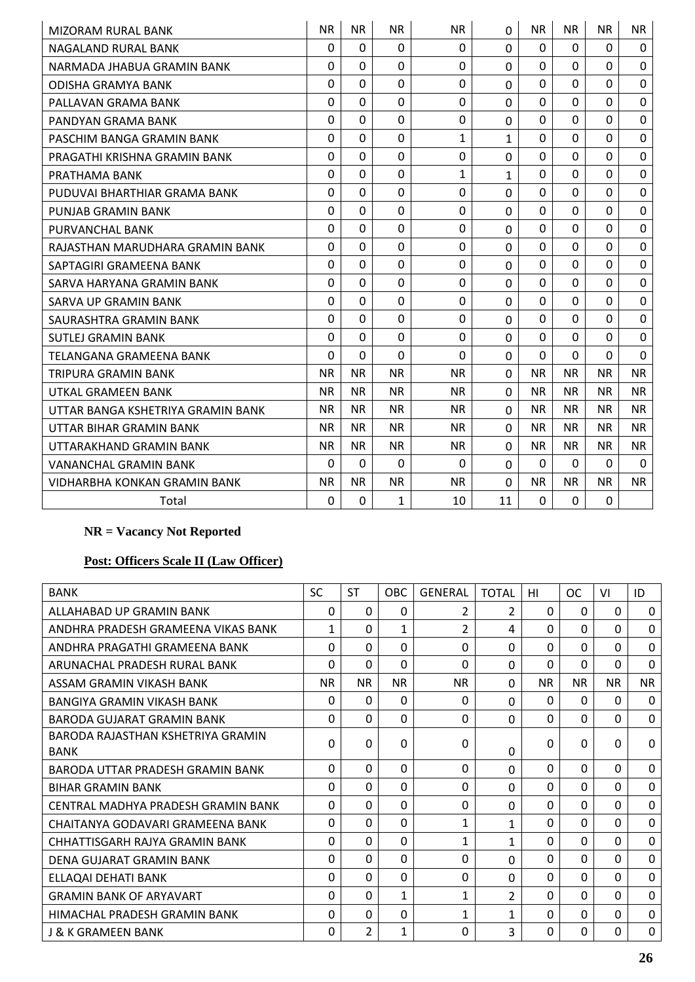| <b>MIZORAM RURAL BANK</b>         | <b>NR</b>    | <b>NR</b>   | <b>NR</b>    | <b>NR</b>    | 0              | <b>NR</b>   | <b>NR</b> | <b>NR</b>      | NR.         |
|-----------------------------------|--------------|-------------|--------------|--------------|----------------|-------------|-----------|----------------|-------------|
| NAGALAND RURAL BANK               | $\mathbf{0}$ | $\Omega$    | $\Omega$     | 0            | 0              | $\Omega$    | $\Omega$  | $\Omega$       | 0           |
| NARMADA JHABUA GRAMIN BANK        | $\Omega$     | 0           | $\Omega$     | 0            | 0              | $\Omega$    | $\Omega$  | $\Omega$       | $\mathbf 0$ |
| <b>ODISHA GRAMYA BANK</b>         | $\Omega$     | $\Omega$    | 0            | $\mathbf 0$  | 0              | $\Omega$    | $\Omega$  | $\Omega$       | $\Omega$    |
| PALLAVAN GRAMA BANK               | $\mathbf 0$  | $\Omega$    | $\mathbf 0$  | 0            | 0              | $\Omega$    | $\Omega$  | $\Omega$       | $\mathbf 0$ |
| PANDYAN GRAMA BANK                | $\Omega$     | $\Omega$    | $\Omega$     | $\Omega$     | 0              | $\Omega$    | $\Omega$  | $\Omega$       | $\Omega$    |
| PASCHIM BANGA GRAMIN BANK         | $\Omega$     | 0           | 0            | $\mathbf{1}$ | 1              | $\mathbf 0$ | 0         | $\Omega$       | $\mathbf 0$ |
| PRAGATHI KRISHNA GRAMIN BANK      | $\mathbf 0$  | $\Omega$    | $\mathbf{0}$ | $\mathbf{0}$ | 0              | $\Omega$    | $\Omega$  | $\Omega$       | $\Omega$    |
| PRATHAMA BANK                     | $\mathbf 0$  | $\mathbf 0$ | $\mathbf 0$  | 1            | $\mathbf{1}$   | $\mathbf 0$ | 0         | $\Omega$       | 0           |
| PUDUVAI BHARTHIAR GRAMA BANK      | $\Omega$     | $\Omega$    | $\mathbf 0$  | 0            | $\Omega$       | $\Omega$    | $\Omega$  | $\Omega$       | 0           |
| PUNJAB GRAMIN BANK                | 0            | 0           | $\Omega$     | 0            | $\Omega$       | $\mathbf 0$ | $\Omega$  | $\Omega$       | 0           |
| PURVANCHAL BANK                   | $\Omega$     | $\Omega$    | $\mathbf 0$  | $\mathbf 0$  | 0              | $\Omega$    | $\Omega$  | $\Omega$       | $\mathbf 0$ |
| RAJASTHAN MARUDHARA GRAMIN BANK   | $\Omega$     | $\Omega$    | $\Omega$     | $\Omega$     | $\Omega$       | $\Omega$    | $\Omega$  | $\Omega$       | $\Omega$    |
| SAPTAGIRI GRAMEENA BANK           | $\Omega$     | $\Omega$    | $\Omega$     | $\mathbf 0$  | $\mathbf 0$    | $\Omega$    | $\Omega$  | $\mathbf 0$    | 0           |
| SARVA HARYANA GRAMIN BANK         | $\mathbf 0$  | 0           | $\Omega$     | 0            | $\overline{0}$ | $\Omega$    | $\Omega$  | $\Omega$       | $\mathbf 0$ |
| SARVA UP GRAMIN BANK              | $\mathbf 0$  | $\mathbf 0$ | $\mathbf 0$  | $\mathbf 0$  | 0              | $\Omega$    | $\Omega$  | $\mathbf 0$    | 0           |
| SAURASHTRA GRAMIN BANK            | $\mathbf 0$  | $\Omega$    | $\Omega$     | $\mathbf 0$  | $\Omega$       | $\Omega$    | $\Omega$  | $\Omega$       | $\mathbf 0$ |
| <b>SUTLEJ GRAMIN BANK</b>         | $\Omega$     | $\mathbf 0$ | $\Omega$     | 0            | $\Omega$       | $\Omega$    | $\Omega$  | $\Omega$       | 0           |
| TELANGANA GRAMEENA BANK           | $\mathbf 0$  | 0           | $\Omega$     | 0            | 0              | $\Omega$    | $\Omega$  | $\Omega$       | $\mathbf 0$ |
| TRIPURA GRAMIN BANK               | <b>NR</b>    | <b>NR</b>   | <b>NR</b>    | <b>NR</b>    | $\Omega$       | <b>NR</b>   | <b>NR</b> | <b>NR</b>      | <b>NR</b>   |
| UTKAL GRAMEEN BANK                | <b>NR</b>    | <b>NR</b>   | <b>NR</b>    | <b>NR</b>    | 0              | <b>NR</b>   | <b>NR</b> | N <sub>R</sub> | <b>NR</b>   |
| UTTAR BANGA KSHETRIYA GRAMIN BANK | <b>NR</b>    | <b>NR</b>   | <b>NR</b>    | <b>NR</b>    | $\Omega$       | <b>NR</b>   | <b>NR</b> | <b>NR</b>      | <b>NR</b>   |
| UTTAR BIHAR GRAMIN BANK           | <b>NR</b>    | <b>NR</b>   | <b>NR</b>    | <b>NR</b>    | 0              | <b>NR</b>   | <b>NR</b> | <b>NR</b>      | <b>NR</b>   |
| UTTARAKHAND GRAMIN BANK           | <b>NR</b>    | <b>NR</b>   | <b>NR</b>    | <b>NR</b>    | 0              | <b>NR</b>   | <b>NR</b> | <b>NR</b>      | <b>NR</b>   |
| <b>VANANCHAL GRAMIN BANK</b>      | $\Omega$     | $\Omega$    | $\Omega$     | $\Omega$     | 0              | $\Omega$    | $\Omega$  | $\Omega$       | $\Omega$    |
| VIDHARBHA KONKAN GRAMIN BANK      | <b>NR</b>    | <b>NR</b>   | <b>NR</b>    | <b>NR</b>    | $\Omega$       | <b>NR</b>   | <b>NR</b> | <b>NR</b>      | <b>NR</b>   |
| Total                             | $\Omega$     | 0           | $\mathbf{1}$ | 10           | 11             | $\Omega$    | 0         | 0              |             |

# **Post: Officers Scale II (Law Officer)**

| <b>BANK</b>                                      | <b>SC</b>    | <b>ST</b>    | <b>OBC</b> | <b>GENERAL</b> | <b>TOTAL</b> | нı        | <b>OC</b> | VI           | ID          |
|--------------------------------------------------|--------------|--------------|------------|----------------|--------------|-----------|-----------|--------------|-------------|
| ALLAHABAD UP GRAMIN BANK                         | 0            | $\Omega$     | 0          | 2              | 2            | $\Omega$  | $\Omega$  | $\mathbf{0}$ | $\Omega$    |
| ANDHRA PRADESH GRAMEENA VIKAS BANK               | 1            | $\Omega$     | 1          | $\overline{2}$ | 4            | $\Omega$  | $\Omega$  | 0            | $\Omega$    |
| ANDHRA PRAGATHI GRAMEENA BANK                    | 0            | $\Omega$     | 0          | 0              | 0            | $\Omega$  | $\Omega$  | $\Omega$     | $\Omega$    |
| ARUNACHAL PRADESH RURAL BANK                     | 0            | 0            | 0          | 0              | 0            | $\Omega$  | $\Omega$  | $\Omega$     | $\Omega$    |
| ASSAM GRAMIN VIKASH BANK                         | NR.          | <b>NR</b>    | <b>NR</b>  | <b>NR</b>      | 0            | <b>NR</b> | <b>NR</b> | <b>NR</b>    | <b>NR</b>   |
| BANGIYA GRAMIN VIKASH BANK                       | 0            | 0            | 0          | $\Omega$       | 0            | $\Omega$  | $\Omega$  | $\Omega$     | $\Omega$    |
| BARODA GUJARAT GRAMIN BANK                       | 0            | 0            | $\Omega$   | 0              | 0            | $\Omega$  | 0         | $\Omega$     | $\Omega$    |
| BARODA RAJASTHAN KSHETRIYA GRAMIN<br><b>BANK</b> | 0            | <sup>0</sup> | 0          | 0              | 0            | 0         | $\Omega$  | 0            | $\Omega$    |
| BARODA UTTAR PRADESH GRAMIN BANK                 | 0            | 0            | $\Omega$   | 0              | 0            | $\Omega$  | $\Omega$  | 0            | $\Omega$    |
| <b>BIHAR GRAMIN BANK</b>                         | 0            | $\Omega$     | $\Omega$   | 0              | 0            | $\Omega$  | $\Omega$  | $\mathbf{0}$ | $\Omega$    |
| CENTRAL MADHYA PRADESH GRAMIN BANK               | $\Omega$     | $\Omega$     | $\Omega$   | 0              | 0            | $\Omega$  | $\Omega$  | $\Omega$     | $\Omega$    |
| CHAITANYA GODAVARI GRAMEENA BANK                 | $\Omega$     | $\Omega$     | $\Omega$   | 1              | 1            | $\Omega$  | $\Omega$  | $\Omega$     | $\mathbf 0$ |
| CHHATTISGARH RAJYA GRAMIN BANK                   | 0            | $\Omega$     | $\Omega$   | $\mathbf 1$    | 1            | $\Omega$  | $\Omega$  | $\Omega$     | $\Omega$    |
| DENA GUJARAT GRAMIN BANK                         | 0            | 0            | $\Omega$   | 0              | 0            | $\Omega$  | $\Omega$  | 0            | $\Omega$    |
| ELLAQAI DEHATI BANK                              | 0            | 0            | 0          | 0              | 0            | $\Omega$  | $\Omega$  | $\Omega$     | $\Omega$    |
| <b>GRAMIN BANK OF ARYAVART</b>                   | 0            | $\Omega$     | 1          | 1              | 2            | $\Omega$  | $\Omega$  | $\Omega$     | $\Omega$    |
| HIMACHAL PRADESH GRAMIN BANK                     | 0            | 0            | 0          | 1              | 1            | $\Omega$  | $\Omega$  | 0            | $\Omega$    |
| J & K GRAMEEN BANK                               | <sup>0</sup> | 2            | 1          | 0              | ς            | $\Omega$  | $\Omega$  | $\Omega$     | $\Omega$    |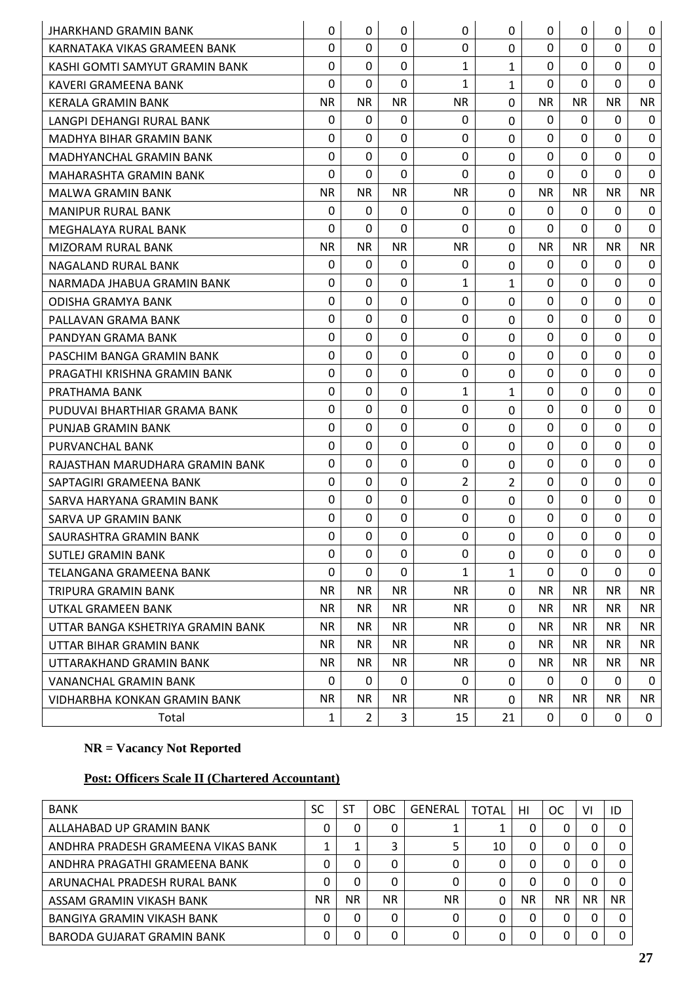| JHARKHAND GRAMIN BANK             | $\Omega$     | $\mathbf{0}$ | 0              | $\Omega$    | $\Omega$     | $\Omega$     | $\mathbf{0}$ | $\Omega$     | $\mathbf{0}$ |
|-----------------------------------|--------------|--------------|----------------|-------------|--------------|--------------|--------------|--------------|--------------|
| KARNATAKA VIKAS GRAMEEN BANK      | $\mathbf 0$  | $\Omega$     | 0              | 0           | $\Omega$     | $\mathbf 0$  | 0            | $\Omega$     | 0            |
| KASHI GOMTI SAMYUT GRAMIN BANK    | $\Omega$     | $\mathbf{0}$ | $\Omega$       | 1           | 1            | $\Omega$     | $\mathbf{0}$ | $\Omega$     | $\Omega$     |
| <b>KAVERI GRAMEENA BANK</b>       | $\Omega$     | $\mathbf 0$  | $\mathbf 0$    | 1           | 1            | $\Omega$     | $\mathbf 0$  | $\mathbf 0$  | 0            |
| <b>KERALA GRAMIN BANK</b>         | <b>NR</b>    | <b>NR</b>    | <b>NR</b>      | <b>NR</b>   | 0            | <b>NR</b>    | <b>NR</b>    | <b>NR</b>    | <b>NR</b>    |
| LANGPI DEHANGI RURAL BANK         | 0            | 0            | $\Omega$       | 0           | 0            | $\Omega$     | 0            | 0            | 0            |
| MADHYA BIHAR GRAMIN BANK          | 0            | $\Omega$     | 0              | $\mathbf 0$ | 0            | $\Omega$     | $\mathbf{0}$ | $\Omega$     | 0            |
| <b>MADHYANCHAL GRAMIN BANK</b>    | $\Omega$     | $\mathbf 0$  | $\overline{0}$ | 0           | $\Omega$     | $\Omega$     | $\mathbf{0}$ | $\mathbf 0$  | $\Omega$     |
| <b>MAHARASHTA GRAMIN BANK</b>     | $\Omega$     | 0            | 0              | 0           | 0            | $\mathbf 0$  | 0            | 0            | 0            |
| <b>MALWA GRAMIN BANK</b>          | <b>NR</b>    | <b>NR</b>    | <b>NR</b>      | <b>NR</b>   | $\Omega$     | <b>NR</b>    | <b>NR</b>    | <b>NR</b>    | <b>NR</b>    |
| <b>MANIPUR RURAL BANK</b>         | $\mathbf{0}$ | $\mathbf{0}$ | $\mathbf 0$    | 0           | 0            | 0            | $\mathbf{0}$ | $\mathbf{0}$ | 0            |
| MEGHALAYA RURAL BANK              | 0            | 0            | 0              | $\Omega$    | 0            | $\Omega$     | $\mathbf{0}$ | 0            | 0            |
| MIZORAM RURAL BANK                | <b>NR</b>    | <b>NR</b>    | <b>NR</b>      | <b>NR</b>   | $\Omega$     | <b>NR</b>    | NR.          | NR.          | <b>NR</b>    |
| NAGALAND RURAL BANK               | 0            | $\mathbf 0$  | 0              | 0           | 0            | 0            | $\mathbf{0}$ | 0            | 0            |
| NARMADA JHABUA GRAMIN BANK        | $\mathbf 0$  | $\mathbf 0$  | $\mathbf 0$    | 1           | 1            | $\mathbf 0$  | $\mathbf{0}$ | $\Omega$     | 0            |
| <b>ODISHA GRAMYA BANK</b>         | $\Omega$     | $\mathbf{0}$ | $\mathbf 0$    | 0           | $\mathbf{0}$ | $\Omega$     | $\mathbf{0}$ | $\Omega$     | 0            |
| PALLAVAN GRAMA BANK               | $\Omega$     | $\mathbf 0$  | 0              | 0           | 0            | $\Omega$     | $\mathbf 0$  | 0            | 0            |
| PANDYAN GRAMA BANK                | $\Omega$     | $\mathbf 0$  | $\mathbf 0$    | $\mathbf 0$ | 0            | $\mathbf 0$  | $\mathbf 0$  | $\mathbf 0$  | $\mathbf 0$  |
| PASCHIM BANGA GRAMIN BANK         | 0            | $\Omega$     | 0              | 0           | 0            | $\mathbf 0$  | 0            | $\Omega$     | 0            |
| PRAGATHI KRISHNA GRAMIN BANK      | $\Omega$     | $\mathbf 0$  | $\mathbf 0$    | 0           | $\Omega$     | $\Omega$     | $\mathbf{0}$ | $\Omega$     | $\Omega$     |
| PRATHAMA BANK                     | 0            | 0            | 0              | 1           | 1            | $\Omega$     | $\mathbf{0}$ | 0            | 0            |
| PUDUVAI BHARTHIAR GRAMA BANK      | $\mathbf 0$  | $\mathbf 0$  | $\mathbf 0$    | $\mathbf 0$ | 0            | $\mathbf{0}$ | $\mathbf 0$  | $\mathbf 0$  | 0            |
| PUNJAB GRAMIN BANK                | $\Omega$     | $\mathbf{0}$ | $\mathbf 0$    | 0           | $\Omega$     | $\Omega$     | $\Omega$     | $\Omega$     | 0            |
| PURVANCHAL BANK                   | $\Omega$     | 0            | 0              | $\mathbf 0$ | 0            | $\mathbf 0$  | $\mathbf 0$  | $\Omega$     | 0            |
| RAJASTHAN MARUDHARA GRAMIN BANK   | $\Omega$     | $\mathbf 0$  | $\mathbf 0$    | 0           | $\mathbf{0}$ | $\mathbf 0$  | $\mathbf 0$  | $\mathbf 0$  | $\Omega$     |
| SAPTAGIRI GRAMEENA BANK           | $\Omega$     | 0            | 0              | 2           | 2            | $\mathbf 0$  | $\mathbf{0}$ | $\Omega$     | 0            |
| SARVA HARYANA GRAMIN BANK         | $\Omega$     | $\mathbf 0$  | 0              | $\mathbf 0$ | 0            | $\mathbf 0$  | $\mathbf{0}$ | $\Omega$     | $\Omega$     |
| SARVA UP GRAMIN BANK              | $\Omega$     | $\mathbf{0}$ | $\mathbf 0$    | 0           | $\Omega$     | $\Omega$     | $\mathbf{0}$ | $\Omega$     | 0            |
| SAURASHTRA GRAMIN BANK            | $\Omega$     | $\mathbf 0$  | 0              | 0           | $\mathbf 0$  | $\mathbf 0$  | $\mathbf{0}$ | $\mathbf 0$  | $\mathbf 0$  |
| <b>SUTLEJ GRAMIN BANK</b>         | $\Omega$     | $\mathbf{0}$ | $\mathbf 0$    | 0           | $\mathbf 0$  | $\mathbf{0}$ | $\mathbf{0}$ | $\Omega$     | $\Omega$     |
| TELANGANA GRAMEENA BANK           | $\Omega$     | 0            | 0              | 1           | 1            | $\mathbf 0$  | 0            | $\Omega$     | 0            |
| TRIPURA GRAMIN BANK               | NR.          | <b>NR</b>    | <b>NR</b>      | <b>NR</b>   | $\Omega$     | <b>NR</b>    | NR.          | NR.          | NR.          |
| UTKAL GRAMEEN BANK                | NR.          | NR.          | <b>NR</b>      | <b>NR</b>   | 0            | <b>NR</b>    | <b>NR</b>    | NR.          | NR.          |
| UTTAR BANGA KSHETRIYA GRAMIN BANK | NR.          | <b>NR</b>    | <b>NR</b>      | <b>NR</b>   | 0            | <b>NR</b>    | <b>NR</b>    | NR.          | NR.          |
| UTTAR BIHAR GRAMIN BANK           | NR.          | <b>NR</b>    | <b>NR</b>      | NR.         | $\mathbf 0$  | <b>NR</b>    | <b>NR</b>    | <b>NR</b>    | NR.          |
| UTTARAKHAND GRAMIN BANK           | NR.          | NR.          | NR.            | NR.         | 0            | NR.          | NR.          | NR.          | NR.          |
| <b>VANANCHAL GRAMIN BANK</b>      | $\mathbf{0}$ | 0            | 0              | 0           | $\Omega$     | 0            | 0            | 0            | 0            |
| VIDHARBHA KONKAN GRAMIN BANK      | NR.          | <b>NR</b>    | <b>NR</b>      | NR.         | $\Omega$     | NR.          | <b>NR</b>    | NR.          | NR           |
| Total                             | 1            | 2            | 3              | 15          | 21           | 0            | 0            | 0            | 0            |

# **Post: Officers Scale II (Chartered Accountant)**

| <b>BANK</b>                        | SC | <b>ST</b> | <b>OBC</b> | <b>GENERAL</b> | <b>TOTAL</b> | HI        | OC        | ۷ı        | ID  |
|------------------------------------|----|-----------|------------|----------------|--------------|-----------|-----------|-----------|-----|
| ALLAHABAD UP GRAMIN BANK           | 0  | 0         | 0          |                |              | 0         | 0         | 0         |     |
| ANDHRA PRADESH GRAMEENA VIKAS BANK |    |           | 3          | 5              | 10           | 0         | 0         | 0         |     |
| ANDHRA PRAGATHI GRAMEENA BANK      | 0  | 0         | 0          |                | 0            | 0         | 0         | 0         |     |
| ARUNACHAL PRADESH RURAL BANK       | 0  | 0         | 0          | 0              |              | 0         | 0         | 0         |     |
| ASSAM GRAMIN VIKASH BANK           | ΝR | NR.       | NR.        | NR.            | $\Omega$     | <b>NR</b> | <b>NR</b> | <b>NR</b> | NR. |
| BANGIYA GRAMIN VIKASH BANK         | 0  | 0         | 0          | $\Omega$       | 0            | 0         | 0         | 0         |     |
| <b>BARODA GUJARAT GRAMIN BANK</b>  | 0  | 0         | 0          | 0              | 0            | 0         | 0         | 0         |     |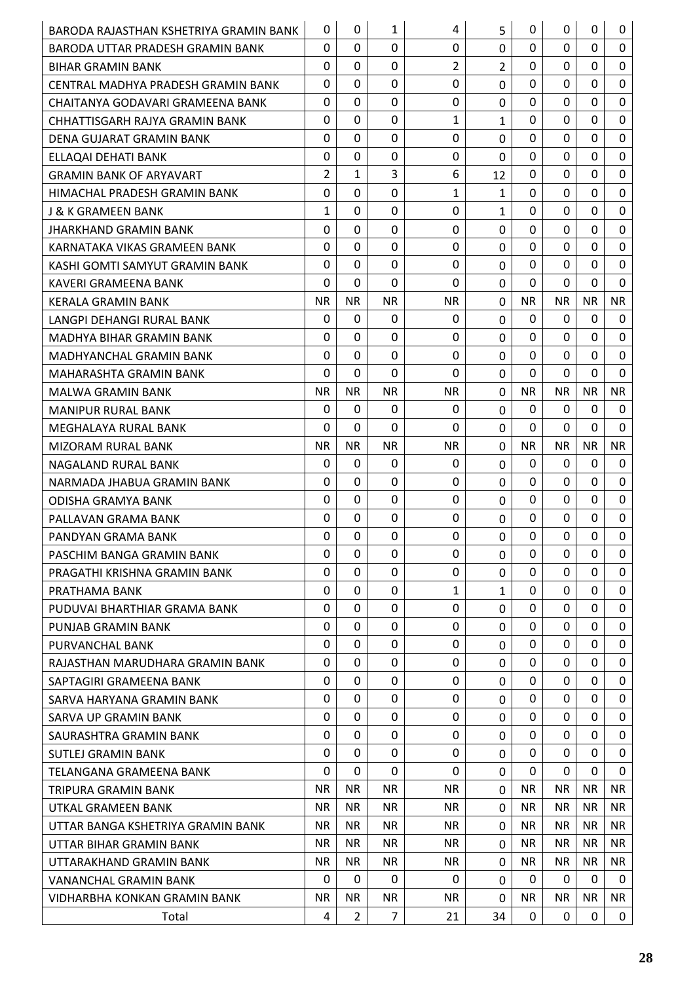| BARODA RAJASTHAN KSHETRIYA GRAMIN BANK | 0              | 0              | 1              | 4              | 5              | 0            | $\mathbf{0}$ | 0            | $\mathbf 0$  |
|----------------------------------------|----------------|----------------|----------------|----------------|----------------|--------------|--------------|--------------|--------------|
| BARODA UTTAR PRADESH GRAMIN BANK       | $\Omega$       | 0              | 0              | 0              | 0              | 0            | 0            | 0            | 0            |
| <b>BIHAR GRAMIN BANK</b>               | 0              | $\Omega$       | 0              | $\overline{2}$ | $\overline{2}$ | 0            | $\mathbf{0}$ | $\Omega$     | $\mathbf 0$  |
| CENTRAL MADHYA PRADESH GRAMIN BANK     | $\Omega$       | 0              | 0              | 0              | 0              | 0            | 0            | 0            | $\mathbf 0$  |
| CHAITANYA GODAVARI GRAMEENA BANK       | 0              | $\Omega$       | 0              | $\mathbf 0$    | 0              | 0            | $\mathbf{0}$ | $\Omega$     | $\mathbf 0$  |
| CHHATTISGARH RAJYA GRAMIN BANK         | $\Omega$       | $\Omega$       | 0              | 1              | $\mathbf{1}$   | $\Omega$     | $\mathbf{0}$ | $\Omega$     | $\mathbf 0$  |
| DENA GUJARAT GRAMIN BANK               | 0              | 0              | 0              | 0              | 0              | 0            | $\mathbf{0}$ | 0            | 0            |
| ELLAQAI DEHATI BANK                    | $\Omega$       | $\Omega$       | 0              | 0              | 0              | 0            | $\mathbf{0}$ | $\Omega$     | $\mathbf 0$  |
| GRAMIN BANK OF ARYAVART                | $\overline{2}$ | $\mathbf{1}$   | 3              | 6              | 12             | 0            | $\mathbf{0}$ | $\Omega$     | $\mathbf 0$  |
| HIMACHAL PRADESH GRAMIN BANK           | 0              | 0              | 0              | 1              | $\mathbf{1}$   | 0            | $\mathbf{0}$ | 0            | 0            |
| <b>J &amp; K GRAMEEN BANK</b>          | $\mathbf{1}$   | 0              | 0              | 0              | $\mathbf{1}$   | 0            | 0            | 0            | $\mathbf 0$  |
| JHARKHAND GRAMIN BANK                  | $\Omega$       | 0              | 0              | 0              | 0              | 0            | $\mathbf{0}$ | 0            | 0            |
| KARNATAKA VIKAS GRAMEEN BANK           | 0              | $\Omega$       | $\Omega$       | 0              | 0              | $\mathbf 0$  | $\mathbf{0}$ | $\Omega$     | $\mathbf 0$  |
| KASHI GOMTI SAMYUT GRAMIN BANK         | $\Omega$       | 0              | 0              | 0              | 0              | 0            | $\mathbf{0}$ | 0            | 0            |
| KAVERI GRAMEENA BANK                   | 0              | $\Omega$       | $\Omega$       | $\mathbf{0}$   | 0              | $\Omega$     | $\mathbf{0}$ | $\Omega$     | $\mathbf 0$  |
| <b>KERALA GRAMIN BANK</b>              | <b>NR</b>      | <b>NR</b>      | <b>NR</b>      | <b>NR</b>      | $\Omega$       | <b>NR</b>    | <b>NR</b>    | <b>NR</b>    | <b>NR</b>    |
| LANGPI DEHANGI RURAL BANK              | $\Omega$       | 0              | 0              | 0              | 0              | 0            | 0            | $\Omega$     | 0            |
| MADHYA BIHAR GRAMIN BANK               | $\Omega$       | 0              | 0              | 0              | 0              | 0            | 0            | 0            | $\mathbf 0$  |
| <b>MADHYANCHAL GRAMIN BANK</b>         | 0              | $\Omega$       | 0              | 0              | 0              | 0            | 0            | 0            | 0            |
| MAHARASHTA GRAMIN BANK                 | $\Omega$       | $\Omega$       | $\Omega$       | $\Omega$       | 0              | $\Omega$     | $\mathbf{0}$ | $\Omega$     | $\mathbf{0}$ |
| <b>MALWA GRAMIN BANK</b>               | <b>NR</b>      | <b>NR</b>      | <b>NR</b>      | <b>NR</b>      | $\mathbf{0}$   | <b>NR</b>    | NR.          | <b>NR</b>    | <b>NR</b>    |
| <b>MANIPUR RURAL BANK</b>              | $\Omega$       | $\Omega$       | 0              | 0              | 0              | 0            | $\mathbf{0}$ | $\Omega$     | $\mathbf 0$  |
| MEGHALAYA RURAL BANK                   | 0              | 0              | 0              | 0              | 0              | 0            | $\mathbf{0}$ | $\mathbf{0}$ | 0            |
| MIZORAM RURAL BANK                     | <b>NR</b>      | <b>NR</b>      | <b>NR</b>      | <b>NR</b>      | 0              | <b>NR</b>    | <b>NR</b>    | <b>NR</b>    | NR.          |
| NAGALAND RURAL BANK                    | $\Omega$       | $\Omega$       | 0              | $\mathbf 0$    | 0              | $\Omega$     | 0            | $\Omega$     | $\mathbf 0$  |
| NARMADA JHABUA GRAMIN BANK             | $\Omega$       | 0              | 0              | 0              | 0              | 0            | $\mathbf{0}$ | 0            | 0            |
| <b>ODISHA GRAMYA BANK</b>              | $\Omega$       | $\Omega$       | $\Omega$       | $\mathbf{0}$   | 0              | 0            | $\mathbf{0}$ | $\Omega$     | 0            |
| PALLAVAN GRAMA BANK                    | $\Omega$       | 0              | 0              | $\mathbf 0$    | 0              | 0            | $\mathbf{0}$ | 0            | $\mathbf 0$  |
| PANDYAN GRAMA BANK                     | $\mathbf 0$    | $\Omega$       | 0              | $\mathbf 0$    | $\Omega$       | 0            | $\mathbf{0}$ | 0            | $\mathbf 0$  |
| PASCHIM BANGA GRAMIN BANK              | 0              | 0              | 0              | 0              | 0              | 0            | 0            | 0            | $\mathbf 0$  |
| PRAGATHI KRISHNA GRAMIN BANK           | $\Omega$       | 0              | $\Omega$       | 0              | 0              | 0            | 0            | 0            | 0            |
| PRATHAMA BANK                          | 0              | $\Omega$       | $\mathbf 0$    | 1              | $\mathbf{1}$   | $\mathbf 0$  | $\mathbf{0}$ | $\Omega$     | 0            |
| PUDUVAI BHARTHIAR GRAMA BANK           | 0              | 0              | 0              | 0              | 0              | 0            | $\mathbf{0}$ | 0            | $\mathbf 0$  |
| <b>PUNJAB GRAMIN BANK</b>              | 0              | $\Omega$       | $\Omega$       | 0              | 0              | $\Omega$     | $\mathbf{0}$ | $\Omega$     | 0            |
| PURVANCHAL BANK                        | $\Omega$       | $\Omega$       | $\Omega$       | 0              | 0              | $\Omega$     | $\mathbf{0}$ | $\Omega$     | 0            |
| RAJASTHAN MARUDHARA GRAMIN BANK        | $\Omega$       | 0              | 0              | 0              | 0              | 0            | 0            | 0            | $\mathbf 0$  |
| SAPTAGIRI GRAMEENA BANK                | $\Omega$       | $\Omega$       | $\Omega$       | $\mathbf 0$    | 0              | $\Omega$     | $\mathbf{0}$ | $\Omega$     | 0            |
| SARVA HARYANA GRAMIN BANK              | 0              | 0              | 0              | 0              | 0              | 0            | 0            | 0            | 0            |
| SARVA UP GRAMIN BANK                   | $\Omega$       | $\Omega$       | $\Omega$       | 0              | 0              | 0            | $\mathbf{0}$ | $\Omega$     | 0            |
| SAURASHTRA GRAMIN BANK                 | $\Omega$       | 0              | 0              | $\mathbf 0$    | 0              | 0            | $\mathbf{0}$ | $\Omega$     | $\mathbf 0$  |
| <b>SUTLEJ GRAMIN BANK</b>              | $\mathbf 0$    | $\Omega$       | $\Omega$       | 0              | 0              | $\Omega$     | $\mathbf{0}$ | $\Omega$     | 0            |
| TELANGANA GRAMEENA BANK                | $\Omega$       | 0              | $\Omega$       | 0              | 0              | $\Omega$     | 0            | 0            | 0            |
| TRIPURA GRAMIN BANK                    | <b>NR</b>      | NR.            | NR.            | <b>NR</b>      | 0              | <b>NR</b>    | NR.          | <b>NR</b>    | <b>NR</b>    |
| UTKAL GRAMEEN BANK                     | <b>NR</b>      | <b>NR</b>      | <b>NR</b>      | <b>NR</b>      | $\Omega$       | <b>NR</b>    | NR.          | <b>NR</b>    | NR.          |
| UTTAR BANGA KSHETRIYA GRAMIN BANK      | <b>NR</b>      | <b>NR</b>      | <b>NR</b>      | <b>NR</b>      | $\Omega$       | <b>NR</b>    | NR.          | <b>NR</b>    | NR.          |
| UTTAR BIHAR GRAMIN BANK                | <b>NR</b>      | <b>NR</b>      | <b>NR</b>      | NR.            | 0              | <b>NR</b>    | <b>NR</b>    | NR.          | NR.          |
| UTTARAKHAND GRAMIN BANK                | <b>NR</b>      | <b>NR</b>      | <b>NR</b>      | <b>NR</b>      | 0              | <b>NR</b>    | NR.          | NR.          | NR.          |
| VANANCHAL GRAMIN BANK                  | 0              | 0              | 0              | 0              | 0              | 0            | 0            | 0            | 0            |
| VIDHARBHA KONKAN GRAMIN BANK           | NR.            | NR.            | <b>NR</b>      | NR.            | $\Omega$       | NR.          | NR.          | NR.          | NR.          |
| Total                                  | 4              | $\overline{2}$ | $\overline{7}$ | 21             | 34             | $\mathbf{0}$ | $\mathbf{0}$ | 0            | $\mathbf{0}$ |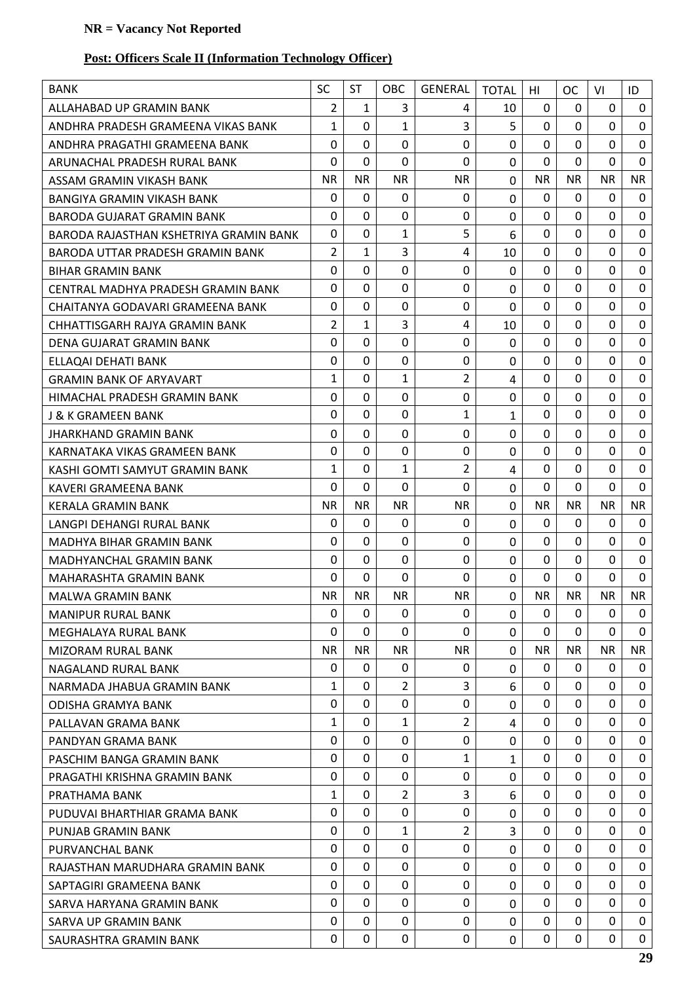# **Post: Officers Scale II (Information Technology Officer)**

| <b>BANK</b>                            | <b>SC</b>      | <b>ST</b>    | OBC            | <b>GENERAL</b> | <b>TOTAL</b>   | HI           | <b>OC</b>      | VI           | ID               |
|----------------------------------------|----------------|--------------|----------------|----------------|----------------|--------------|----------------|--------------|------------------|
| ALLAHABAD UP GRAMIN BANK               | $\overline{2}$ | 1            | 3              | 4              | 10             | 0            | 0              | 0            | $\mathbf{0}$     |
| ANDHRA PRADESH GRAMEENA VIKAS BANK     | $\mathbf{1}$   | 0            | $\mathbf{1}$   | 3              | 5              | $\mathbf 0$  | $\mathbf 0$    | $\Omega$     | $\mathbf{0}$     |
| ANDHRA PRAGATHI GRAMEENA BANK          | 0              | $\Omega$     | $\mathbf 0$    | $\mathbf 0$    | $\mathbf 0$    | $\mathbf 0$  | 0              | 0            | 0                |
| ARUNACHAL PRADESH RURAL BANK           | 0              | $\mathbf 0$  | $\Omega$       | 0              | $\mathbf 0$    | $\mathbf 0$  | 0              | $\mathbf 0$  | $\mathbf{0}$     |
| ASSAM GRAMIN VIKASH BANK               | <b>NR</b>      | <b>NR</b>    | <b>NR</b>      | <b>NR</b>      | $\mathbf 0$    | <b>NR</b>    | <b>NR</b>      | <b>NR</b>    | <b>NR</b>        |
| BANGIYA GRAMIN VIKASH BANK             | $\Omega$       | $\Omega$     | 0              | 0              | $\mathbf 0$    | 0            | $\Omega$       | $\Omega$     | 0                |
| BARODA GUJARAT GRAMIN BANK             | $\Omega$       | $\Omega$     | $\mathbf 0$    | 0              | $\mathbf 0$    | $\mathbf 0$  | $\mathbf 0$    | $\Omega$     | $\mathbf 0$      |
| BARODA RAJASTHAN KSHETRIYA GRAMIN BANK | 0              | 0            | $\mathbf{1}$   | 5              | 6              | 0            | $\Omega$       | $\Omega$     | $\mathbf 0$      |
| BARODA UTTAR PRADESH GRAMIN BANK       | $\overline{2}$ | $\mathbf{1}$ | 3              | 4              | 10             | $\mathbf 0$  | $\mathbf 0$    | 0            | $\mathbf 0$      |
| <b>BIHAR GRAMIN BANK</b>               | 0              | 0            | $\mathbf 0$    | 0              | $\mathbf 0$    | 0            | 0              | 0            | $\mathbf 0$      |
| CENTRAL MADHYA PRADESH GRAMIN BANK     | 0              | $\mathbf 0$  | $\mathbf 0$    | 0              | 0              | $\mathbf 0$  | $\mathbf 0$    | $\mathbf 0$  | $\mathbf 0$      |
| CHAITANYA GODAVARI GRAMEENA BANK       | $\Omega$       | $\Omega$     | 0              | 0              | $\mathbf{0}$   | $\mathbf 0$  | $\mathbf 0$    | $\Omega$     | $\mathbf 0$      |
| CHHATTISGARH RAJYA GRAMIN BANK         | 2              | $\mathbf{1}$ | 3              | 4              | 10             | 0            | $\Omega$       | 0            | 0                |
| DENA GUJARAT GRAMIN BANK               | $\Omega$       | $\mathbf 0$  | $\mathbf{0}$   | 0              | $\mathbf 0$    | $\mathbf 0$  | $\overline{0}$ | $\mathbf 0$  | $\mathbf 0$      |
| ELLAOAI DEHATI BANK                    | 0              | 0            | 0              | 0              | $\mathbf 0$    | 0            | 0              | 0            | $\mathbf 0$      |
| <b>GRAMIN BANK OF ARYAVART</b>         | $\mathbf{1}$   | 0            | $\mathbf{1}$   | 2              | 4              | $\mathbf 0$  | $\mathbf 0$    | $\Omega$     | $\mathbf 0$      |
| HIMACHAL PRADESH GRAMIN BANK           | 0              | $\Omega$     | $\mathbf 0$    | 0              | $\mathbf 0$    | $\mathbf 0$  | $\mathbf 0$    | $\Omega$     | $\boldsymbol{0}$ |
| J & K GRAMEEN BANK                     | 0              | 0            | $\mathbf 0$    | $\mathbf{1}$   | $\mathbf{1}$   | $\mathbf 0$  | $\overline{0}$ | $\mathbf 0$  | $\mathbf 0$      |
| <b>JHARKHAND GRAMIN BANK</b>           | 0              | 0            | $\mathbf 0$    | 0              | $\mathbf 0$    | 0            | $\mathbf 0$    | 0            | $\mathbf 0$      |
| KARNATAKA VIKAS GRAMEEN BANK           | 0              | 0            | 0              | 0              | $\mathbf 0$    | $\mathbf 0$  | $\mathbf 0$    | 0            | $\mathbf 0$      |
| KASHI GOMTI SAMYUT GRAMIN BANK         | $\mathbf{1}$   | $\mathbf 0$  | 1              | $\overline{2}$ | 4              | $\mathbf 0$  | $\mathbf 0$    | $\mathbf 0$  | $\mathbf 0$      |
| KAVERI GRAMEENA BANK                   | 0              | 0            | $\mathbf 0$    | $\Omega$       | $\mathbf 0$    | 0            | 0              | $\Omega$     | $\mathbf 0$      |
| <b>KERALA GRAMIN BANK</b>              | <b>NR</b>      | <b>NR</b>    | <b>NR</b>      | <b>NR</b>      | 0              | <b>NR</b>    | <b>NR</b>      | <b>NR</b>    | <b>NR</b>        |
| LANGPI DEHANGI RURAL BANK              | $\Omega$       | $\Omega$     | $\mathbf 0$    | 0              | $\mathbf 0$    | $\mathbf 0$  | $\mathbf{0}$   | $\Omega$     | 0                |
| MADHYA BIHAR GRAMIN BANK               | 0              | 0            | 0              | $\Omega$       | $\mathbf 0$    | $\mathbf 0$  | $\mathbf 0$    | $\Omega$     | 0                |
| MADHYANCHAL GRAMIN BANK                | $\mathbf 0$    | $\mathbf 0$  | $\mathbf 0$    | 0              | $\mathbf 0$    | $\mathbf 0$  | $\mathbf 0$    | $\mathbf 0$  | $\mathbf 0$      |
| MAHARASHTA GRAMIN BANK                 | 0              | 0            | $\mathbf 0$    | $\Omega$       | $\mathbf 0$    | $\mathbf 0$  | $\mathbf 0$    | $\mathbf{0}$ | $\mathbf 0$      |
| <b>MALWA GRAMIN BANK</b>               | <b>NR</b>      | <b>NR</b>    | <b>NR</b>      | <b>NR</b>      | $\overline{0}$ | <b>NR</b>    | <b>NR</b>      | <b>NR</b>    | <b>NR</b>        |
| <b>MANIPUR RURAL BANK</b>              | $\mathbf 0$    | $\Omega$     | 0              | 0              | $\mathbf 0$    | 0            | $\Omega$       | $\mathbf{0}$ | $\mathbf 0$      |
| MEGHALAYA RURAL BANK                   | 0              | 0            | $\Omega$       | $\Omega$       | 0              | 0            | $\mathbf 0$    | 0            | $\mathbf{0}$     |
| <b>MIZORAM RURAL BANK</b>              | <b>NR</b>      | <b>NR</b>    | <b>NR</b>      | <b>NR</b>      | $\mathbf 0$    | <b>NR</b>    | <b>NR</b>      | <b>NR</b>    | <b>NR</b>        |
| NAGALAND RURAL BANK                    | $\Omega$       | 0            | 0              | 0              | $\mathbf 0$    | 0            | 0              | 0            | 0                |
| NARMADA JHABUA GRAMIN BANK             | $\mathbf{1}$   | $\mathbf 0$  | 2              | 3              | 6              | $\mathbf 0$  | $\overline{0}$ | $\mathbf 0$  | $\mathbf 0$      |
| <b>ODISHA GRAMYA BANK</b>              | 0              | 0            | $\Omega$       | 0              | $\mathbf 0$    | 0            | $\Omega$       | 0            | 0                |
| PALLAVAN GRAMA BANK                    | $\mathbf{1}$   | 0            | $\mathbf{1}$   | $\overline{2}$ | 4              | 0            | $\mathbf 0$    | $\mathbf 0$  | $\mathbf{0}$     |
| PANDYAN GRAMA BANK                     | 0              | $\Omega$     | 0              | 0              | $\mathbf 0$    | $\mathbf{0}$ | $\mathbf 0$    | $\mathbf{0}$ | 0                |
| PASCHIM BANGA GRAMIN BANK              | 0              | 0            | 0              | 1              | 1              | $\Omega$     | $\Omega$       | $\Omega$     | 0                |
| PRAGATHI KRISHNA GRAMIN BANK           | 0              | 0            | $\mathbf 0$    | 0              | $\mathbf 0$    | 0            | $\overline{0}$ | $\mathbf 0$  | $\mathbf 0$      |
| PRATHAMA BANK                          | $\mathbf{1}$   | 0            | $\overline{2}$ | 3              | 6              | $\mathbf 0$  | $\Omega$       | $\mathbf{0}$ | 0                |
| PUDUVAI BHARTHIAR GRAMA BANK           | 0              | 0            | 0              | 0              | 0              | 0            | $\mathbf 0$    | $\mathbf 0$  | $\mathbf 0$      |
| PUNJAB GRAMIN BANK                     | $\Omega$       | $\Omega$     | 1              | 2              | 3              | $\mathbf{0}$ | $\Omega$       | $\mathbf{0}$ | $\mathbf 0$      |
| PURVANCHAL BANK                        | 0              | $\Omega$     | 0              | 0              | 0              | $\Omega$     | 0              | $\Omega$     | $\mathbf{0}$     |
| RAJASTHAN MARUDHARA GRAMIN BANK        | 0              | 0            | $\mathbf{0}$   | $\Omega$       | $\mathbf 0$    | $\mathbf 0$  | $\mathbf 0$    | $\mathbf 0$  | $\mathbf 0$      |
| SAPTAGIRI GRAMEENA BANK                | 0              | 0            | $\Omega$       | 0              | $\mathbf 0$    | 0            | 0              | 0            | 0                |
| SARVA HARYANA GRAMIN BANK              | 0              | 0            | $\mathbf 0$    | $\Omega$       | $\mathbf 0$    | $\Omega$     | $\mathbf 0$    | $\Omega$     | $\mathbf 0$      |
| SARVA UP GRAMIN BANK                   | $\mathbf 0$    | 0            | 0              | 0              | $\mathbf 0$    | 0            | 0              | 0            | 0                |
| SAURASHTRA GRAMIN BANK                 | 0              | 0            | $\mathbf 0$    | $\mathbf 0$    | 0              | 0            | $\mathbf 0$    | $\mathbf 0$  | $\mathbf 0$      |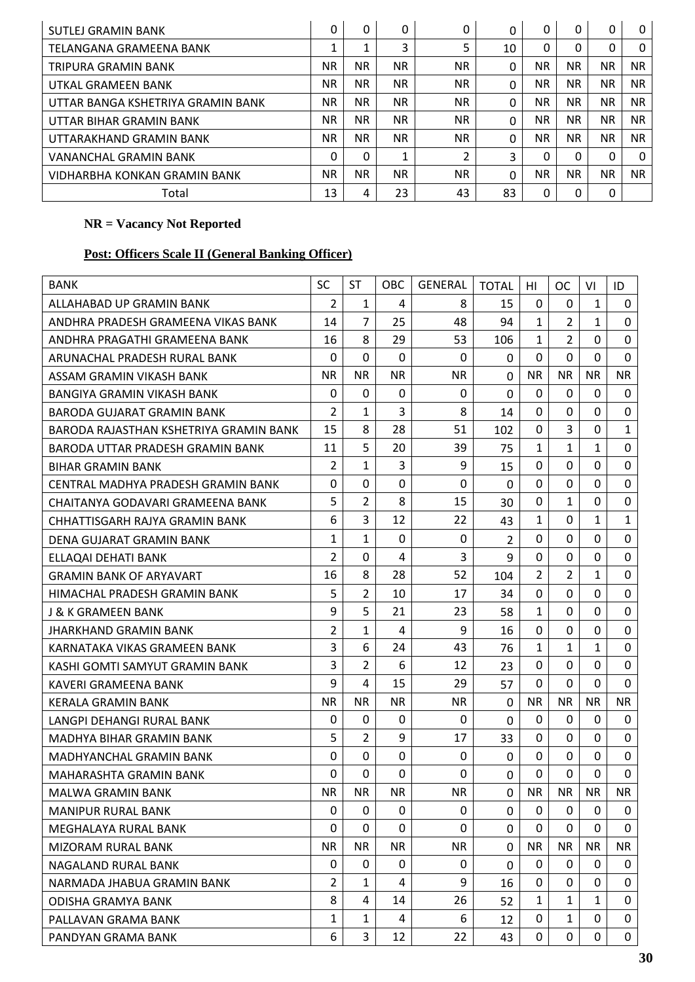| SUTLEJ GRAMIN BANK                | $\Omega$  | $\Omega$  | 0         | 0         | 0        | $\Omega$  | 0         | $\mathbf{0}$ | 0         |
|-----------------------------------|-----------|-----------|-----------|-----------|----------|-----------|-----------|--------------|-----------|
| TELANGANA GRAMEENA BANK           |           | Ŧ.        | 3         | 5         | 10       | $\Omega$  | 0         | $\mathbf{0}$ | $\Omega$  |
| TRIPURA GRAMIN BANK               | <b>NR</b> | <b>NR</b> | <b>NR</b> | <b>NR</b> | $\Omega$ | <b>NR</b> | <b>NR</b> | NR.          | <b>NR</b> |
| UTKAL GRAMEEN BANK                | ΝR        | NR.       | <b>NR</b> | <b>NR</b> | 0        | NR.       | <b>NR</b> | NR.          | <b>NR</b> |
| UTTAR BANGA KSHETRIYA GRAMIN BANK | ΝR        | NR.       | <b>NR</b> | <b>NR</b> | 0        | NR.       | <b>NR</b> | NR.          | <b>NR</b> |
| UTTAR BIHAR GRAMIN BANK           | ΝR        | NR.       | <b>NR</b> | NR.       | 0        | <b>NR</b> | NR.       | NR.          | NR.       |
| UTTARAKHAND GRAMIN BANK           | <b>NR</b> | <b>NR</b> | <b>NR</b> | <b>NR</b> | $\Omega$ | <b>NR</b> | <b>NR</b> | <b>NR</b>    | <b>NR</b> |
| VANANCHAL GRAMIN BANK             | 0         | $\Omega$  | 1         | 2         | 3        | 0         | 0         | $\Omega$     | $\Omega$  |
| VIDHARBHA KONKAN GRAMIN BANK      | <b>NR</b> | <b>NR</b> | <b>NR</b> | <b>NR</b> | 0        | <b>NR</b> | <b>NR</b> | ΝR           | <b>NR</b> |
| Total                             | 13        | 4         | 23        | 43        | 83       | $\Omega$  | 0         | 0            |           |

# **Post: Officers Scale II (General Banking Officer)**

| <b>BANK</b>                            | <b>SC</b>      | <b>ST</b>      | <b>OBC</b>     | GENERAL      | <b>TOTAL</b>   | HI           | OC.            | VI           | ID               |
|----------------------------------------|----------------|----------------|----------------|--------------|----------------|--------------|----------------|--------------|------------------|
| ALLAHABAD UP GRAMIN BANK               | $\overline{2}$ | $\mathbf{1}$   | 4              | 8            | 15             | 0            | $\Omega$       | $\mathbf{1}$ | 0                |
| ANDHRA PRADESH GRAMEENA VIKAS BANK     | 14             | $\overline{7}$ | 25             | 48           | 94             | 1            | $\overline{2}$ | $\mathbf{1}$ | $\Omega$         |
| ANDHRA PRAGATHI GRAMEENA BANK          | 16             | 8              | 29             | 53           | 106            | 1            | $\overline{2}$ | $\Omega$     | 0                |
| ARUNACHAL PRADESH RURAL BANK           | 0              | $\Omega$       | $\mathbf 0$    | 0            | $\Omega$       | 0            | $\mathbf 0$    | $\Omega$     | 0                |
| ASSAM GRAMIN VIKASH BANK               | <b>NR</b>      | <b>NR</b>      | <b>NR</b>      | NR.          | $\mathbf 0$    | <b>NR</b>    | <b>NR</b>      | <b>NR</b>    | NR.              |
| <b>BANGIYA GRAMIN VIKASH BANK</b>      | 0              | 0              | 0              | $\mathbf 0$  | $\mathbf 0$    | $\mathbf 0$  | 0              | $\mathbf 0$  | $\mathbf 0$      |
| BARODA GUJARAT GRAMIN BANK             | $\overline{2}$ | $\mathbf{1}$   | 3              | 8            | 14             | $\mathbf{0}$ | $\Omega$       | $\Omega$     | 0                |
| BARODA RAJASTHAN KSHETRIYA GRAMIN BANK | 15             | 8              | 28             | 51           | 102            | $\mathbf{0}$ | 3              | $\Omega$     | $\mathbf{1}$     |
| BARODA UTTAR PRADESH GRAMIN BANK       | 11             | 5              | 20             | 39           | 75             | 1            | $\mathbf{1}$   | $\mathbf{1}$ | 0                |
| <b>BIHAR GRAMIN BANK</b>               | 2              | $\mathbf{1}$   | 3              | 9            | 15             | $\mathbf{0}$ | $\Omega$       | $\Omega$     | $\mathbf 0$      |
| CENTRAL MADHYA PRADESH GRAMIN BANK     | $\Omega$       | 0              | 0              | 0            | $\mathbf{0}$   | 0            | 0              | $\Omega$     | 0                |
| CHAITANYA GODAVARI GRAMEENA BANK       | 5              | $\overline{2}$ | 8              | 15           | 30             | $\mathbf{0}$ | $\mathbf{1}$   | $\Omega$     | 0                |
| CHHATTISGARH RAJYA GRAMIN BANK         | 6              | 3              | 12             | 22           | 43             | 1            | $\Omega$       | $\mathbf{1}$ | $\mathbf{1}$     |
| DENA GUJARAT GRAMIN BANK               | $\mathbf{1}$   | $\mathbf{1}$   | $\mathbf 0$    | $\mathbf{0}$ | $\overline{2}$ | 0            | $\Omega$       | $\Omega$     | 0                |
| ELLAQAI DEHATI BANK                    | $\overline{2}$ | $\mathbf 0$    | 4              | 3            | 9              | $\mathbf 0$  | $\mathbf 0$    | $\mathbf 0$  | $\mathbf 0$      |
| <b>GRAMIN BANK OF ARYAVART</b>         | 16             | 8              | 28             | 52           | 104            | 2            | $\overline{2}$ | 1            | 0                |
| HIMACHAL PRADESH GRAMIN BANK           | 5              | 2              | 10             | 17           | 34             | 0            | 0              | $\Omega$     | $\boldsymbol{0}$ |
| <b>J &amp; K GRAMEEN BANK</b>          | 9              | 5              | 21             | 23           | 58             | $\mathbf{1}$ | $\Omega$       | $\Omega$     | 0                |
| JHARKHAND GRAMIN BANK                  | 2              | 1              | 4              | 9            | 16             | 0            | 0              | 0            | 0                |
| KARNATAKA VIKAS GRAMEEN BANK           | 3              | 6              | 24             | 43           | 76             | $\mathbf{1}$ | $\mathbf{1}$   | $\mathbf{1}$ | $\mathbf 0$      |
| KASHI GOMTI SAMYUT GRAMIN BANK         | 3              | $\overline{2}$ | 6              | 12           | 23             | 0            | 0              | 0            | 0                |
| KAVERI GRAMEENA BANK                   | 9              | 4              | 15             | 29           | 57             | $\mathbf 0$  | 0              | $\Omega$     | $\Omega$         |
| <b>KERALA GRAMIN BANK</b>              | <b>NR</b>      | <b>NR</b>      | NR.            | <b>NR</b>    | $\mathbf{0}$   | <b>NR</b>    | NR.            | <b>NR</b>    | <b>NR</b>        |
| LANGPI DEHANGI RURAL BANK              | $\Omega$       | $\Omega$       | 0              | $\mathbf 0$  | $\Omega$       | 0            | $\Omega$       | $\Omega$     | 0                |
| MADHYA BIHAR GRAMIN BANK               | 5              | $\overline{2}$ | 9              | 17           | 33             | $\mathbf{0}$ | $\Omega$       | 0            | $\mathbf 0$      |
| MADHYANCHAL GRAMIN BANK                | 0              | 0              | 0              | 0            | 0              | 0            | 0              | 0            | 0                |
| MAHARASHTA GRAMIN BANK                 | $\mathbf 0$    | $\mathbf 0$    | $\overline{0}$ | $\Omega$     | $\mathbf 0$    | $\mathbf 0$  | $\mathbf 0$    | $\mathbf{0}$ | $\mathbf 0$      |
| <b>MALWA GRAMIN BANK</b>               | <b>NR</b>      | <b>NR</b>      | ${\sf NR}$     | <b>NR</b>    | $\pmb{0}$      | <b>NR</b>    | <b>NR</b>      | <b>NR</b>    | <b>NR</b>        |
| <b>MANIPUR RURAL BANK</b>              | $\mathbf 0$    | $\mathbf{0}$   | $\mathbf 0$    | $\mathbf 0$  | $\Omega$       | 0            | $\Omega$       | $\Omega$     | 0                |
| MEGHALAYA RURAL BANK                   | $\Omega$       | $\mathbf{0}$   | $\mathbf{0}$   | $\Omega$     | $\mathbf 0$    | $\mathbf{0}$ | 0              | $\Omega$     | 0                |
| MIZORAM RURAL BANK                     | <b>NR</b>      | <b>NR</b>      | <b>NR</b>      | <b>NR</b>    | $\Omega$       | <b>NR</b>    | NR.            | <b>NR</b>    | <b>NR</b>        |
| NAGALAND RURAL BANK                    | 0              | $\mathbf{0}$   | 0              | 0            | $\mathbf 0$    | 0            | $\Omega$       | $\Omega$     | $\mathbf 0$      |
| NARMADA JHABUA GRAMIN BANK             | $\overline{2}$ | 1              | 4              | 9            | 16             | 0            | 0              | 0            | 0                |
| <b>ODISHA GRAMYA BANK</b>              | 8              | 4              | 14             | 26           | 52             | 1            | $\mathbf{1}$   | $\mathbf{1}$ | 0                |
| PALLAVAN GRAMA BANK                    | 1              | $\mathbf{1}$   | 4              | 6            | 12             | 0            | $\mathbf{1}$   | $\Omega$     | 0                |
| PANDYAN GRAMA BANK                     | 6              | 3              | 12             | 22           | 43             | 0            | 0              | $\mathbf 0$  | 0                |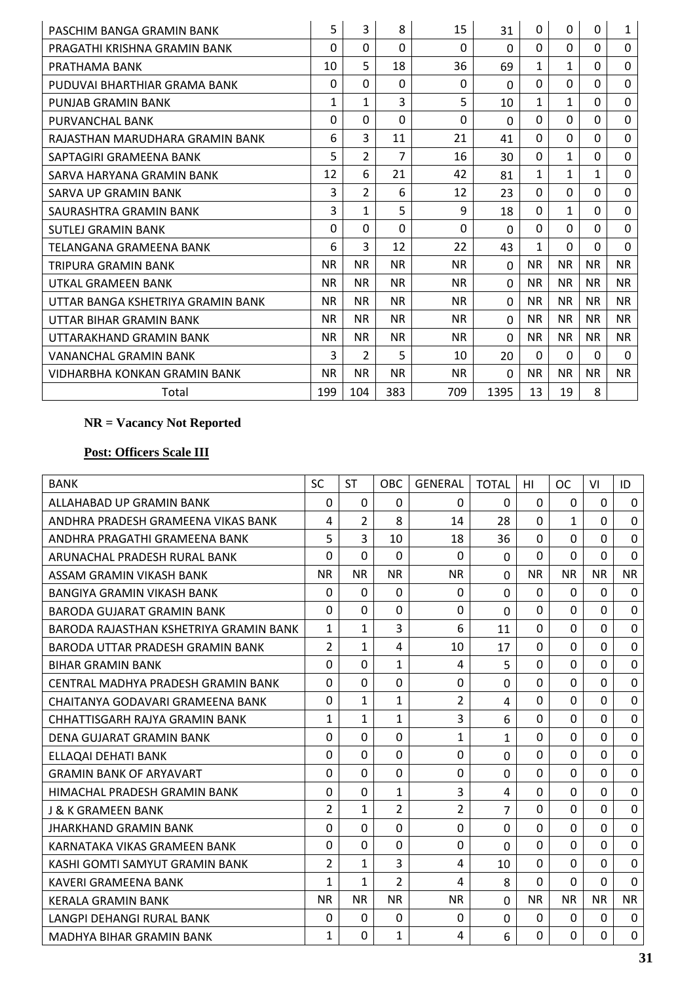| PASCHIM BANGA GRAMIN BANK         | 5            | 3              | 8              | 15             | 31       | $\Omega$     | 0            | $\Omega$     | 1            |
|-----------------------------------|--------------|----------------|----------------|----------------|----------|--------------|--------------|--------------|--------------|
| PRAGATHI KRISHNA GRAMIN BANK      | $\Omega$     | $\Omega$       | $\Omega$       | $\Omega$       | $\Omega$ | $\Omega$     | $\Omega$     | $\Omega$     | $\Omega$     |
| PRATHAMA BANK                     | 10           | 5              | 18             | 36             | 69       | 1            | $\mathbf{1}$ | 0            | $\mathbf 0$  |
| PUDUVAI BHARTHIAR GRAMA BANK      | $\Omega$     | $\Omega$       | $\Omega$       | $\Omega$       | $\Omega$ | $\Omega$     | $\Omega$     | 0            | $\Omega$     |
| PUNJAB GRAMIN BANK                | $\mathbf{1}$ | 1              | 3              | 5              | 10       | $\mathbf{1}$ | $\mathbf{1}$ | $\Omega$     | $\mathbf 0$  |
| PURVANCHAL BANK                   | $\Omega$     | $\Omega$       | $\Omega$       | $\Omega$       | $\Omega$ | $\Omega$     | $\Omega$     | $\Omega$     | $\mathbf 0$  |
| RAJASTHAN MARUDHARA GRAMIN BANK   | 6            | 3              | 11             | 21             | 41       | $\Omega$     | $\Omega$     | $\Omega$     | 0            |
| SAPTAGIRI GRAMEENA BANK           | 5            | $\overline{2}$ | $\overline{7}$ | 16             | 30       | $\Omega$     | $\mathbf{1}$ | 0            | $\mathbf 0$  |
| SARVA HARYANA GRAMIN BANK         | 12           | 6              | 21             | 42             | 81       | $\mathbf{1}$ | $\mathbf{1}$ | $\mathbf{1}$ | $\Omega$     |
| SARVA UP GRAMIN BANK              | 3            | $\overline{2}$ | 6              | 12             | 23       | $\Omega$     | $\Omega$     | $\Omega$     | $\mathbf 0$  |
| SAURASHTRA GRAMIN BANK            | 3            | 1              | 5              | 9              | 18       | $\Omega$     | $\mathbf{1}$ | $\Omega$     | 0            |
| <b>SUTLEJ GRAMIN BANK</b>         | $\Omega$     | $\Omega$       | $\Omega$       | $\Omega$       | $\Omega$ | $\Omega$     | $\Omega$     | 0            | $\mathbf 0$  |
| TELANGANA GRAMEENA BANK           | 6            | 3              | 12             | 22             | 43       | 1            | $\Omega$     | 0            | $\Omega$     |
| TRIPURA GRAMIN BANK               | <b>NR</b>    | <b>NR</b>      | <b>NR</b>      | N <sub>R</sub> | $\Omega$ | <b>NR</b>    | <b>NR</b>    | <b>NR</b>    | <b>NR</b>    |
| UTKAL GRAMEEN BANK                | <b>NR</b>    | <b>NR</b>      | <b>NR</b>      | <b>NR</b>      | $\Omega$ | <b>NR</b>    | <b>NR</b>    | <b>NR</b>    | <b>NR</b>    |
| UTTAR BANGA KSHETRIYA GRAMIN BANK | <b>NR</b>    | <b>NR</b>      | <b>NR</b>      | N <sub>R</sub> | $\Omega$ | <b>NR</b>    | <b>NR</b>    | <b>NR</b>    | <b>NR</b>    |
| UTTAR BIHAR GRAMIN BANK           | NR.          | <b>NR</b>      | <b>NR</b>      | NR.            | $\Omega$ | <b>NR</b>    | <b>NR</b>    | <b>NR</b>    | NR.          |
| UTTARAKHAND GRAMIN BANK           | <b>NR</b>    | NR.            | <b>NR</b>      | N <sub>R</sub> | $\Omega$ | <b>NR</b>    | NR.          | <b>NR</b>    | NR.          |
| VANANCHAL GRAMIN BANK             | 3            | $\overline{2}$ | 5              | 10             | 20       | $\mathbf{0}$ | $\Omega$     | $\Omega$     | $\mathbf{0}$ |
| VIDHARBHA KONKAN GRAMIN BANK      | <b>NR</b>    | <b>NR</b>      | <b>NR</b>      | NR.            | $\Omega$ | <b>NR</b>    | NR.          | <b>NR</b>    | <b>NR</b>    |
| Total                             | 199          | 104            | 383            | 709            | 1395     | 13           | 19           | 8            |              |

# **Post: Officers Scale III**

| <b>BANK</b>                            | <b>SC</b>      | <b>ST</b>      | OBC            | <b>GENERAL</b> | <b>TOTAL</b>   | HI             | <sub>OC</sub>  | VI          | ID          |
|----------------------------------------|----------------|----------------|----------------|----------------|----------------|----------------|----------------|-------------|-------------|
| ALLAHABAD UP GRAMIN BANK               | $\Omega$       | $\mathbf{0}$   | $\Omega$       | $\mathbf{0}$   | $\Omega$       | $\Omega$       | $\mathbf 0$    | $\Omega$    | $\Omega$    |
| ANDHRA PRADESH GRAMEENA VIKAS BANK     | 4              | $\overline{2}$ | 8              | 14             | 28             | $\Omega$       | $\mathbf{1}$   | $\Omega$    | $\Omega$    |
| ANDHRA PRAGATHI GRAMEENA BANK          | 5              | $\overline{3}$ | 10             | 18             | 36             | $\Omega$       | $\Omega$       | $\Omega$    | $\Omega$    |
| ARUNACHAL PRADESH RURAL BANK           | 0              | $\Omega$       | $\Omega$       | $\Omega$       | $\Omega$       | $\Omega$       | $\Omega$       | $\Omega$    | $\mathbf 0$ |
| ASSAM GRAMIN VIKASH BANK               | <b>NR</b>      | <b>NR</b>      | <b>NR</b>      | <b>NR</b>      | $\mathbf 0$    | <b>NR</b>      | <b>NR</b>      | <b>NR</b>   | <b>NR</b>   |
| <b>BANGIYA GRAMIN VIKASH BANK</b>      | $\Omega$       | $\Omega$       | $\mathbf 0$    | $\Omega$       | $\Omega$       | $\Omega$       | $\mathbf 0$    | $\Omega$    | $\Omega$    |
| <b>BARODA GUJARAT GRAMIN BANK</b>      | $\Omega$       | $\overline{0}$ | $\mathbf 0$    | $\mathbf{0}$   | $\Omega$       | $\Omega$       | $\Omega$       | $\Omega$    | $\mathbf 0$ |
| BARODA RAJASTHAN KSHETRIYA GRAMIN BANK | 1              | $\mathbf{1}$   | 3              | 6              | 11             | $\Omega$       | $\Omega$       | $\Omega$    | $\mathbf 0$ |
| BARODA UTTAR PRADESH GRAMIN BANK       | $\overline{2}$ | 1              | 4              | 10             | 17             | $\Omega$       | $\mathbf 0$    | $\Omega$    | $\mathbf 0$ |
| <b>BIHAR GRAMIN BANK</b>               | 0              | 0              | $\mathbf{1}$   | 4              | 5              | $\Omega$       | $\mathbf 0$    | $\Omega$    | $\mathbf 0$ |
| CENTRAL MADHYA PRADESH GRAMIN BANK     | 0              | 0              | $\mathbf 0$    | $\mathbf 0$    | 0              | $\Omega$       | $\mathbf 0$    | $\Omega$    | $\mathbf 0$ |
| CHAITANYA GODAVARI GRAMEENA BANK       | $\Omega$       | 1              | $\mathbf{1}$   | $\overline{2}$ | 4              | $\Omega$       | $\overline{0}$ | $\Omega$    | $\mathbf 0$ |
| CHHATTISGARH RAJYA GRAMIN BANK         | $\mathbf{1}$   | $\mathbf{1}$   | $\mathbf{1}$   | 3              | 6              | $\Omega$       | $\overline{0}$ | $\Omega$    | $\mathbf 0$ |
| DENA GUJARAT GRAMIN BANK               | 0              | $\Omega$       | $\mathbf 0$    | $\mathbf{1}$   | $\mathbf{1}$   | $\Omega$       | $\Omega$       | $\Omega$    | $\mathbf 0$ |
| ELLAQAI DEHATI BANK                    | $\Omega$       | 0              | 0              | $\Omega$       | 0              | $\Omega$       | $\Omega$       | $\Omega$    | 0           |
| <b>GRAMIN BANK OF ARYAVART</b>         | 0              | 0              | $\mathbf 0$    | $\Omega$       | 0              | $\Omega$       | $\Omega$       | $\Omega$    | $\mathbf 0$ |
| HIMACHAL PRADESH GRAMIN BANK           | $\Omega$       | 0              | $\mathbf{1}$   | 3              | 4              | $\Omega$       | $\mathbf 0$    | $\Omega$    | $\mathbf 0$ |
| J & K GRAMEEN BANK                     | 2              | $\mathbf{1}$   | $\overline{2}$ | $\overline{2}$ | $\overline{7}$ | $\Omega$       | 0              | $\Omega$    | 0           |
| JHARKHAND GRAMIN BANK                  | $\overline{0}$ | $\overline{0}$ | $\mathbf 0$    | $\mathbf 0$    | $\overline{0}$ | $\overline{0}$ | $\overline{0}$ | $\mathbf 0$ | $\mathbf 0$ |
| KARNATAKA VIKAS GRAMEEN BANK           | 0              | 0              | $\mathbf 0$    | $\Omega$       | $\Omega$       | $\Omega$       | $\mathbf 0$    | $\mathbf 0$ | $\mathbf 0$ |
| KASHI GOMTI SAMYUT GRAMIN BANK         | 2              | $\mathbf{1}$   | 3              | 4              | 10             | $\Omega$       | $\mathbf 0$    | $\mathbf 0$ | $\mathbf 0$ |
| KAVERI GRAMEENA BANK                   | $\mathbf{1}$   | $\mathbf{1}$   | $\overline{2}$ | 4              | 8              | $\mathbf{0}$   | 0              | $\mathbf 0$ | $\mathbf 0$ |
| <b>KERALA GRAMIN BANK</b>              | <b>NR</b>      | <b>NR</b>      | <b>NR</b>      | <b>NR</b>      | $\Omega$       | <b>NR</b>      | <b>NR</b>      | <b>NR</b>   | <b>NR</b>   |
| LANGPI DEHANGI RURAL BANK              | $\Omega$       | $\Omega$       | 0              | $\mathbf 0$    | $\overline{0}$ | $\Omega$       | $\mathbf 0$    | $\Omega$    | $\mathbf 0$ |
| <b>MADHYA BIHAR GRAMIN BANK</b>        | 1              | $\Omega$       | $\mathbf{1}$   | 4              | 6              | $\Omega$       | $\Omega$       | $\Omega$    | $\Omega$    |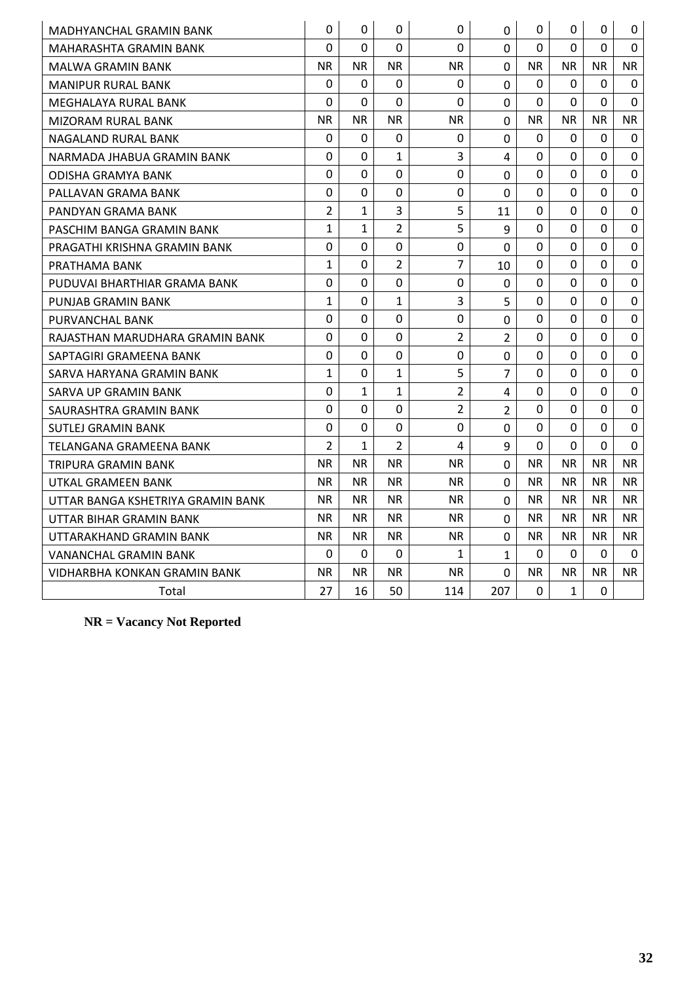| <b>MADHYANCHAL GRAMIN BANK</b>    | 0              | 0            | 0              | $\mathbf 0$    | $\Omega$       | 0              | 0            | $\Omega$       | 0            |
|-----------------------------------|----------------|--------------|----------------|----------------|----------------|----------------|--------------|----------------|--------------|
| MAHARASHTA GRAMIN BANK            | $\Omega$       | $\Omega$     | $\Omega$       | $\Omega$       | $\Omega$       | $\Omega$       | $\Omega$     | $\Omega$       | $\mathbf 0$  |
| MALWA GRAMIN BANK                 | <b>NR</b>      | <b>NR</b>    | NR.            | <b>NR</b>      | 0              | <b>NR</b>      | <b>NR</b>    | <b>NR</b>      | NR.          |
| <b>MANIPUR RURAL BANK</b>         | $\mathbf 0$    | 0            | 0              | 0              | $\overline{0}$ | $\Omega$       | 0            | 0              | $\mathbf 0$  |
| MEGHALAYA RURAL BANK              | 0              | 0            | 0              | 0              | $\overline{0}$ | $\overline{0}$ | $\Omega$     | $\Omega$       | $\Omega$     |
| MIZORAM RURAL BANK                | <b>NR</b>      | NR.          | NR.            | <b>NR</b>      | 0              | <b>NR</b>      | <b>NR</b>    | <b>NR</b>      | NR.          |
| NAGALAND RURAL BANK               | $\overline{0}$ | 0            | $\Omega$       | $\mathbf 0$    | $\overline{0}$ | $\mathbf{0}$   | $\Omega$     | $\Omega$       | $\mathbf{0}$ |
| NARMADA JHABUA GRAMIN BANK        | 0              | 0            | $\mathbf{1}$   | 3              | 4              | 0              | $\Omega$     | $\mathbf 0$    | $\mathbf 0$  |
| ODISHA GRAMYA BANK                | 0              | 0            | 0              | $\mathbf 0$    | $\mathbf 0$    | 0              | 0            | 0              | $\mathbf 0$  |
| PALLAVAN GRAMA BANK               | $\mathbf 0$    | 0            | 0              | 0              | $\overline{0}$ | 0              | 0            | 0              | $\mathbf 0$  |
| PANDYAN GRAMA BANK                | $\overline{2}$ | $\mathbf{1}$ | 3              | 5              | 11             | 0              | $\Omega$     | $\overline{0}$ | $\mathbf 0$  |
| PASCHIM BANGA GRAMIN BANK         | $\mathbf{1}$   | $\mathbf{1}$ | $\overline{2}$ | 5              | 9              | 0              | $\Omega$     | $\Omega$       | $\mathbf 0$  |
| PRAGATHI KRISHNA GRAMIN BANK      | 0              | 0            | 0              | 0              | 0              | 0              | 0            | 0              | 0            |
| PRATHAMA BANK                     | $\mathbf{1}$   | 0            | $\overline{2}$ | $\overline{7}$ | 10             | 0              | $\mathbf 0$  | $\mathbf 0$    | $\mathbf 0$  |
| PUDUVAI BHARTHIAR GRAMA BANK      | 0              | 0            | $\overline{0}$ | $\mathbf 0$    | 0              | 0              | 0            | 0              | $\mathbf 0$  |
| PUNJAB GRAMIN BANK                | $\mathbf{1}$   | 0            | $\mathbf{1}$   | 3              | 5              | 0              | $\Omega$     | $\Omega$       | $\Omega$     |
| PURVANCHAL BANK                   | $\Omega$       | 0            | 0              | 0              | 0              | $\Omega$       | 0            | 0              | 0            |
| RAJASTHAN MARUDHARA GRAMIN BANK   | 0              | 0            | 0              | $\overline{2}$ | $\overline{2}$ | 0              | $\Omega$     | 0              | $\mathbf 0$  |
| SAPTAGIRI GRAMEENA BANK           | 0              | 0            | $\Omega$       | 0              | $\overline{0}$ | 0              | $\Omega$     | 0              | $\mathbf 0$  |
| SARVA HARYANA GRAMIN BANK         | $\mathbf{1}$   | 0            | $\mathbf{1}$   | 5              | $\overline{7}$ | $\Omega$       | $\Omega$     | $\Omega$       | $\mathbf 0$  |
| SARVA UP GRAMIN BANK              | $\mathbf 0$    | 1            | 1              | $\overline{2}$ | 4              | 0              | 0            | 0              | $\mathbf 0$  |
| SAURASHTRA GRAMIN BANK            | 0              | 0            | $\mathbf 0$    | $\overline{2}$ | $\overline{2}$ | 0              | 0            | 0              | 0            |
| <b>SUTLEJ GRAMIN BANK</b>         | 0              | 0            | 0              | 0              | 0              | 0              | $\Omega$     | $\Omega$       | $\mathbf 0$  |
| TELANGANA GRAMEENA BANK           | $\overline{2}$ | 1            | $\overline{2}$ | 4              | $\mathsf q$    | $\Omega$       | $\Omega$     | $\Omega$       | $\Omega$     |
| TRIPURA GRAMIN BANK               | <b>NR</b>      | <b>NR</b>    | NR.            | <b>NR</b>      | 0              | <b>NR</b>      | NR.          | <b>NR</b>      | NR.          |
| UTKAL GRAMEEN BANK                | <b>NR</b>      | <b>NR</b>    | NR.            | NR.            | $\overline{0}$ | <b>NR</b>      | <b>NR</b>    | <b>NR</b>      | <b>NR</b>    |
| UTTAR BANGA KSHETRIYA GRAMIN BANK | <b>NR</b>      | <b>NR</b>    | NR.            | <b>NR</b>      | $\Omega$       | <b>NR</b>      | <b>NR</b>    | <b>NR</b>      | NR.          |
| UTTAR BIHAR GRAMIN BANK           | <b>NR</b>      | <b>NR</b>    | NR.            | <b>NR</b>      | 0              | <b>NR</b>      | <b>NR</b>    | <b>NR</b>      | NR.          |
| UTTARAKHAND GRAMIN BANK           | <b>NR</b>      | NR.          | NR.            | <b>NR</b>      | $\overline{0}$ | <b>NR</b>      | <b>NR</b>    | <b>NR</b>      | NR.          |
| VANANCHAL GRAMIN BANK             | $\Omega$       | $\mathbf{0}$ | 0              | $\mathbf{1}$   | $\mathbf{1}$   | $\Omega$       | $\Omega$     | $\Omega$       | $\mathbf{0}$ |
| VIDHARBHA KONKAN GRAMIN BANK      | <b>NR</b>      | NR.          | NR.            | NR.            | 0              | NR.            | NR.          | <b>NR</b>      | NR.          |
| Total                             | 27             | 16           | 50             | 114            | 207            | $\mathbf 0$    | $\mathbf{1}$ | $\mathbf{0}$   |              |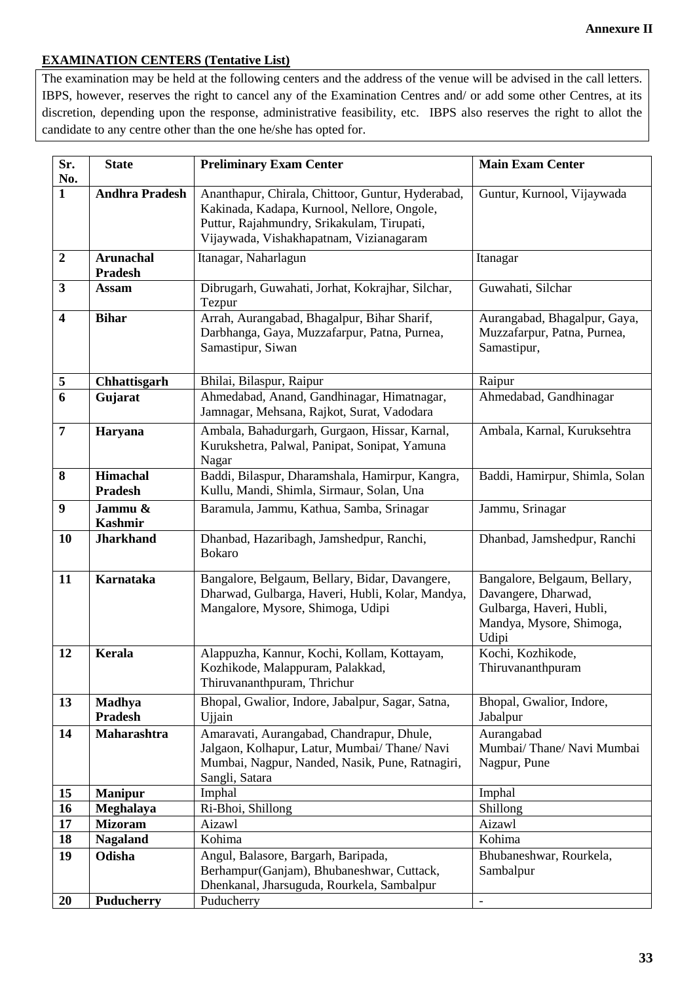# **Annexure II**

## **EXAMINATION CENTERS (Tentative List)**

The examination may be held at the following centers and the address of the venue will be advised in the call letters. IBPS, however, reserves the right to cancel any of the Examination Centres and/ or add some other Centres, at its discretion, depending upon the response, administrative feasibility, etc. IBPS also reserves the right to allot the candidate to any centre other than the one he/she has opted for.

| Sr.                     | <b>State</b>                       | <b>Preliminary Exam Center</b>                                                                                                                                                            | <b>Main Exam Center</b>                                                                                              |
|-------------------------|------------------------------------|-------------------------------------------------------------------------------------------------------------------------------------------------------------------------------------------|----------------------------------------------------------------------------------------------------------------------|
| No.<br>$\mathbf{1}$     | <b>Andhra Pradesh</b>              | Ananthapur, Chirala, Chittoor, Guntur, Hyderabad,<br>Kakinada, Kadapa, Kurnool, Nellore, Ongole,<br>Puttur, Rajahmundry, Srikakulam, Tirupati,<br>Vijaywada, Vishakhapatnam, Vizianagaram | Guntur, Kurnool, Vijaywada                                                                                           |
| $\boldsymbol{2}$        | <b>Arunachal</b><br><b>Pradesh</b> | Itanagar, Naharlagun                                                                                                                                                                      | Itanagar                                                                                                             |
| $\overline{\mathbf{3}}$ | <b>Assam</b>                       | Dibrugarh, Guwahati, Jorhat, Kokrajhar, Silchar,<br>Tezpur                                                                                                                                | Guwahati, Silchar                                                                                                    |
| $\overline{\mathbf{4}}$ | <b>Bihar</b>                       | Arrah, Aurangabad, Bhagalpur, Bihar Sharif,<br>Darbhanga, Gaya, Muzzafarpur, Patna, Purnea,<br>Samastipur, Siwan                                                                          | Aurangabad, Bhagalpur, Gaya,<br>Muzzafarpur, Patna, Purnea,<br>Samastipur,                                           |
| 5                       | Chhattisgarh                       | Bhilai, Bilaspur, Raipur                                                                                                                                                                  | Raipur                                                                                                               |
| $\overline{6}$          | Gujarat                            | Ahmedabad, Anand, Gandhinagar, Himatnagar,<br>Jamnagar, Mehsana, Rajkot, Surat, Vadodara                                                                                                  | Ahmedabad, Gandhinagar                                                                                               |
| $\overline{7}$          | Haryana                            | Ambala, Bahadurgarh, Gurgaon, Hissar, Karnal,<br>Kurukshetra, Palwal, Panipat, Sonipat, Yamuna<br>Nagar                                                                                   | Ambala, Karnal, Kuruksehtra                                                                                          |
| 8                       | <b>Himachal</b><br><b>Pradesh</b>  | Baddi, Bilaspur, Dharamshala, Hamirpur, Kangra,<br>Kullu, Mandi, Shimla, Sirmaur, Solan, Una                                                                                              | Baddi, Hamirpur, Shimla, Solan                                                                                       |
| 9                       | Jammu &<br><b>Kashmir</b>          | Baramula, Jammu, Kathua, Samba, Srinagar                                                                                                                                                  | Jammu, Srinagar                                                                                                      |
| 10                      | <b>Jharkhand</b>                   | Dhanbad, Hazaribagh, Jamshedpur, Ranchi,<br><b>Bokaro</b>                                                                                                                                 | Dhanbad, Jamshedpur, Ranchi                                                                                          |
| 11                      | <b>Karnataka</b>                   | Bangalore, Belgaum, Bellary, Bidar, Davangere,<br>Dharwad, Gulbarga, Haveri, Hubli, Kolar, Mandya,<br>Mangalore, Mysore, Shimoga, Udipi                                                   | Bangalore, Belgaum, Bellary,<br>Davangere, Dharwad,<br>Gulbarga, Haveri, Hubli,<br>Mandya, Mysore, Shimoga,<br>Udipi |
| 12                      | <b>Kerala</b>                      | Alappuzha, Kannur, Kochi, Kollam, Kottayam,<br>Kozhikode, Malappuram, Palakkad,<br>Thiruvananthpuram, Thrichur                                                                            | Kochi, Kozhikode,<br>Thiruvananthpuram                                                                               |
| 13                      | Madhya<br><b>Pradesh</b>           | Bhopal, Gwalior, Indore, Jabalpur, Sagar, Satna,<br>Ujjain                                                                                                                                | Bhopal, Gwalior, Indore,<br>Jabalpur                                                                                 |
| 14                      | Maharashtra                        | Amaravati, Aurangabad, Chandrapur, Dhule,<br>Jalgaon, Kolhapur, Latur, Mumbai/ Thane/ Navi<br>Mumbai, Nagpur, Nanded, Nasik, Pune, Ratnagiri,<br>Sangli, Satara                           | Aurangabad<br>Mumbai/Thane/Navi Mumbai<br>Nagpur, Pune                                                               |
| 15                      | <b>Manipur</b>                     | Imphal                                                                                                                                                                                    | Imphal                                                                                                               |
| 16                      | Meghalaya                          | Ri-Bhoi, Shillong                                                                                                                                                                         | Shillong                                                                                                             |
| 17                      | <b>Mizoram</b>                     | Aizawl                                                                                                                                                                                    | Aizawl                                                                                                               |
| 18                      | <b>Nagaland</b>                    | Kohima                                                                                                                                                                                    | Kohima                                                                                                               |
| 19                      | Odisha                             | Angul, Balasore, Bargarh, Baripada,<br>Berhampur(Ganjam), Bhubaneshwar, Cuttack,<br>Dhenkanal, Jharsuguda, Rourkela, Sambalpur                                                            | Bhubaneshwar, Rourkela,<br>Sambalpur                                                                                 |
| 20                      | <b>Puducherry</b>                  | Puducherry                                                                                                                                                                                | $\overline{\phantom{0}}$                                                                                             |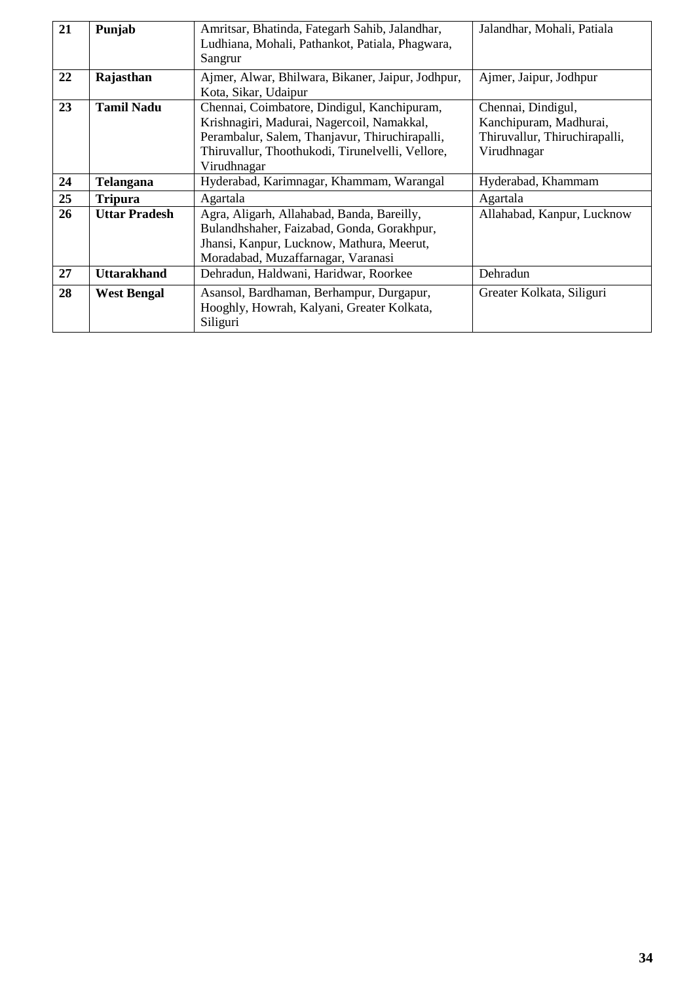| 21 | Punjab               | Amritsar, Bhatinda, Fategarh Sahib, Jalandhar,<br>Ludhiana, Mohali, Pathankot, Patiala, Phagwara,<br>Sangrur                                                                                                   | Jalandhar, Mohali, Patiala                                                                   |
|----|----------------------|----------------------------------------------------------------------------------------------------------------------------------------------------------------------------------------------------------------|----------------------------------------------------------------------------------------------|
| 22 | Rajasthan            | Ajmer, Alwar, Bhilwara, Bikaner, Jaipur, Jodhpur,<br>Kota, Sikar, Udaipur                                                                                                                                      | Ajmer, Jaipur, Jodhpur                                                                       |
| 23 | <b>Tamil Nadu</b>    | Chennai, Coimbatore, Dindigul, Kanchipuram,<br>Krishnagiri, Madurai, Nagercoil, Namakkal,<br>Perambalur, Salem, Thanjavur, Thiruchirapalli,<br>Thiruvallur, Thoothukodi, Tirunelvelli, Vellore,<br>Virudhnagar | Chennai, Dindigul,<br>Kanchipuram, Madhurai,<br>Thiruvallur, Thiruchirapalli,<br>Virudhnagar |
| 24 | Telangana            | Hyderabad, Karimnagar, Khammam, Warangal                                                                                                                                                                       | Hyderabad, Khammam                                                                           |
| 25 | <b>Tripura</b>       | Agartala                                                                                                                                                                                                       | Agartala                                                                                     |
| 26 | <b>Uttar Pradesh</b> | Agra, Aligarh, Allahabad, Banda, Bareilly,<br>Bulandhshaher, Faizabad, Gonda, Gorakhpur,<br>Jhansi, Kanpur, Lucknow, Mathura, Meerut,<br>Moradabad, Muzaffarnagar, Varanasi                                    | Allahabad, Kanpur, Lucknow                                                                   |
| 27 | <b>Uttarakhand</b>   | Dehradun, Haldwani, Haridwar, Roorkee                                                                                                                                                                          | Dehradun                                                                                     |
| 28 | <b>West Bengal</b>   | Asansol, Bardhaman, Berhampur, Durgapur,<br>Hooghly, Howrah, Kalyani, Greater Kolkata,<br>Siliguri                                                                                                             | Greater Kolkata, Siliguri                                                                    |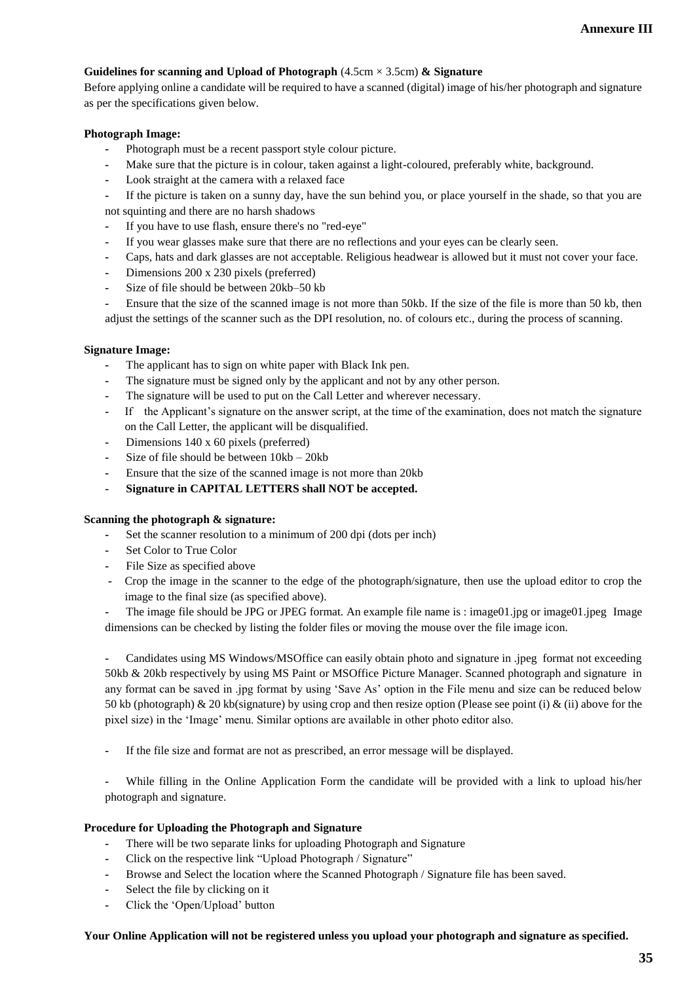### **Guidelines for scanning and Upload of Photograph** (4.5cm × 3.5cm) **& Signature**

Before applying online a candidate will be required to have a scanned (digital) image of his/her photograph and signature as per the specifications given below.

### **Photograph Image:**

- **-** Photograph must be a recent passport style colour picture.
- **-** Make sure that the picture is in colour, taken against a light-coloured, preferably white, background.
- **-** Look straight at the camera with a relaxed face

**-** If the picture is taken on a sunny day, have the sun behind you, or place yourself in the shade, so that you are not squinting and there are no harsh shadows

- **-** If you have to use flash, ensure there's no "red-eye"
- **-** If you wear glasses make sure that there are no reflections and your eyes can be clearly seen.
- **-** Caps, hats and dark glasses are not acceptable. Religious headwear is allowed but it must not cover your face.
- **-** Dimensions 200 x 230 pixels (preferred)
- **-** Size of file should be between 20kb–50 kb
- **-** Ensure that the size of the scanned image is not more than 50kb. If the size of the file is more than 50 kb, then adjust the settings of the scanner such as the DPI resolution, no. of colours etc., during the process of scanning.

### **Signature Image:**

- **-** The applicant has to sign on white paper with Black Ink pen.
- The signature must be signed only by the applicant and not by any other person.
- The signature will be used to put on the Call Letter and wherever necessary.
- **-** If the Applicant's signature on the answer script, at the time of the examination, does not match the signature on the Call Letter, the applicant will be disqualified.
- **-** Dimensions 140 x 60 pixels (preferred)
- **-** Size of file should be between 10kb 20kb
- **-** Ensure that the size of the scanned image is not more than 20kb
- **- Signature in CAPITAL LETTERS shall NOT be accepted.**

### **Scanning the photograph & signature:**

- **-** Set the scanner resolution to a minimum of 200 dpi (dots per inch)
- **-** Set Color to True Color
- **-** File Size as specified above
- **-** Crop the image in the scanner to the edge of the photograph/signature, then use the upload editor to crop the image to the final size (as specified above).
- The image file should be JPG or JPEG format. An example file name is : image01.jpg or image01.jpeg Image dimensions can be checked by listing the folder files or moving the mouse over the file image icon.

**-** Candidates using MS Windows/MSOffice can easily obtain photo and signature in .jpeg format not exceeding 50kb & 20kb respectively by using MS Paint or MSOffice Picture Manager. Scanned photograph and signature in any format can be saved in .jpg format by using 'Save As' option in the File menu and size can be reduced below 50 kb (photograph) & 20 kb(signature) by using crop and then resize option (Please see point (i) & (ii) above for the pixel size) in the 'Image' menu. Similar options are available in other photo editor also.

**-** If the file size and format are not as prescribed, an error message will be displayed.

**-** While filling in the Online Application Form the candidate will be provided with a link to upload his/her photograph and signature.

### **Procedure for Uploading the Photograph and Signature**

- **-** There will be two separate links for uploading Photograph and Signature
- **-** Click on the respective link "Upload Photograph / Signature"
- **-** Browse and Select the location where the Scanned Photograph / Signature file has been saved.
- **-** Select the file by clicking on it
- **-** Click the 'Open/Upload' button

### **Your Online Application will not be registered unless you upload your photograph and signature as specified.**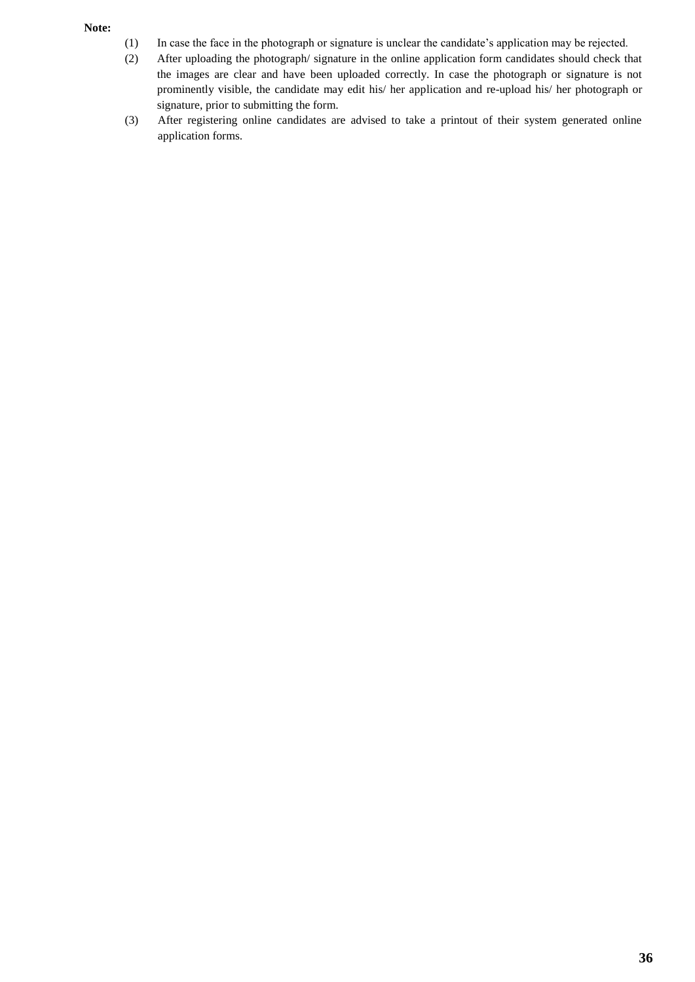### **Note:**

- (1) In case the face in the photograph or signature is unclear the candidate's application may be rejected.
- (2) After uploading the photograph/ signature in the online application form candidates should check that the images are clear and have been uploaded correctly. In case the photograph or signature is not prominently visible, the candidate may edit his/ her application and re-upload his/ her photograph or signature, prior to submitting the form.
- (3) After registering online candidates are advised to take a printout of their system generated online application forms.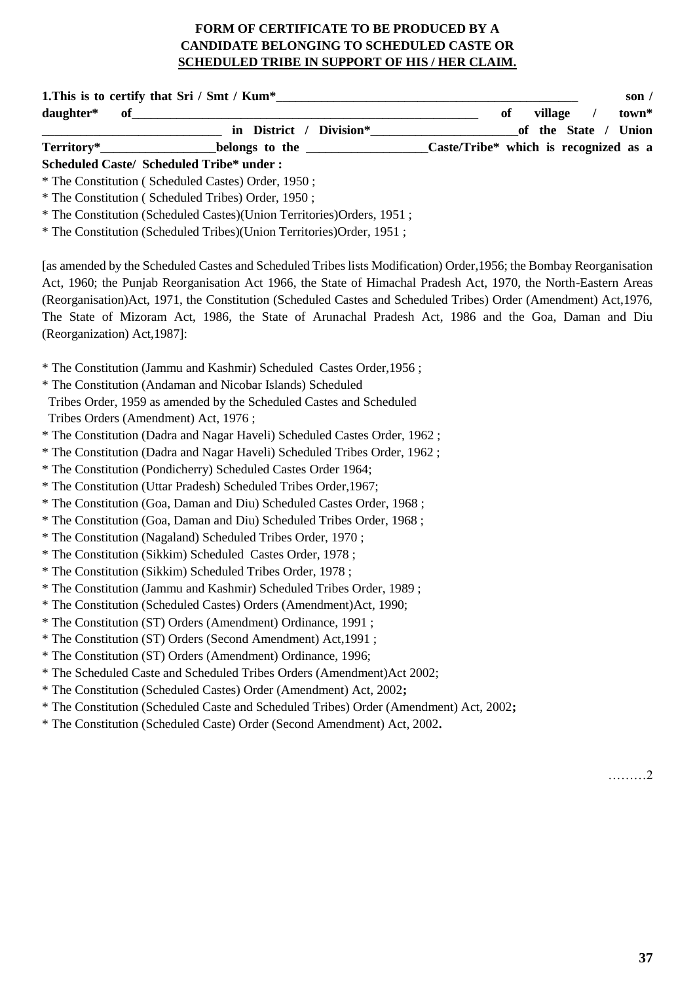# **FORM OF CERTIFICATE TO BE PRODUCED BY A CANDIDATE BELONGING TO SCHEDULED CASTE OR SCHEDULED TRIBE IN SUPPORT OF HIS / HER CLAIM.**

| daughter*                            | $\bf{of}$                                                                                                           | of<br>village<br>town*<br>$\prime$                                    |
|--------------------------------------|---------------------------------------------------------------------------------------------------------------------|-----------------------------------------------------------------------|
|                                      | in District / Division*                                                                                             | of the State / Union                                                  |
| Territory*                           |                                                                                                                     | belongs to the _________________Caste/Tribe* which is recognized as a |
|                                      | <b>Scheduled Caste/ Scheduled Tribe* under:</b>                                                                     |                                                                       |
|                                      | * The Constitution (Scheduled Castes) Order, 1950;                                                                  |                                                                       |
|                                      | * The Constitution (Scheduled Tribes) Order, 1950;                                                                  |                                                                       |
|                                      | * The Constitution (Scheduled Castes)(Union Territories)Orders, 1951;                                               |                                                                       |
|                                      | * The Constitution (Scheduled Tribes)(Union Territories)Order, 1951;                                                |                                                                       |
|                                      | [as amended by the Scheduled Castes and Scheduled Tribes lists Modification) Order, 1956; the Bombay Reorganisation |                                                                       |
|                                      | Act, 1960; the Punjab Reorganisation Act 1966, the State of Himachal Pradesh Act, 1970, the North-Eastern Areas     |                                                                       |
|                                      | (Reorganisation) Act, 1971, the Constitution (Scheduled Castes and Scheduled Tribes) Order (Amendment) Act, 1976,   |                                                                       |
|                                      | The State of Mizoram Act, 1986, the State of Arunachal Pradesh Act, 1986 and the Goa, Daman and Diu                 |                                                                       |
| (Reorganization) Act, 1987]:         |                                                                                                                     |                                                                       |
|                                      | * The Constitution (Jammu and Kashmir) Scheduled Castes Order, 1956;                                                |                                                                       |
|                                      | * The Constitution (Andaman and Nicobar Islands) Scheduled                                                          |                                                                       |
|                                      | Tribes Order, 1959 as amended by the Scheduled Castes and Scheduled                                                 |                                                                       |
| Tribes Orders (Amendment) Act, 1976; |                                                                                                                     |                                                                       |
|                                      | * The Constitution (Dadra and Nagar Haveli) Scheduled Castes Order, 1962;                                           |                                                                       |
|                                      | * The Constitution (Dadra and Nagar Haveli) Scheduled Tribes Order, 1962;                                           |                                                                       |
|                                      | * The Constitution (Pondicherry) Scheduled Castes Order 1964;                                                       |                                                                       |
|                                      | * The Constitution (Uttar Pradesh) Scheduled Tribes Order, 1967;                                                    |                                                                       |
|                                      | * The Constitution (Goa, Daman and Diu) Scheduled Castes Order, 1968;                                               |                                                                       |
|                                      | * The Constitution (Goa, Daman and Diu) Scheduled Tribes Order, 1968;                                               |                                                                       |
|                                      | * The Constitution (Nagaland) Scheduled Tribes Order, 1970;                                                         |                                                                       |
|                                      | * The Constitution (Sikkim) Scheduled Castes Order, 1978;                                                           |                                                                       |
|                                      | * The Constitution (Sikkim) Scheduled Tribes Order, 1978;                                                           |                                                                       |
|                                      | * The Constitution (Jammu and Kashmir) Scheduled Tribes Order, 1989;                                                |                                                                       |
|                                      | * The Constitution (Scheduled Castes) Orders (Amendment) Act, 1990;                                                 |                                                                       |
|                                      | * The Constitution (ST) Orders (Amendment) Ordinance, 1991;                                                         |                                                                       |
|                                      | * The Constitution (ST) Orders (Second Amendment) Act, 1991;                                                        |                                                                       |
|                                      | * The Constitution (ST) Orders (Amendment) Ordinance, 1996;                                                         |                                                                       |
|                                      | * The Scheduled Caste and Scheduled Tribes Orders (Amendment) Act 2002;                                             |                                                                       |
|                                      | * The Constitution (Scheduled Castes) Order (Amendment) Act, 2002;                                                  |                                                                       |
|                                      | * The Constitution (Scheduled Caste and Scheduled Tribes) Order (Amendment) Act, 2002;                              |                                                                       |
|                                      | * The Constitution (Scheduled Caste) Order (Second Amendment) Act, 2002.                                            |                                                                       |
|                                      |                                                                                                                     |                                                                       |
|                                      |                                                                                                                     |                                                                       |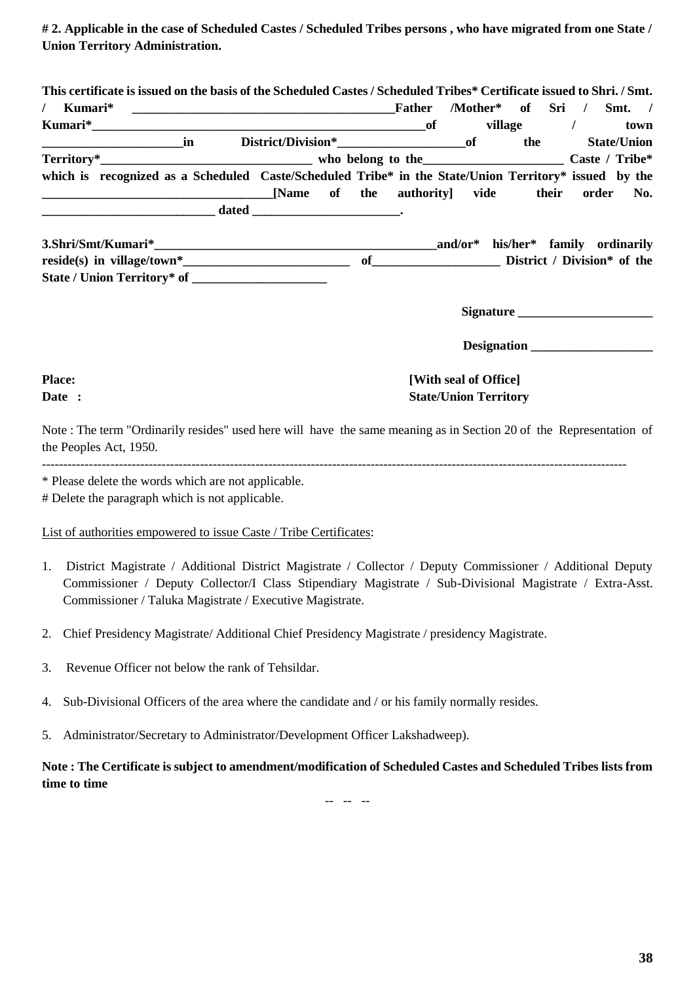**# 2. Applicable in the case of Scheduled Castes / Scheduled Tribes persons , who have migrated from one State / Union Territory Administration.**

**This certificate is issued on the basis of the Scheduled Castes / Scheduled Tribes\* Certificate issued to Shri. / Smt.** 

|                                                                                                                        |  |  | Father | /Mother* of Sri / Smt. /                     |     |           |                    |
|------------------------------------------------------------------------------------------------------------------------|--|--|--------|----------------------------------------------|-----|-----------|--------------------|
|                                                                                                                        |  |  |        |                                              |     | village / | town               |
|                                                                                                                        |  |  |        |                                              | the |           | <b>State/Union</b> |
|                                                                                                                        |  |  |        |                                              |     |           |                    |
| which is recognized as a Scheduled Caste/Scheduled Tribe* in the State/Union Territory* issued by the                  |  |  |        |                                              |     |           |                    |
| <u> 2000 - Jan James James Barnett, mars and de la partie de la partie de la partie de la partie de la partie de l</u> |  |  |        | [Name of the authority] vide their order No. |     |           |                    |
|                                                                                                                        |  |  |        |                                              |     |           |                    |
|                                                                                                                        |  |  |        |                                              |     |           |                    |
| 3 Shri/Smt/Kumari*                                                                                                     |  |  |        | and/or* his/her* family ordinarily           |     |           |                    |

**3.Shri/Smt/Kumari\*\_\_\_\_\_\_\_\_\_\_\_\_\_\_\_\_\_\_\_\_\_\_\_\_\_\_\_\_\_\_\_\_\_\_\_\_\_\_\_\_\_\_\_\_and/or\* his/her\* family ordinarily reside(s) in village/town\*\_\_\_\_\_\_\_\_\_\_\_\_\_\_\_\_\_\_\_\_\_\_\_\_\_\_ of\_\_\_\_\_\_\_\_\_\_\_\_\_\_\_\_\_\_\_\_ District / Division\* of the State / Union Territory\* of \_\_\_\_\_\_\_\_\_\_\_\_\_\_\_\_\_\_\_\_\_**

**Signature** 

 **Designation \_\_\_\_\_\_\_\_\_\_\_\_\_\_\_\_\_\_\_**

# **Place:** [With seal of Office] **Date :** State/Union Territory

Note : The term "Ordinarily resides" used here will have the same meaning as in Section 20 of the Representation of the Peoples Act, 1950.

-----------------------------------------------------------------------------------------------------------------------------------------

\* Please delete the words which are not applicable.

# Delete the paragraph which is not applicable.

### List of authorities empowered to issue Caste / Tribe Certificates:

- 1. District Magistrate / Additional District Magistrate / Collector / Deputy Commissioner / Additional Deputy Commissioner / Deputy Collector/I Class Stipendiary Magistrate / Sub-Divisional Magistrate / Extra-Asst. Commissioner / Taluka Magistrate / Executive Magistrate.
- 2. Chief Presidency Magistrate/ Additional Chief Presidency Magistrate / presidency Magistrate.
- 3. Revenue Officer not below the rank of Tehsildar.
- 4. Sub-Divisional Officers of the area where the candidate and / or his family normally resides.
- 5. Administrator/Secretary to Administrator/Development Officer Lakshadweep).

**Note : The Certificate is subject to amendment/modification of Scheduled Castes and Scheduled Tribes lists from time to time**

-- -- --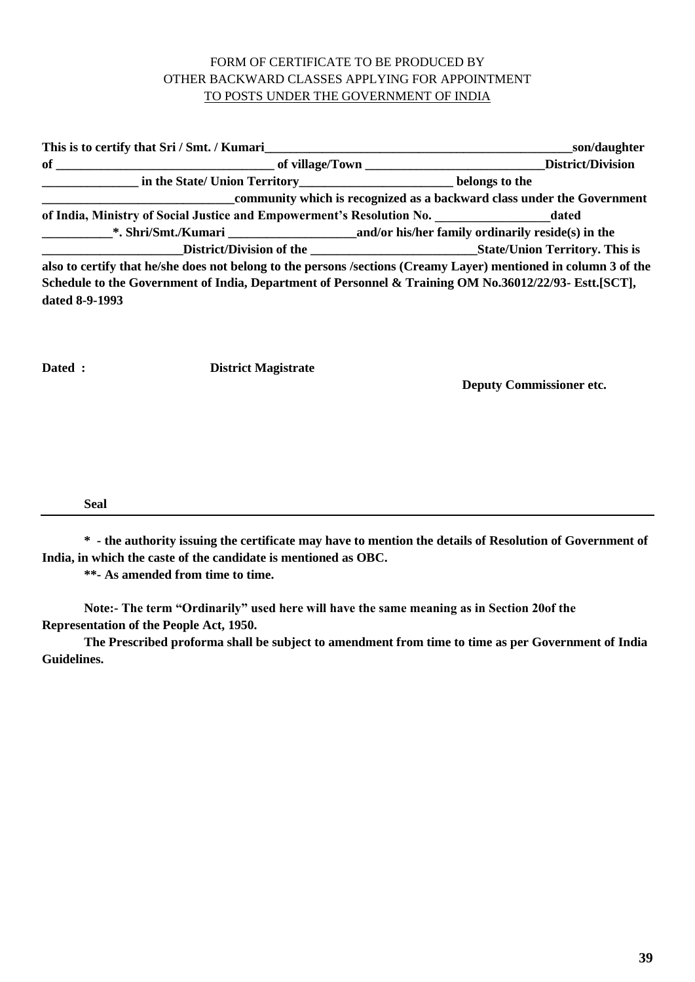# FORM OF CERTIFICATE TO BE PRODUCED BY OTHER BACKWARD CLASSES APPLYING FOR APPOINTMENT TO POSTS UNDER THE GOVERNMENT OF INDIA

|                | This is to certify that Sri / Smt. / Kumari                                                                                                                                                                                         | son/daughter                                                                                                     |
|----------------|-------------------------------------------------------------------------------------------------------------------------------------------------------------------------------------------------------------------------------------|------------------------------------------------------------------------------------------------------------------|
|                | of <u>Community of Community of Village/Town</u> Community of Community of Community of Village/Town Community of Community of Village/Town Community of Village/Town Community of Village/Town Community of Village/Town Community |                                                                                                                  |
|                | in the State/ Union Territory____________________________belongs to the                                                                                                                                                             |                                                                                                                  |
|                |                                                                                                                                                                                                                                     | community which is recognized as a backward class under the Government                                           |
|                | of India, Ministry of Social Justice and Empowerment's Resolution No. ________________________dated                                                                                                                                 |                                                                                                                  |
|                | <b>EXAMPLE 19.1</b> Shri/Smt./Kumari <b>Mathematic 20.1 and/or</b> his/her family ordinarily reside(s) in the                                                                                                                       |                                                                                                                  |
|                |                                                                                                                                                                                                                                     |                                                                                                                  |
|                |                                                                                                                                                                                                                                     | also to certify that he/she does not belong to the persons /sections (Creamy Layer) mentioned in column 3 of the |
|                | Schedule to the Government of India, Department of Personnel & Training OM No.36012/22/93- Estt.[SCT],                                                                                                                              |                                                                                                                  |
| dated 8-9-1993 |                                                                                                                                                                                                                                     |                                                                                                                  |
|                |                                                                                                                                                                                                                                     |                                                                                                                  |

**Dated : District Magistrate**

**Deputy Commissioner etc.**

**Seal** 

**\* - the authority issuing the certificate may have to mention the details of Resolution of Government of India, in which the caste of the candidate is mentioned as OBC.**

**\*\*- As amended from time to time.**

**Note:- The term "Ordinarily" used here will have the same meaning as in Section 20of the Representation of the People Act, 1950.** 

**The Prescribed proforma shall be subject to amendment from time to time as per Government of India Guidelines.**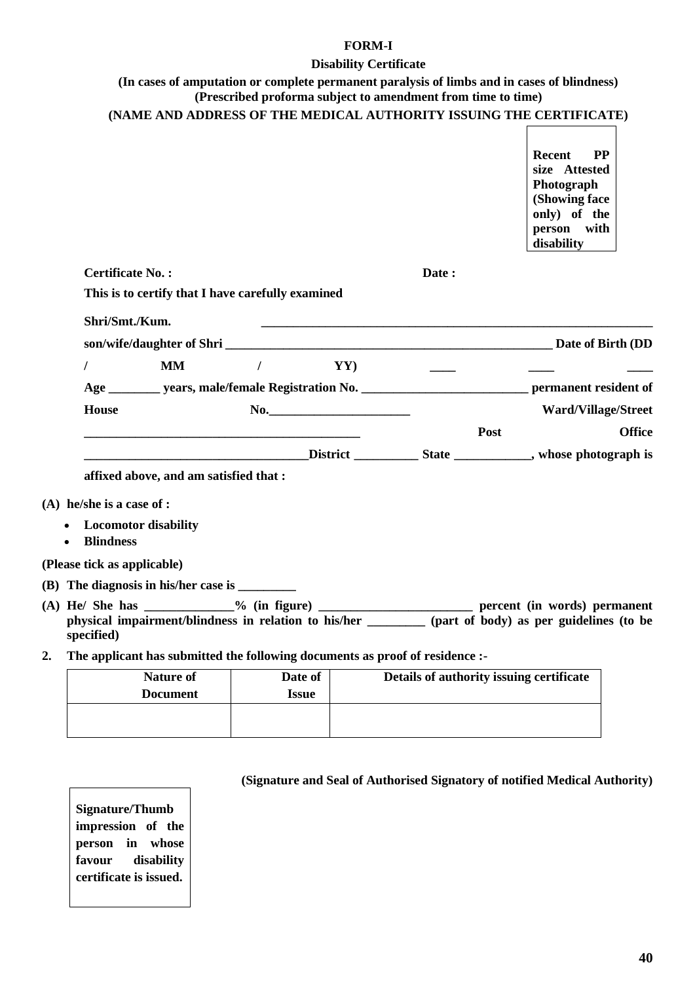### **FORM-I**

## **Disability Certificate**

# **(In cases of amputation or complete permanent paralysis of limbs and in cases of blindness) (Prescribed proforma subject to amendment from time to time)**

|    |                                                                                                                                                                                                                 |                 |                                          | Recent<br><b>PP</b><br>size Attested<br>Photograph<br>(Showing face<br>only) of the<br>person with<br>disability |
|----|-----------------------------------------------------------------------------------------------------------------------------------------------------------------------------------------------------------------|-----------------|------------------------------------------|------------------------------------------------------------------------------------------------------------------|
|    | <b>Certificate No.:</b>                                                                                                                                                                                         |                 | Date:                                    |                                                                                                                  |
|    | This is to certify that I have carefully examined                                                                                                                                                               |                 |                                          |                                                                                                                  |
|    | Shri/Smt./Kum.                                                                                                                                                                                                  |                 |                                          |                                                                                                                  |
|    | son/wife/daughter of Shri                                                                                                                                                                                       |                 |                                          |                                                                                                                  |
|    | <b>MM</b><br>T                                                                                                                                                                                                  | YY)<br>$\prime$ |                                          |                                                                                                                  |
|    | Age ___________ years, male/female Registration No. ________________________________ permanent resident of                                                                                                      |                 |                                          |                                                                                                                  |
|    | <b>House</b>                                                                                                                                                                                                    | No.             |                                          | <b>Ward/Village/Street</b>                                                                                       |
|    |                                                                                                                                                                                                                 |                 | Post                                     | <b>Office</b>                                                                                                    |
|    |                                                                                                                                                                                                                 |                 |                                          |                                                                                                                  |
|    | affixed above, and am satisfied that :                                                                                                                                                                          |                 |                                          |                                                                                                                  |
|    | $(A)$ he/she is a case of :                                                                                                                                                                                     |                 |                                          |                                                                                                                  |
|    | <b>Locomotor disability</b><br><b>Blindness</b><br>$\bullet$                                                                                                                                                    |                 |                                          |                                                                                                                  |
|    | (Please tick as applicable)                                                                                                                                                                                     |                 |                                          |                                                                                                                  |
|    |                                                                                                                                                                                                                 |                 |                                          |                                                                                                                  |
|    | (A) He/ She has _____________% (in figure) _________________________ percent (in words) permanent<br>physical impairment/blindness in relation to his/her (part of body) as per guidelines (to be<br>specified) |                 |                                          |                                                                                                                  |
| 2. | The applicant has submitted the following documents as proof of residence :-                                                                                                                                    |                 |                                          |                                                                                                                  |
|    | <b>Nature of</b>                                                                                                                                                                                                | Date of         | Details of authority issuing certificate |                                                                                                                  |
|    | Document                                                                                                                                                                                                        | <b>Legua</b>    |                                          |                                                                                                                  |

| Nature of       | Date of      | Details of authority issuing certificate |
|-----------------|--------------|------------------------------------------|
| <b>Document</b> | <b>Issue</b> |                                          |
|                 |              |                                          |
|                 |              |                                          |
|                 |              |                                          |

| <b>Signature/Thumb</b> |  |            |
|------------------------|--|------------|
| impression of the      |  |            |
| person in whose        |  |            |
| favour                 |  | disability |
| certificate is issued. |  |            |
|                        |  |            |

# **(Signature and Seal of Authorised Signatory of notified Medical Authority)**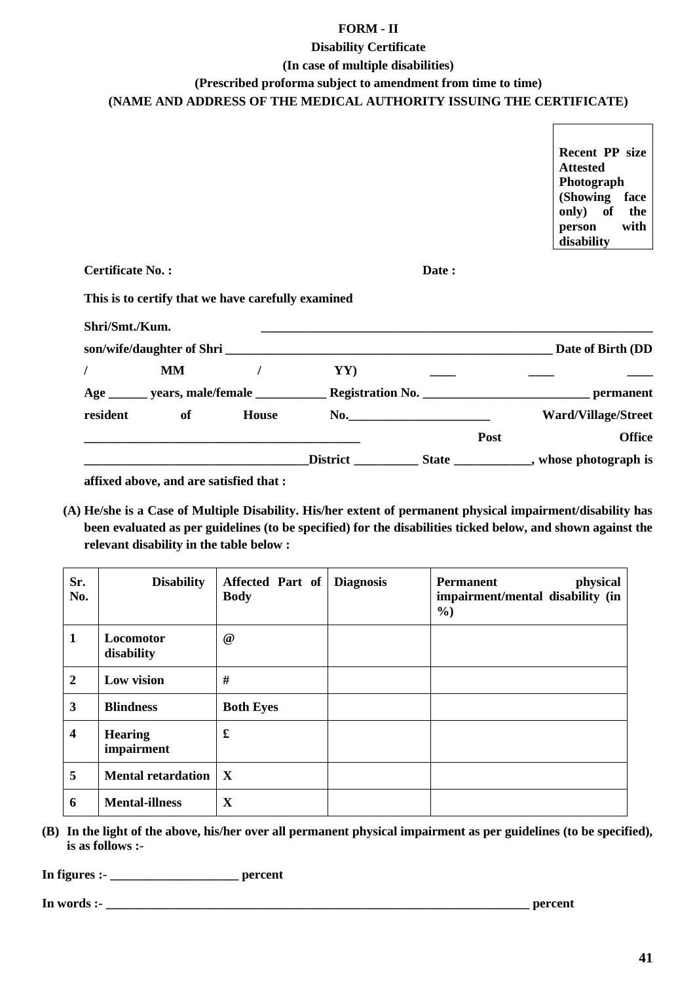## **FORM - II**

## **Disability Certificate**

### **(In case of multiple disabilities)**

## **(Prescribed proforma subject to amendment from time to time)**

# **(NAME AND ADDRESS OF THE MEDICAL AUTHORITY ISSUING THE CERTIFICATE)**

**Recent PP size Attested Photograph (Showing face only) of the person with disability**

**Certificate No. : Date :**

# **This is to certify that we have carefully examined**

| Shri/Smt./Kum. |    |       |                 |                           |                                         |
|----------------|----|-------|-----------------|---------------------------|-----------------------------------------|
|                |    |       |                 | son/wife/daughter of Shri | Date of Birth (DD                       |
|                | MM |       | YY)             |                           |                                         |
|                |    |       |                 |                           | <b>permanent</b>                        |
| resident       | of | House |                 | No. $\qquad \qquad$       | <b>Ward/Village/Street</b>              |
|                |    |       |                 | Post                      | <b>Office</b>                           |
|                |    |       | <b>District</b> |                           | State ____________, whose photograph is |

**affixed above, and are satisfied that :**

**(A) He/she is a Case of Multiple Disability. His/her extent of permanent physical impairment/disability has been evaluated as per guidelines (to be specified) for the disabilities ticked below, and shown against the relevant disability in the table below :** 

| Sr.<br>No.              | <b>Disability</b>            | Affected Part of<br><b>Body</b> | <b>Diagnosis</b> | physical<br><b>Permanent</b><br>impairment/mental disability (in<br>$\frac{6}{2}$ |
|-------------------------|------------------------------|---------------------------------|------------------|-----------------------------------------------------------------------------------|
| $\mathbf{1}$            | Locomotor<br>disability      | $^{\,a}$                        |                  |                                                                                   |
| $\overline{2}$          | Low vision                   | #                               |                  |                                                                                   |
| $\mathbf{3}$            | <b>Blindness</b>             | <b>Both Eyes</b>                |                  |                                                                                   |
| $\overline{\mathbf{4}}$ | <b>Hearing</b><br>impairment | £                               |                  |                                                                                   |
| 5                       | <b>Mental retardation</b>    | $\mathbf{X}$                    |                  |                                                                                   |
| 6                       | <b>Mental-illness</b>        | X                               |                  |                                                                                   |

**(B) In the light of the above, his/her over all permanent physical impairment as per guidelines (to be specified), is as follows :-**

**In figures :- \_\_\_\_\_\_\_\_\_\_\_\_\_\_\_\_\_\_\_\_ percent**

**In words :- \_\_\_\_\_\_\_\_\_\_\_\_\_\_\_\_\_\_\_\_\_\_\_\_\_\_\_\_\_\_\_\_\_\_\_\_\_\_\_\_\_\_\_\_\_\_\_\_\_\_\_\_\_\_\_\_\_\_\_\_\_\_\_\_\_\_ percent**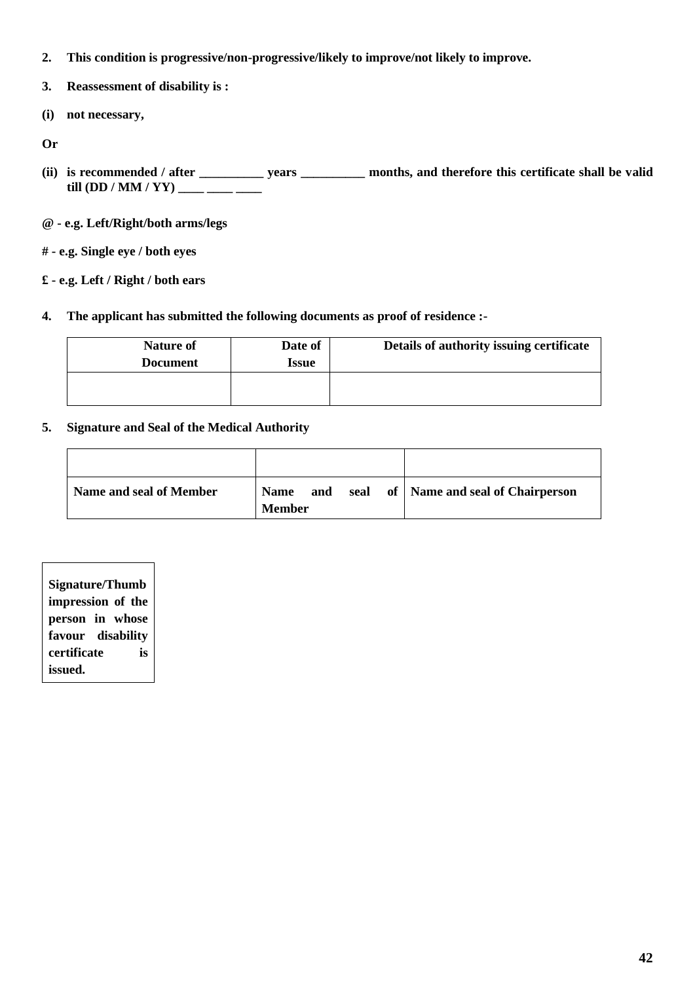- **2. This condition is progressive/non-progressive/likely to improve/not likely to improve.**
- **3. Reassessment of disability is :**
- **(i) not necessary,**
- **Or**
- **(ii) is recommended / after \_\_\_\_\_\_\_\_\_\_ years \_\_\_\_\_\_\_\_\_\_ months, and therefore this certificate shall be valid till (DD / MM / YY) \_\_\_\_ \_\_\_\_ \_\_\_**
- **@ - e.g. Left/Right/both arms/legs**
- **# - e.g. Single eye / both eyes**
- **£ - e.g. Left / Right / both ears**
- **4. The applicant has submitted the following documents as proof of residence :-**

| <b>Nature of</b><br><b>Document</b> | Date of<br><b>Issue</b> | Details of authority issuing certificate |
|-------------------------------------|-------------------------|------------------------------------------|
|                                     |                         |                                          |

# **5. Signature and Seal of the Medical Authority**

| Name and seal of Member | <b>Name</b><br><b>Member</b> | and |  | seal of   Name and seal of Chairperson |
|-------------------------|------------------------------|-----|--|----------------------------------------|

| <b>Signature/Thumb</b> |  |  |  |  |  |  |  |
|------------------------|--|--|--|--|--|--|--|
| impression of the      |  |  |  |  |  |  |  |
| person in whose        |  |  |  |  |  |  |  |
| favour disability      |  |  |  |  |  |  |  |
| certificate<br>is      |  |  |  |  |  |  |  |
| issued.                |  |  |  |  |  |  |  |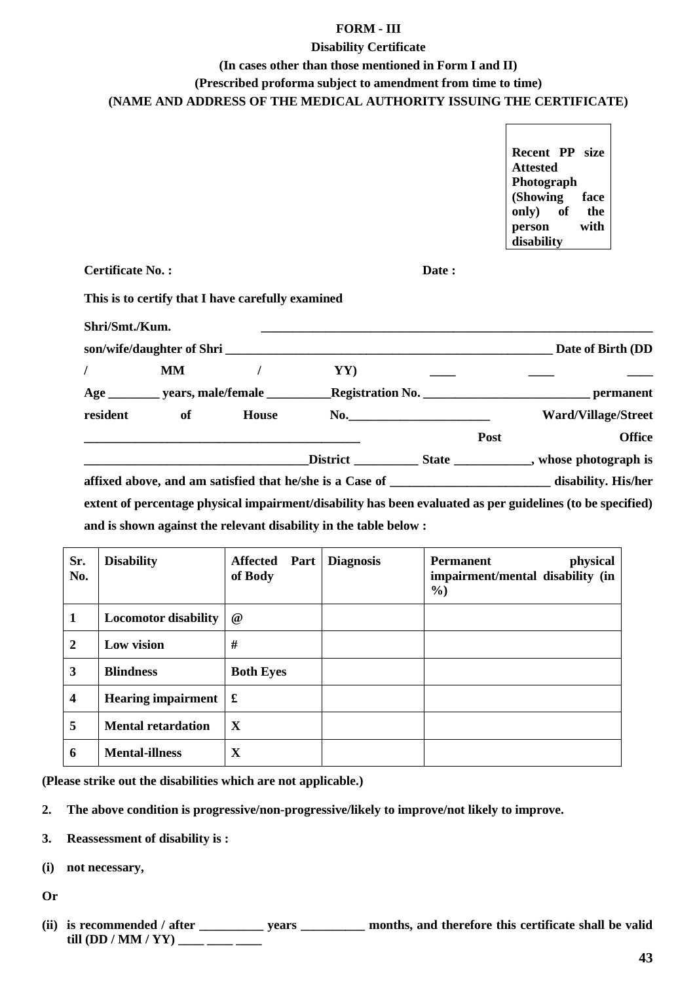## **FORM - III**

## **Disability Certificate**

## **(In cases other than those mentioned in Form I and II)**

**(Prescribed proforma subject to amendment from time to time)**

**(NAME AND ADDRESS OF THE MEDICAL AUTHORITY ISSUING THE CERTIFICATE)** 

**Recent PP size Attested Photograph (Showing face only) of the person with disability**

**Certificate No. : Date :**

**This is to certify that I have carefully examined**

| Shri/Smt./Kum. |           |              |                                                                   |                     |      |                                                                                                            |
|----------------|-----------|--------------|-------------------------------------------------------------------|---------------------|------|------------------------------------------------------------------------------------------------------------|
|                |           |              | son/wife/daughter of Shri                                         |                     |      | Date of Birth (DD                                                                                          |
|                | <b>MM</b> |              | YY)                                                               |                     |      |                                                                                                            |
|                |           |              |                                                                   |                     |      |                                                                                                            |
| resident       | of        | <b>House</b> |                                                                   | No. $\qquad \qquad$ |      | <b>Ward/Village/Street</b>                                                                                 |
|                |           |              |                                                                   |                     | Post | <b>Office</b>                                                                                              |
|                |           |              |                                                                   |                     |      |                                                                                                            |
|                |           |              |                                                                   |                     |      |                                                                                                            |
|                |           |              |                                                                   |                     |      | extent of percentage physical impairment/disability has been evaluated as per guidelines (to be specified) |
|                |           |              | and is shown against the relevant disability in the table below : |                     |      |                                                                                                            |

| Sr.<br>No.              | <b>Disability</b>               | <b>Affected</b><br>Part<br>of Body | <b>Diagnosis</b> | physical<br><b>Permanent</b><br>impairment/mental disability (in<br>$\frac{0}{0}$ |
|-------------------------|---------------------------------|------------------------------------|------------------|-----------------------------------------------------------------------------------|
| 1                       | <b>Locomotor disability</b>     | $\omega$                           |                  |                                                                                   |
| $\overline{2}$          | Low vision                      | #                                  |                  |                                                                                   |
| 3                       | <b>Blindness</b>                | <b>Both Eyes</b>                   |                  |                                                                                   |
| $\overline{\mathbf{4}}$ | Hearing impairment $\mathbf{f}$ |                                    |                  |                                                                                   |
| 5                       | <b>Mental retardation</b>       | X                                  |                  |                                                                                   |
| 6                       | <b>Mental-illness</b>           | X                                  |                  |                                                                                   |

**(Please strike out the disabilities which are not applicable.)**

**2. The above condition is progressive/non-progressive/likely to improve/not likely to improve.**

**3. Reassessment of disability is :**

**(i) not necessary,**

**Or**

(ii) is recommended / after \_\_\_\_\_\_\_\_\_\_ years \_\_\_\_\_\_\_\_\_ months, and therefore this certificate shall be valid **till (DD / MM / YY) \_\_\_\_ \_\_\_\_ \_\_\_\_**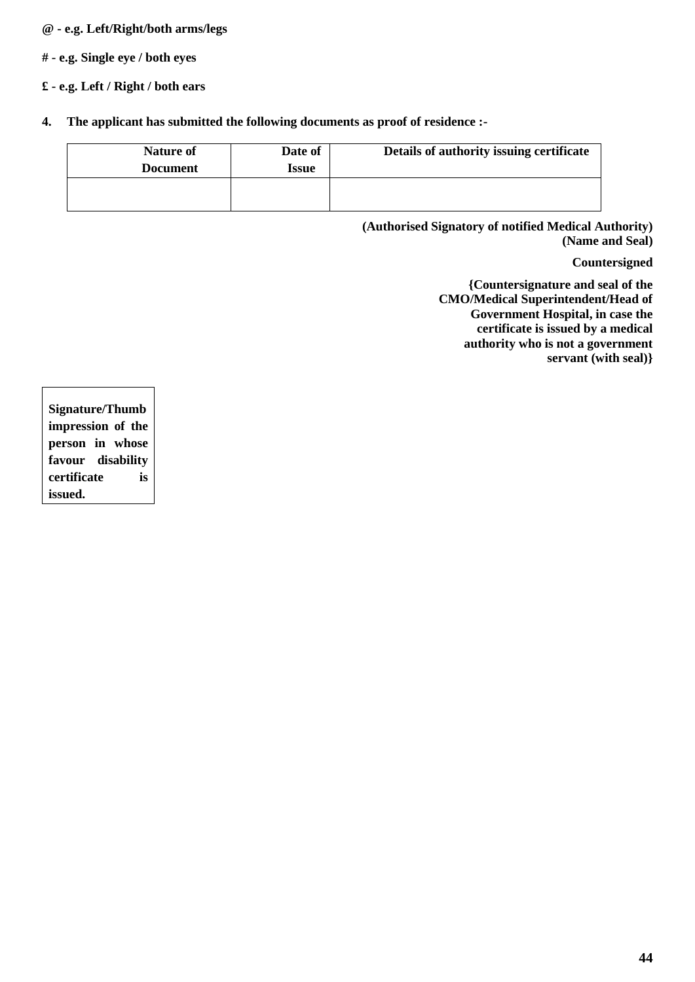# **@ - e.g. Left/Right/both arms/legs**

**# - e.g. Single eye / both eyes**

# **£ - e.g. Left / Right / both ears**

**4. The applicant has submitted the following documents as proof of residence :-**

| <b>Nature of</b><br><b>Document</b> | Date of<br>Issue | Details of authority issuing certificate |
|-------------------------------------|------------------|------------------------------------------|
|                                     |                  |                                          |

**(Authorised Signatory of notified Medical Authority) (Name and Seal)**

## **Countersigned**

**{Countersignature and seal of the CMO/Medical Superintendent/Head of Government Hospital, in case the certificate is issued by a medical authority who is not a government servant (with seal)}**

**Signature/Thumb impression of the person in whose favour disability certificate is issued.**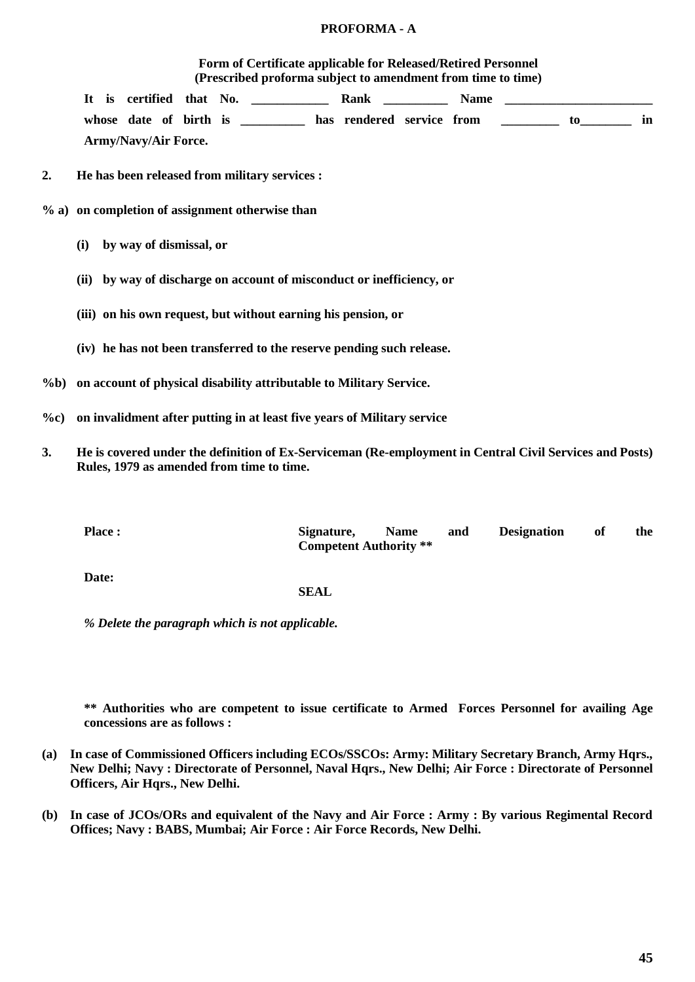## **PROFORMA - A**

## **Form of Certificate applicable for Released/Retired Personnel (Prescribed proforma subject to amendment from time to time)**

**It is certified that No. \_\_\_\_\_\_\_\_\_\_\_\_ Rank \_\_\_\_\_\_\_\_\_\_ Name \_\_\_\_\_\_\_\_\_\_\_\_\_\_\_\_\_\_\_\_\_\_\_** whose date of birth is \_\_\_\_\_\_\_\_\_ has rendered service from \_\_\_\_\_\_\_\_\_ to\_\_\_\_\_\_\_ in **Army/Navy/Air Force.**

**2. He has been released from military services :**

- **% a) on completion of assignment otherwise than** 
	- **(i) by way of dismissal, or**
	- **(ii) by way of discharge on account of misconduct or inefficiency, or**
	- **(iii) on his own request, but without earning his pension, or**
	- **(iv) he has not been transferred to the reserve pending such release.**
- **%b) on account of physical disability attributable to Military Service.**
- **%c) on invalidment after putting in at least five years of Military service**
- **3. He is covered under the definition of Ex-Serviceman (Re-employment in Central Civil Services and Posts) Rules, 1979 as amended from time to time.**

| <b>Place:</b> | Signature.                    | <b>Name</b> | and | <b>Designation</b> | -of | the |
|---------------|-------------------------------|-------------|-----|--------------------|-----|-----|
|               | <b>Competent Authority</b> ** |             |     |                    |     |     |
|               |                               |             |     |                    |     |     |

**Date:**

### **SEAL**

*% Delete the paragraph which is not applicable.*

**\*\* Authorities who are competent to issue certificate to Armed Forces Personnel for availing Age concessions are as follows :**

- **(a) In case of Commissioned Officers including ECOs/SSCOs: Army: Military Secretary Branch, Army Hqrs., New Delhi; Navy : Directorate of Personnel, Naval Hqrs., New Delhi; Air Force : Directorate of Personnel Officers, Air Hqrs., New Delhi.**
- **(b) In case of JCOs/ORs and equivalent of the Navy and Air Force : Army : By various Regimental Record Offices; Navy : BABS, Mumbai; Air Force : Air Force Records, New Delhi.**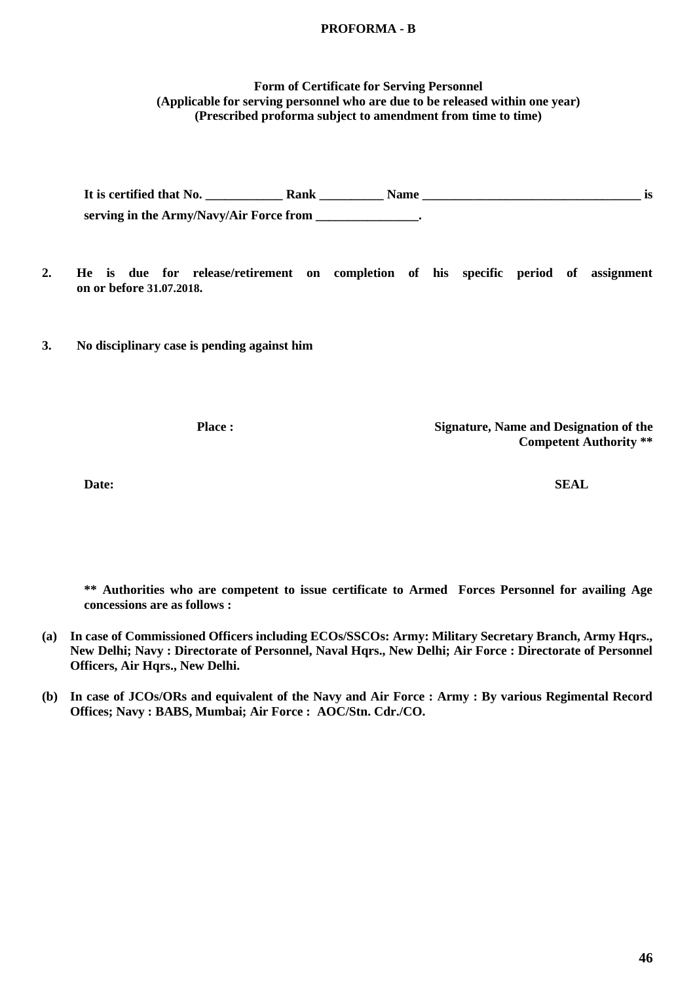## **PROFORMA - B**

### **Form of Certificate for Serving Personnel (Applicable for serving personnel who are due to be released within one year) (Prescribed proforma subject to amendment from time to time)**

It is certified that No. **Rank No. Rank Name is**  is **serving in the Army/Navy/Air Force from \_\_\_\_\_\_\_\_\_\_\_\_\_\_\_\_.**

**2. He is due for release/retirement on completion of his specific period of assignment on or before 31.07.2018.** 

**3. No disciplinary case is pending against him**

**Place : Signature, Name and Designation of the Competent Authority \*\***

**Date: SEAL**

**\*\* Authorities who are competent to issue certificate to Armed Forces Personnel for availing Age concessions are as follows :**

- **(a) In case of Commissioned Officers including ECOs/SSCOs: Army: Military Secretary Branch, Army Hqrs., New Delhi; Navy : Directorate of Personnel, Naval Hqrs., New Delhi; Air Force : Directorate of Personnel Officers, Air Hqrs., New Delhi.**
- **(b) In case of JCOs/ORs and equivalent of the Navy and Air Force : Army : By various Regimental Record Offices; Navy : BABS, Mumbai; Air Force : AOC/Stn. Cdr./CO.**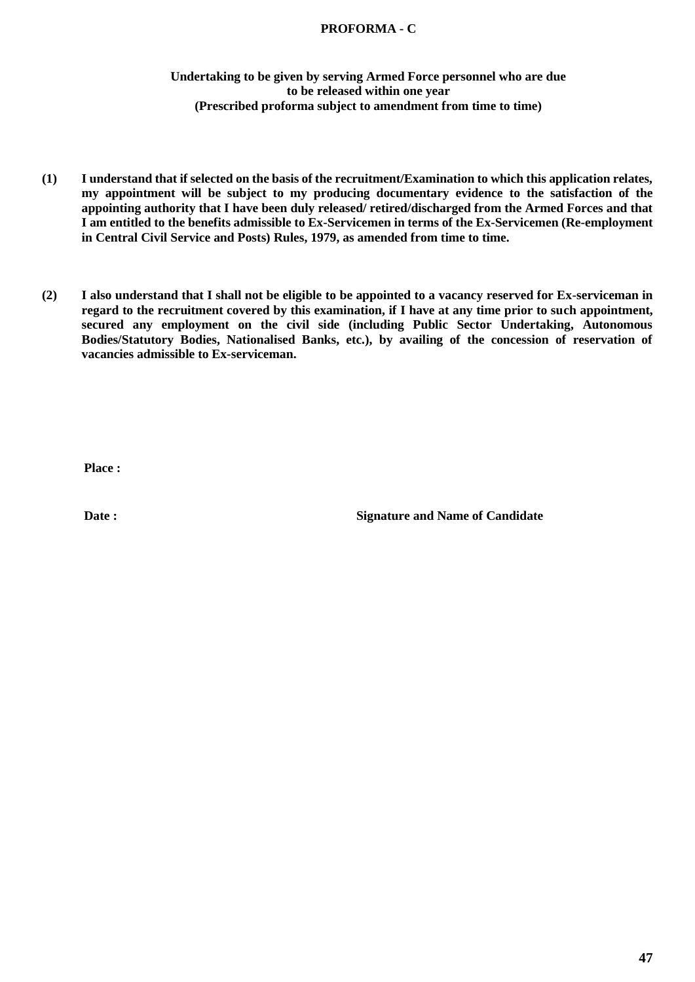# **PROFORMA - C**

# **Undertaking to be given by serving Armed Force personnel who are due to be released within one year (Prescribed proforma subject to amendment from time to time)**

- **(1) I understand that if selected on the basis of the recruitment/Examination to which this application relates, my appointment will be subject to my producing documentary evidence to the satisfaction of the appointing authority that I have been duly released/ retired/discharged from the Armed Forces and that I am entitled to the benefits admissible to Ex-Servicemen in terms of the Ex-Servicemen (Re-employment in Central Civil Service and Posts) Rules, 1979, as amended from time to time.**
- **(2) I also understand that I shall not be eligible to be appointed to a vacancy reserved for Ex-serviceman in regard to the recruitment covered by this examination, if I have at any time prior to such appointment, secured any employment on the civil side (including Public Sector Undertaking, Autonomous Bodies/Statutory Bodies, Nationalised Banks, etc.), by availing of the concession of reservation of vacancies admissible to Ex-serviceman.**

**Place :**

**Date : Signature and Name of Candidate**